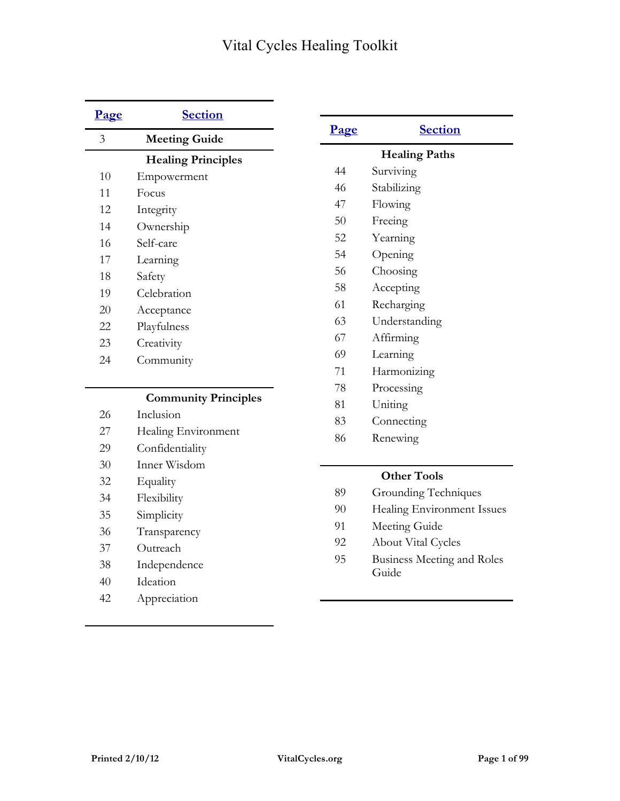| Page           | <b>Section</b>              |      |                                   |
|----------------|-----------------------------|------|-----------------------------------|
| $\overline{3}$ | <b>Meeting Guide</b>        | Page | <b>Section</b>                    |
|                | <b>Healing Principles</b>   |      | <b>Healing Paths</b>              |
| 10             | Empowerment                 | 44   | Surviving                         |
| 11             | Focus                       | 46   | Stabilizing                       |
| 12             | Integrity                   | 47   | Flowing                           |
| 14             | Ownership                   | 50   | Freeing                           |
| 16             | Self-care                   | 52   | Yearning                          |
| 17             | Learning                    | 54   | Opening                           |
| 18             | Safety                      | 56   | Choosing                          |
| 19             | Celebration                 | 58   | Accepting                         |
| 20             | Acceptance                  | 61   | Recharging                        |
| 22             | Playfulness                 | 63   | Understanding                     |
| 23             | Creativity                  | 67   | Affirming                         |
| 24             | Community                   | 69   | Learning                          |
|                |                             | 71   | Harmonizing                       |
|                |                             | 78   | Processing                        |
|                | <b>Community Principles</b> | 81   | Uniting                           |
| 26             | Inclusion                   | 83   | Connecting                        |
| 27             | Healing Environment         | 86   | Renewing                          |
| 29             | Confidentiality             |      |                                   |
| 30             | Inner Wisdom                |      | <b>Other Tools</b>                |
| 32             | Equality                    | 89   | Grounding Techniques              |
| 34             | Flexibility                 | 90   | Healing Environment Issues        |
| 35             | Simplicity                  | 91   | Meeting Guide                     |
| 36             | Transparency                | 92   | <b>About Vital Cycles</b>         |
| 37             | Outreach                    | 95   | <b>Business Meeting and Roles</b> |
| 38             | Independence                |      | Guide                             |
| 40             | Ideation                    |      |                                   |
| 42             | Appreciation                |      |                                   |
|                |                             |      |                                   |

L.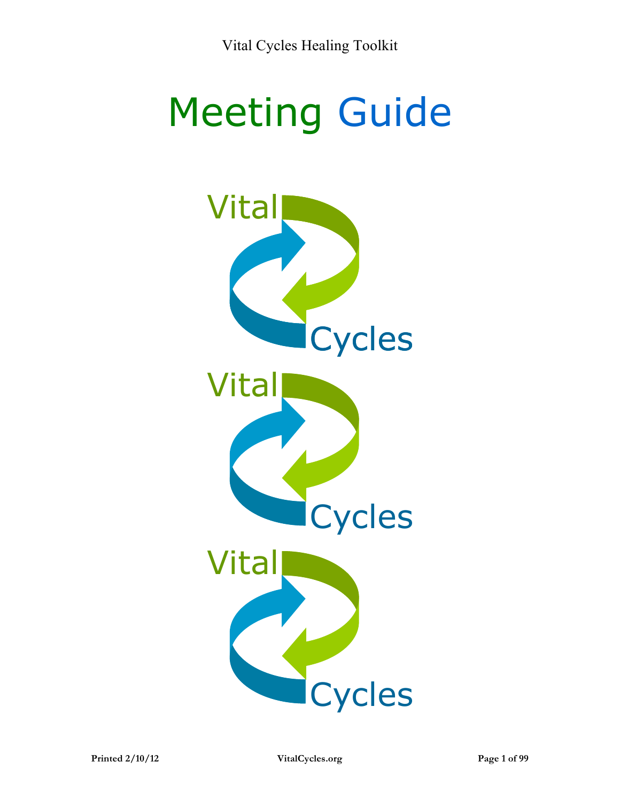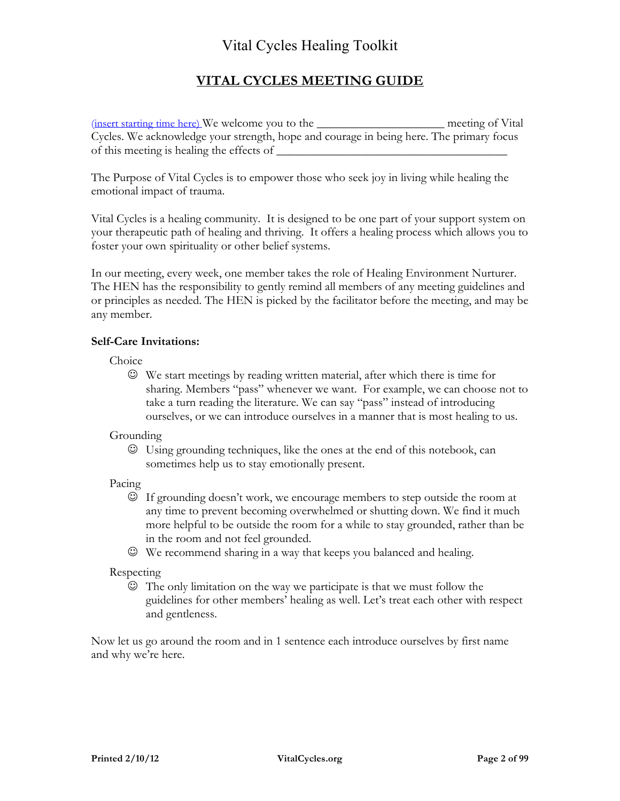#### **VITAL CYCLES MEETING GUIDE**

(insert starting time here) We welcome you to the \_\_\_\_\_\_\_\_\_\_\_\_\_\_\_\_\_\_\_\_\_ meeting of Vital Cycles. We acknowledge your strength, hope and courage in being here. The primary focus of this meeting is healing the effects of

The Purpose of Vital Cycles is to empower those who seek joy in living while healing the emotional impact of trauma.

Vital Cycles is a healing community. It is designed to be one part of your support system on your therapeutic path of healing and thriving. It offers a healing process which allows you to foster your own spirituality or other belief systems.

In our meeting, every week, one member takes the role of Healing Environment Nurturer. The HEN has the responsibility to gently remind all members of any meeting guidelines and or principles as needed. The HEN is picked by the facilitator before the meeting, and may be any member.

#### **Self-Care Invitations:**

Choice

 We start meetings by reading written material, after which there is time for sharing. Members "pass" whenever we want. For example, we can choose not to take a turn reading the literature. We can say "pass" instead of introducing ourselves, or we can introduce ourselves in a manner that is most healing to us.

Grounding

 Using grounding techniques, like the ones at the end of this notebook, can sometimes help us to stay emotionally present.

Pacing

- If grounding doesn't work, we encourage members to step outside the room at any time to prevent becoming overwhelmed or shutting down. We find it much more helpful to be outside the room for a while to stay grounded, rather than be in the room and not feel grounded.
- We recommend sharing in a way that keeps you balanced and healing.

Respecting

 The only limitation on the way we participate is that we must follow the guidelines for other members' healing as well. Let's treat each other with respect and gentleness.

Now let us go around the room and in 1 sentence each introduce ourselves by first name and why we're here.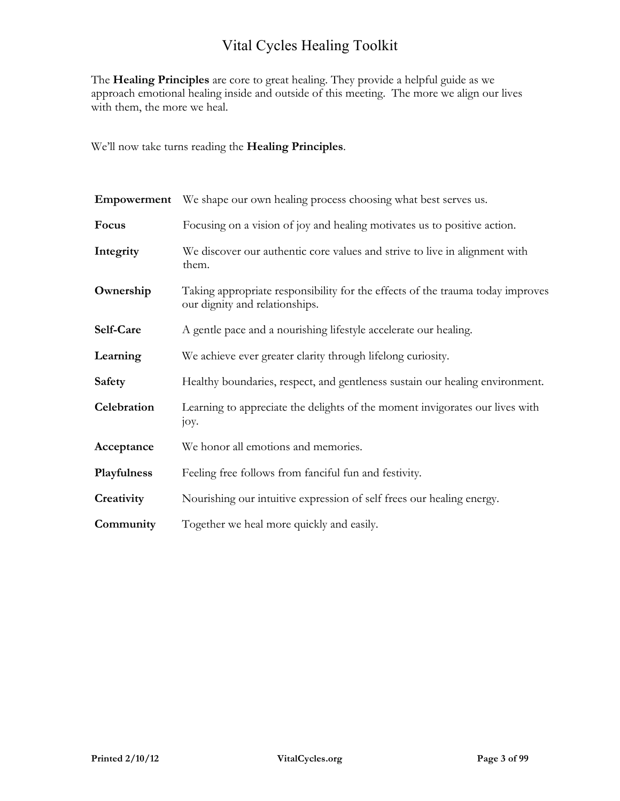The **Healing Principles** are core to great healing. They provide a helpful guide as we approach emotional healing inside and outside of this meeting. The more we align our lives with them, the more we heal.

We'll now take turns reading the **Healing Principles**.

| Empowerment   | We shape our own healing process choosing what best serves us.                                                   |  |
|---------------|------------------------------------------------------------------------------------------------------------------|--|
| Focus         | Focusing on a vision of joy and healing motivates us to positive action.                                         |  |
| Integrity     | We discover our authentic core values and strive to live in alignment with<br>them.                              |  |
| Ownership     | Taking appropriate responsibility for the effects of the trauma today improves<br>our dignity and relationships. |  |
| Self-Care     | A gentle pace and a nourishing lifestyle accelerate our healing.                                                 |  |
| Learning      | We achieve ever greater clarity through lifelong curiosity.                                                      |  |
| <b>Safety</b> | Healthy boundaries, respect, and gentleness sustain our healing environment.                                     |  |
| Celebration   | Learning to appreciate the delights of the moment invigorates our lives with<br>joy.                             |  |
| Acceptance    | We honor all emotions and memories.                                                                              |  |
| Playfulness   | Feeling free follows from fanciful fun and festivity.                                                            |  |
| Creativity    | Nourishing our intuitive expression of self frees our healing energy.                                            |  |
| Community     | Together we heal more quickly and easily.                                                                        |  |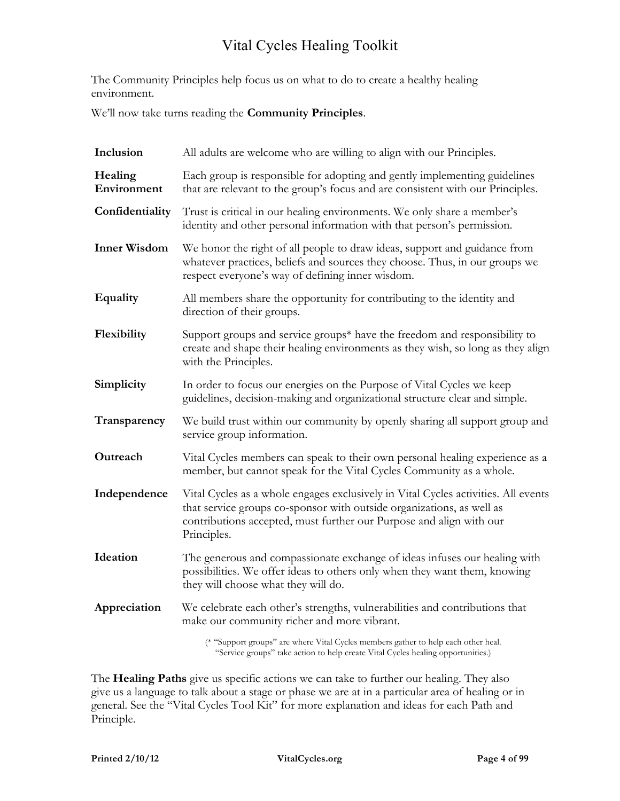The Community Principles help focus us on what to do to create a healthy healing environment.

We'll now take turns reading the **Community Principles**.

| Inclusion              | All adults are welcome who are willing to align with our Principles.                                                                                                                                                                              |  |
|------------------------|---------------------------------------------------------------------------------------------------------------------------------------------------------------------------------------------------------------------------------------------------|--|
| Healing<br>Environment | Each group is responsible for adopting and gently implementing guidelines<br>that are relevant to the group's focus and are consistent with our Principles.                                                                                       |  |
| Confidentiality        | Trust is critical in our healing environments. We only share a member's<br>identity and other personal information with that person's permission.                                                                                                 |  |
| <b>Inner Wisdom</b>    | We honor the right of all people to draw ideas, support and guidance from<br>whatever practices, beliefs and sources they choose. Thus, in our groups we<br>respect everyone's way of defining inner wisdom.                                      |  |
| <b>Equality</b>        | All members share the opportunity for contributing to the identity and<br>direction of their groups.                                                                                                                                              |  |
| Flexibility            | Support groups and service groups* have the freedom and responsibility to<br>create and shape their healing environments as they wish, so long as they align<br>with the Principles.                                                              |  |
| Simplicity             | In order to focus our energies on the Purpose of Vital Cycles we keep<br>guidelines, decision-making and organizational structure clear and simple.                                                                                               |  |
| Transparency           | We build trust within our community by openly sharing all support group and<br>service group information.                                                                                                                                         |  |
| Outreach               | Vital Cycles members can speak to their own personal healing experience as a<br>member, but cannot speak for the Vital Cycles Community as a whole.                                                                                               |  |
| Independence           | Vital Cycles as a whole engages exclusively in Vital Cycles activities. All events<br>that service groups co-sponsor with outside organizations, as well as<br>contributions accepted, must further our Purpose and align with our<br>Principles. |  |
| Ideation               | The generous and compassionate exchange of ideas infuses our healing with<br>possibilities. We offer ideas to others only when they want them, knowing<br>they will choose what they will do.                                                     |  |
| Appreciation           | We celebrate each other's strengths, vulnerabilities and contributions that<br>make our community richer and more vibrant.                                                                                                                        |  |
|                        | (* "Support groups" are where Vital Cycles members gather to help each other heal.<br>"Service groups" take action to help create Vital Cycles healing opportunities.)                                                                            |  |

The **Healing Paths** give us specific actions we can take to further our healing. They also give us a language to talk about a stage or phase we are at in a particular area of healing or in general. See the "Vital Cycles Tool Kit" for more explanation and ideas for each Path and Principle.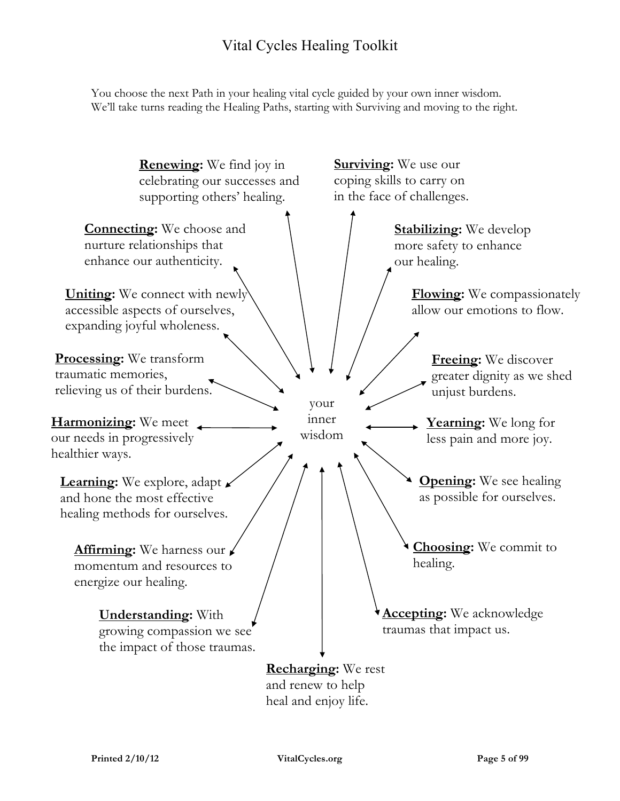You choose the next Path in your healing vital cycle guided by your own inner wisdom. We'll take turns reading the Healing Paths, starting with Surviving and moving to the right.

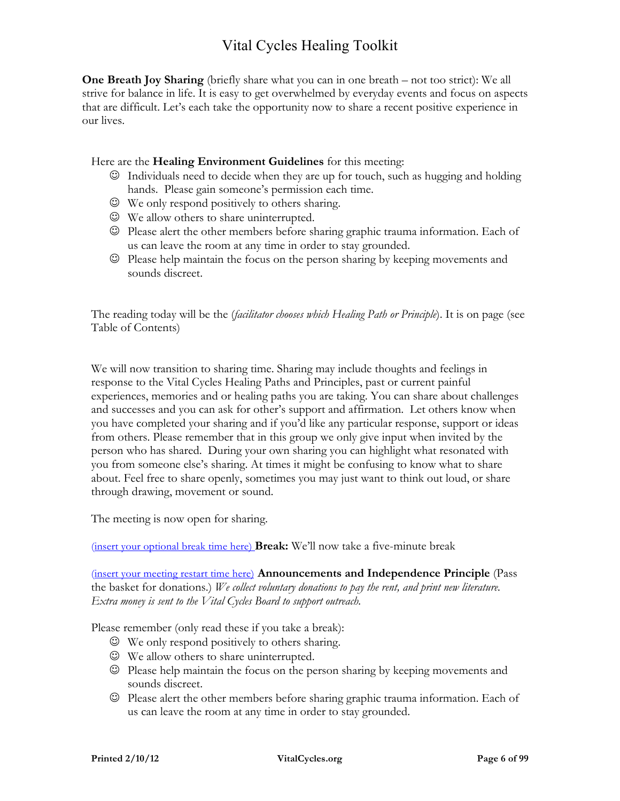**One Breath Joy Sharing** (briefly share what you can in one breath – not too strict): We all strive for balance in life. It is easy to get overwhelmed by everyday events and focus on aspects that are difficult. Let's each take the opportunity now to share a recent positive experience in our lives.

Here are the **Healing Environment Guidelines** for this meeting:

- $\odot$  Individuals need to decide when they are up for touch, such as hugging and holding hands. Please gain someone's permission each time.
- We only respond positively to others sharing.
- We allow others to share uninterrupted.
- Please alert the other members before sharing graphic trauma information. Each of us can leave the room at any time in order to stay grounded.
- Please help maintain the focus on the person sharing by keeping movements and sounds discreet.

The reading today will be the (*facilitator chooses which Healing Path or Principle*). It is on page (see Table of Contents)

We will now transition to sharing time. Sharing may include thoughts and feelings in response to the Vital Cycles Healing Paths and Principles, past or current painful experiences, memories and or healing paths you are taking. You can share about challenges and successes and you can ask for other's support and affirmation. Let others know when you have completed your sharing and if you'd like any particular response, support or ideas from others. Please remember that in this group we only give input when invited by the person who has shared. During your own sharing you can highlight what resonated with you from someone else's sharing. At times it might be confusing to know what to share about. Feel free to share openly, sometimes you may just want to think out loud, or share through drawing, movement or sound.

The meeting is now open for sharing.

(insert your optional break time here) **Break:** We'll now take a five-minute break

(insert your meeting restart time here) **Announcements and Independence Principle** (Pass the basket for donations.) *We collect voluntary donations to pay the rent, and print new literature. Extra money is sent to the Vital Cycles Board to support outreach.*

Please remember (only read these if you take a break):

- We only respond positively to others sharing.
- We allow others to share uninterrupted.
- $\odot$  Please help maintain the focus on the person sharing by keeping movements and sounds discreet.
- Please alert the other members before sharing graphic trauma information. Each of us can leave the room at any time in order to stay grounded.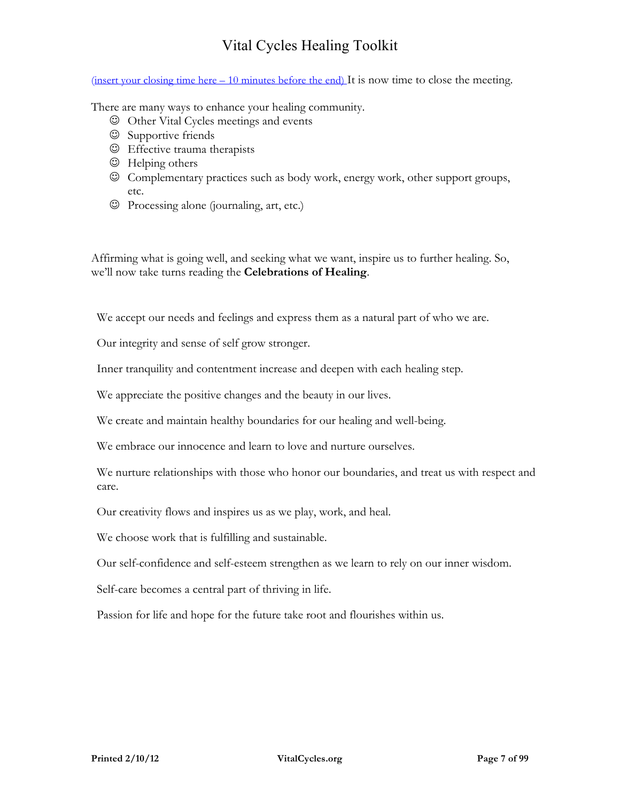(insert your closing time here  $-10$  minutes before the end) It is now time to close the meeting.

There are many ways to enhance your healing community.

- Other Vital Cycles meetings and events
- $©$  Supportive friends
- Effective trauma therapists
- $\odot$  Helping others
- Complementary practices such as body work, energy work, other support groups, etc.
- Processing alone (journaling, art, etc.)

Affirming what is going well, and seeking what we want, inspire us to further healing. So, we'll now take turns reading the **Celebrations of Healing**.

We accept our needs and feelings and express them as a natural part of who we are.

Our integrity and sense of self grow stronger.

Inner tranquility and contentment increase and deepen with each healing step.

We appreciate the positive changes and the beauty in our lives.

We create and maintain healthy boundaries for our healing and well-being.

We embrace our innocence and learn to love and nurture ourselves.

We nurture relationships with those who honor our boundaries, and treat us with respect and care.

Our creativity flows and inspires us as we play, work, and heal.

We choose work that is fulfilling and sustainable.

Our self-confidence and self-esteem strengthen as we learn to rely on our inner wisdom.

Self-care becomes a central part of thriving in life.

Passion for life and hope for the future take root and flourishes within us.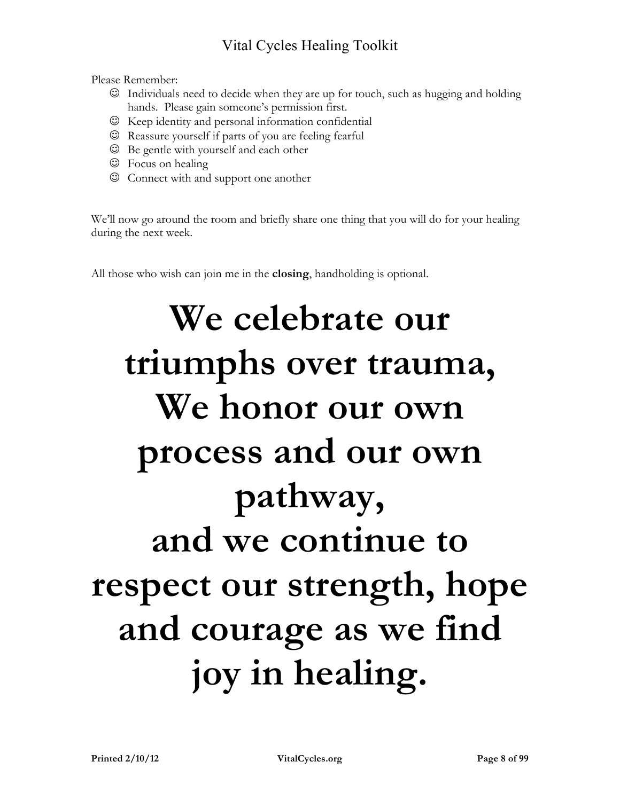Please Remember:

- Individuals need to decide when they are up for touch, such as hugging and holding hands. Please gain someone's permission first.
- $\odot$  Keep identity and personal information confidential
- Reassure yourself if parts of you are feeling fearful
- Be gentle with yourself and each other
- $\circledcirc$  Focus on healing
- Connect with and support one another

We'll now go around the room and briefly share one thing that you will do for your healing during the next week.

All those who wish can join me in the **closing**, handholding is optional.

## **We celebrate our triumphs over trauma, We honor our own process and our own pathway, and we continue to respect our strength, hope and courage as we find joy in healing.**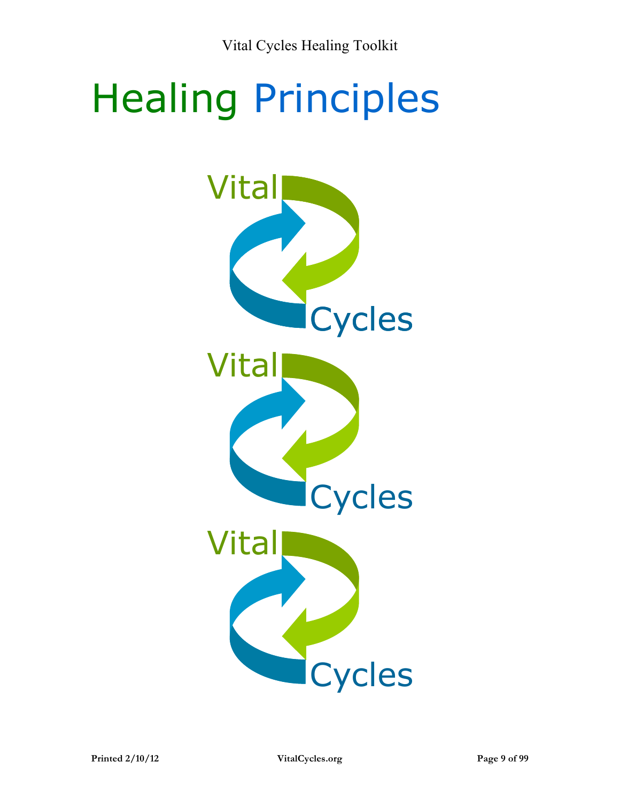# Healing Principles

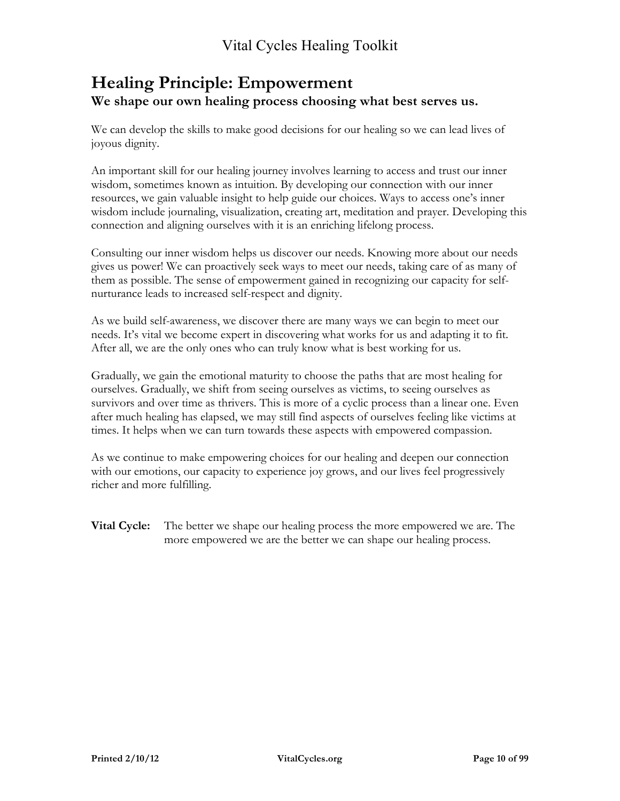#### **Healing Principle: Empowerment We shape our own healing process choosing what best serves us.**

We can develop the skills to make good decisions for our healing so we can lead lives of joyous dignity.

An important skill for our healing journey involves learning to access and trust our inner wisdom, sometimes known as intuition. By developing our connection with our inner resources, we gain valuable insight to help guide our choices*.* Ways to access one's inner wisdom include journaling, visualization, creating art, meditation and prayer. Developing this connection and aligning ourselves with it is an enriching lifelong process.

Consulting our inner wisdom helps us discover our needs. Knowing more about our needs gives us power! We can proactively seek ways to meet our needs, taking care of as many of them as possible. The sense of empowerment gained in recognizing our capacity for selfnurturance leads to increased self-respect and dignity.

As we build self-awareness, we discover there are many ways we can begin to meet our needs. It's vital we become expert in discovering what works for us and adapting it to fit. After all, we are the only ones who can truly know what is best working for us.

Gradually, we gain the emotional maturity to choose the paths that are most healing for ourselves. Gradually, we shift from seeing ourselves as victims, to seeing ourselves as survivors and over time as thrivers. This is more of a cyclic process than a linear one. Even after much healing has elapsed, we may still find aspects of ourselves feeling like victims at times. It helps when we can turn towards these aspects with empowered compassion.

As we continue to make empowering choices for our healing and deepen our connection with our emotions, our capacity to experience joy grows, and our lives feel progressively richer and more fulfilling.

**Vital Cycle:** The better we shape our healing process the more empowered we are. The more empowered we are the better we can shape our healing process.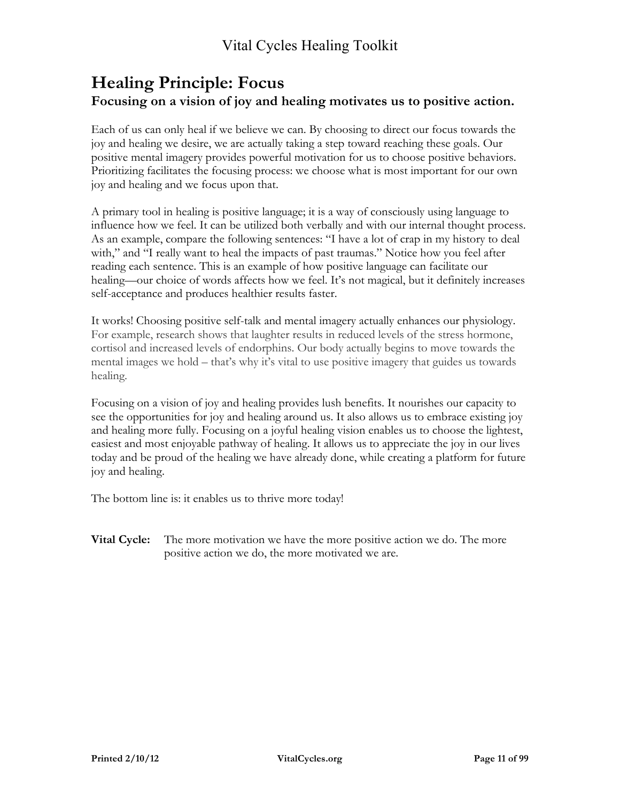#### **Healing Principle: Focus Focusing on a vision of joy and healing motivates us to positive action.**

Each of us can only heal if we believe we can. By choosing to direct our focus towards the joy and healing we desire, we are actually taking a step toward reaching these goals. Our positive mental imagery provides powerful motivation for us to choose positive behaviors. Prioritizing facilitates the focusing process: we choose what is most important for our own joy and healing and we focus upon that.

A primary tool in healing is positive language; it is a way of consciously using language to influence how we feel. It can be utilized both verbally and with our internal thought process. As an example, compare the following sentences: "I have a lot of crap in my history to deal with," and "I really want to heal the impacts of past traumas." Notice how you feel after reading each sentence. This is an example of how positive language can facilitate our healing—our choice of words affects how we feel. It's not magical, but it definitely increases self-acceptance and produces healthier results faster.

It works! Choosing positive self-talk and mental imagery actually enhances our physiology. For example, research shows that laughter results in reduced levels of the stress hormone, cortisol and increased levels of endorphins. Our body actually begins to move towards the mental images we hold – that's why it's vital to use positive imagery that guides us towards healing.

Focusing on a vision of joy and healing provides lush benefits. It nourishes our capacity to see the opportunities for joy and healing around us. It also allows us to embrace existing joy and healing more fully. Focusing on a joyful healing vision enables us to choose the lightest, easiest and most enjoyable pathway of healing. It allows us to appreciate the joy in our lives today and be proud of the healing we have already done, while creating a platform for future joy and healing.

The bottom line is: it enables us to thrive more today!

**Vital Cycle:** The more motivation we have the more positive action we do. The more positive action we do, the more motivated we are.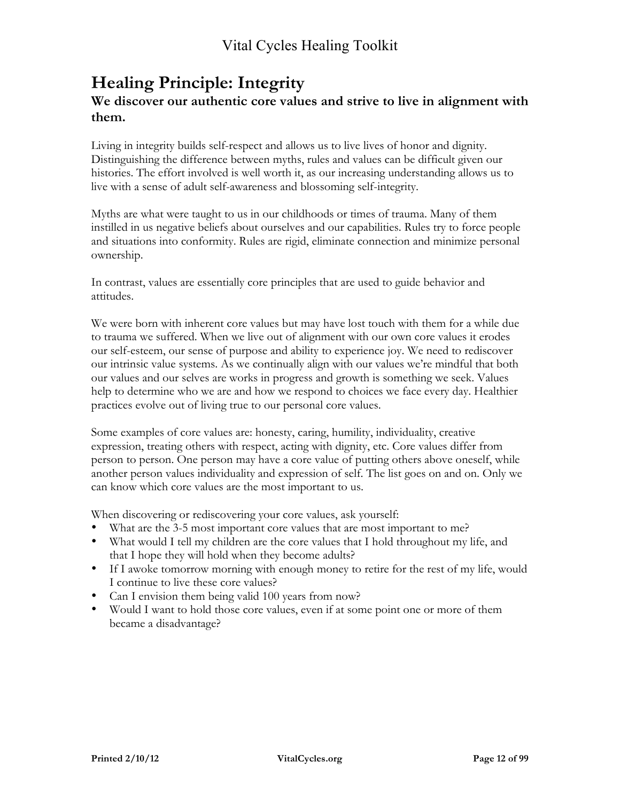#### **Healing Principle: Integrity We discover our authentic core values and strive to live in alignment with them.**

Living in integrity builds self-respect and allows us to live lives of honor and dignity. Distinguishing the difference between myths, rules and values can be difficult given our histories. The effort involved is well worth it, as our increasing understanding allows us to live with a sense of adult self-awareness and blossoming self-integrity.

Myths are what were taught to us in our childhoods or times of trauma. Many of them instilled in us negative beliefs about ourselves and our capabilities. Rules try to force people and situations into conformity. Rules are rigid, eliminate connection and minimize personal ownership.

In contrast, values are essentially core principles that are used to guide behavior and attitudes.

We were born with inherent core values but may have lost touch with them for a while due to trauma we suffered. When we live out of alignment with our own core values it erodes our self-esteem, our sense of purpose and ability to experience joy. We need to rediscover our intrinsic value systems. As we continually align with our values we're mindful that both our values and our selves are works in progress and growth is something we seek. Values help to determine who we are and how we respond to choices we face every day. Healthier practices evolve out of living true to our personal core values.

Some examples of core values are: honesty, caring, humility, individuality, creative expression, treating others with respect, acting with dignity, etc. Core values differ from person to person. One person may have a core value of putting others above oneself, while another person values individuality and expression of self. The list goes on and on. Only we can know which core values are the most important to us.

When discovering or rediscovering your core values, ask yourself:

- What are the 3-5 most important core values that are most important to me?
- What would I tell my children are the core values that I hold throughout my life, and that I hope they will hold when they become adults?
- If I awoke tomorrow morning with enough money to retire for the rest of my life, would I continue to live these core values?
- Can I envision them being valid 100 years from now?
- Would I want to hold those core values, even if at some point one or more of them became a disadvantage?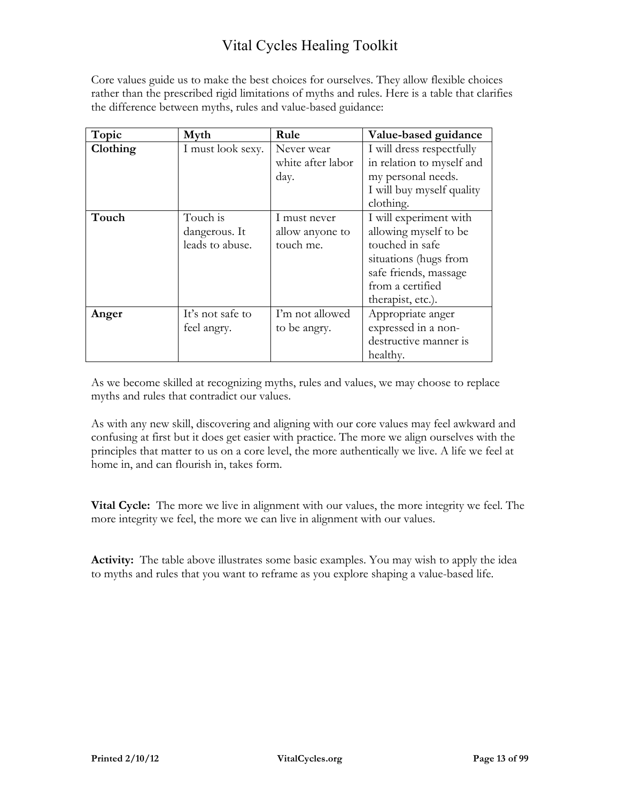Core values guide us to make the best choices for ourselves. They allow flexible choices rather than the prescribed rigid limitations of myths and rules. Here is a table that clarifies the difference between myths, rules and value-based guidance:

| Topic    | Myth              | Rule              | Value-based guidance      |
|----------|-------------------|-------------------|---------------------------|
| Clothing | I must look sexy. | Never wear        | I will dress respectfully |
|          |                   | white after labor | in relation to myself and |
|          |                   | day.              | my personal needs.        |
|          |                   |                   | I will buy myself quality |
|          |                   |                   | clothing.                 |
| Touch    | Touch is          | I must never      | I will experiment with    |
|          | dangerous. It     | allow anyone to   | allowing myself to be     |
|          | leads to abuse.   | touch me.         | touched in safe           |
|          |                   |                   | situations (hugs from     |
|          |                   |                   | safe friends, massage     |
|          |                   |                   | from a certified          |
|          |                   |                   | therapist, etc.).         |
| Anger    | It's not safe to  | I'm not allowed   | Appropriate anger         |
|          | feel angry.       | to be angry.      | expressed in a non-       |
|          |                   |                   | destructive manner is     |
|          |                   |                   | healthy.                  |

As we become skilled at recognizing myths, rules and values, we may choose to replace myths and rules that contradict our values.

As with any new skill, discovering and aligning with our core values may feel awkward and confusing at first but it does get easier with practice. The more we align ourselves with the principles that matter to us on a core level, the more authentically we live. A life we feel at home in, and can flourish in, takes form.

**Vital Cycle:** The more we live in alignment with our values, the more integrity we feel. The more integrity we feel, the more we can live in alignment with our values.

**Activity:** The table above illustrates some basic examples. You may wish to apply the idea to myths and rules that you want to reframe as you explore shaping a value-based life.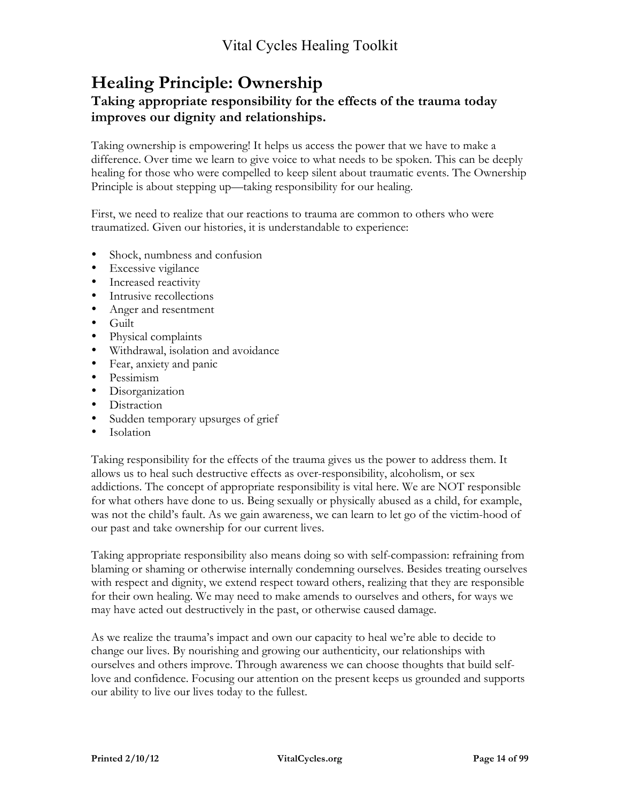## **Healing Principle: Ownership**

#### **Taking appropriate responsibility for the effects of the trauma today improves our dignity and relationships.**

Taking ownership is empowering! It helps us access the power that we have to make a difference. Over time we learn to give voice to what needs to be spoken. This can be deeply healing for those who were compelled to keep silent about traumatic events. The Ownership Principle is about stepping up—taking responsibility for our healing.

First, we need to realize that our reactions to trauma are common to others who were traumatized. Given our histories, it is understandable to experience:

- Shock, numbness and confusion
- Excessive vigilance
- Increased reactivity
- Intrusive recollections
- Anger and resentment
- Guilt
- Physical complaints
- Withdrawal, isolation and avoidance
- Fear, anxiety and panic
- Pessimism
- Disorganization
- Distraction
- Sudden temporary upsurges of grief
- Isolation

Taking responsibility for the effects of the trauma gives us the power to address them. It allows us to heal such destructive effects as over-responsibility, alcoholism, or sex addictions. The concept of appropriate responsibility is vital here. We are NOT responsible for what others have done to us. Being sexually or physically abused as a child, for example, was not the child's fault. As we gain awareness, we can learn to let go of the victim-hood of our past and take ownership for our current lives.

Taking appropriate responsibility also means doing so with self-compassion: refraining from blaming or shaming or otherwise internally condemning ourselves. Besides treating ourselves with respect and dignity, we extend respect toward others, realizing that they are responsible for their own healing. We may need to make amends to ourselves and others, for ways we may have acted out destructively in the past, or otherwise caused damage.

As we realize the trauma's impact and own our capacity to heal we're able to decide to change our lives. By nourishing and growing our authenticity, our relationships with ourselves and others improve. Through awareness we can choose thoughts that build selflove and confidence. Focusing our attention on the present keeps us grounded and supports our ability to live our lives today to the fullest.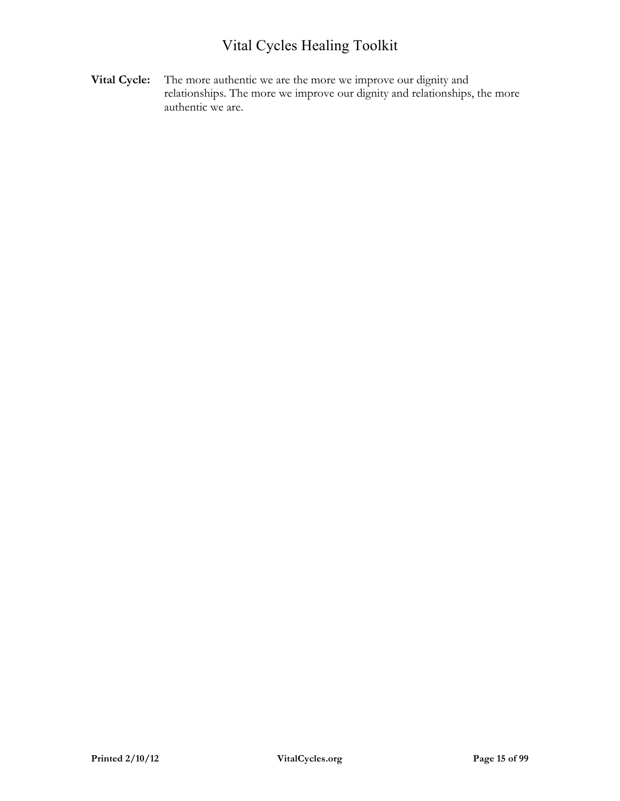**Vital Cycle:** The more authentic we are the more we improve our dignity and relationships. The more we improve our dignity and relationships, the more authentic we are.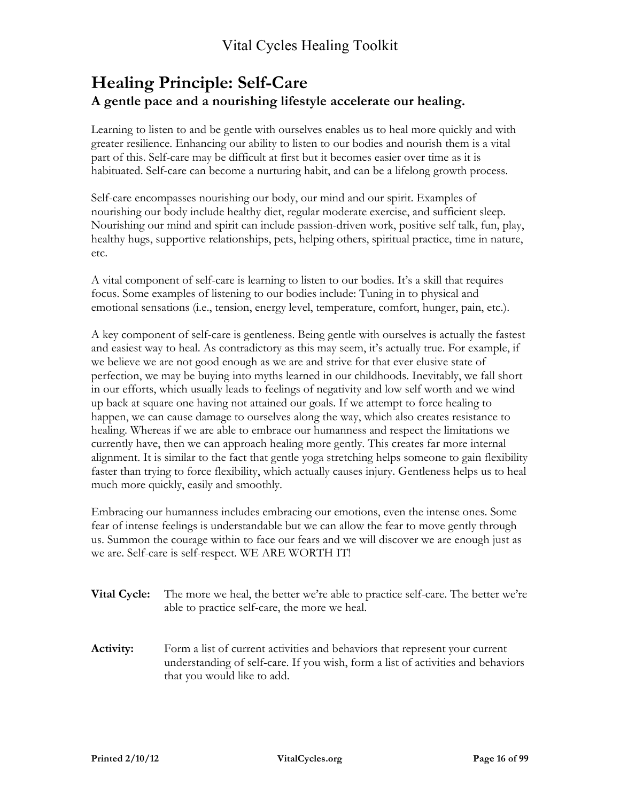## **Healing Principle: Self-Care A gentle pace and a nourishing lifestyle accelerate our healing.**

Learning to listen to and be gentle with ourselves enables us to heal more quickly and with greater resilience. Enhancing our ability to listen to our bodies and nourish them is a vital part of this. Self-care may be difficult at first but it becomes easier over time as it is habituated. Self-care can become a nurturing habit, and can be a lifelong growth process.

Self-care encompasses nourishing our body, our mind and our spirit. Examples of nourishing our body include healthy diet, regular moderate exercise, and sufficient sleep. Nourishing our mind and spirit can include passion-driven work, positive self talk, fun, play, healthy hugs, supportive relationships, pets, helping others, spiritual practice, time in nature, etc.

A vital component of self-care is learning to listen to our bodies. It's a skill that requires focus. Some examples of listening to our bodies include: Tuning in to physical and emotional sensations (i.e., tension, energy level, temperature, comfort, hunger, pain, etc.).

A key component of self-care is gentleness. Being gentle with ourselves is actually the fastest and easiest way to heal. As contradictory as this may seem, it's actually true. For example, if we believe we are not good enough as we are and strive for that ever elusive state of perfection, we may be buying into myths learned in our childhoods. Inevitably, we fall short in our efforts, which usually leads to feelings of negativity and low self worth and we wind up back at square one having not attained our goals. If we attempt to force healing to happen, we can cause damage to ourselves along the way, which also creates resistance to healing. Whereas if we are able to embrace our humanness and respect the limitations we currently have, then we can approach healing more gently. This creates far more internal alignment. It is similar to the fact that gentle yoga stretching helps someone to gain flexibility faster than trying to force flexibility, which actually causes injury. Gentleness helps us to heal much more quickly, easily and smoothly.

Embracing our humanness includes embracing our emotions, even the intense ones. Some fear of intense feelings is understandable but we can allow the fear to move gently through us. Summon the courage within to face our fears and we will discover we are enough just as we are. Self-care is self-respect. WE ARE WORTH IT!

- **Vital Cycle:** The more we heal, the better we're able to practice self-care. The better we're able to practice self-care, the more we heal.
- **Activity:** Form a list of current activities and behaviors that represent your current understanding of self-care. If you wish, form a list of activities and behaviors that you would like to add.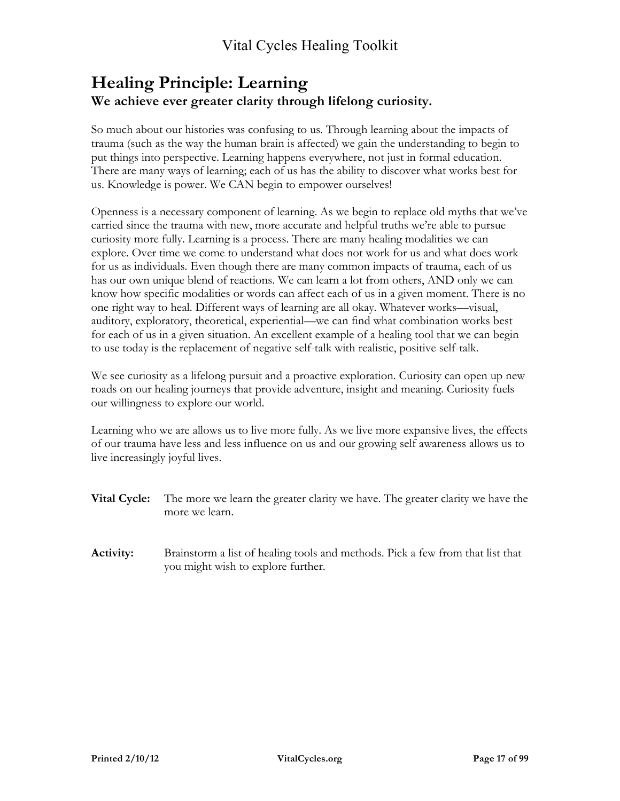## **Healing Principle: Learning We achieve ever greater clarity through lifelong curiosity.**

So much about our histories was confusing to us. Through learning about the impacts of trauma (such as the way the human brain is affected) we gain the understanding to begin to put things into perspective. Learning happens everywhere, not just in formal education. There are many ways of learning; each of us has the ability to discover what works best for us. Knowledge is power. We CAN begin to empower ourselves!

Openness is a necessary component of learning. As we begin to replace old myths that we've carried since the trauma with new, more accurate and helpful truths we're able to pursue curiosity more fully. Learning is a process. There are many healing modalities we can explore. Over time we come to understand what does not work for us and what does work for us as individuals. Even though there are many common impacts of trauma, each of us has our own unique blend of reactions. We can learn a lot from others, AND only we can know how specific modalities or words can affect each of us in a given moment. There is no one right way to heal. Different ways of learning are all okay. Whatever works—visual, auditory, exploratory, theoretical, experiential—we can find what combination works best for each of us in a given situation. An excellent example of a healing tool that we can begin to use today is the replacement of negative self-talk with realistic, positive self-talk.

We see curiosity as a lifelong pursuit and a proactive exploration. Curiosity can open up new roads on our healing journeys that provide adventure, insight and meaning. Curiosity fuels our willingness to explore our world.

Learning who we are allows us to live more fully. As we live more expansive lives, the effects of our trauma have less and less influence on us and our growing self awareness allows us to live increasingly joyful lives.

- **Vital Cycle:** The more we learn the greater clarity we have. The greater clarity we have the more we learn.
- **Activity:** Brainstorm a list of healing tools and methods. Pick a few from that list that you might wish to explore further.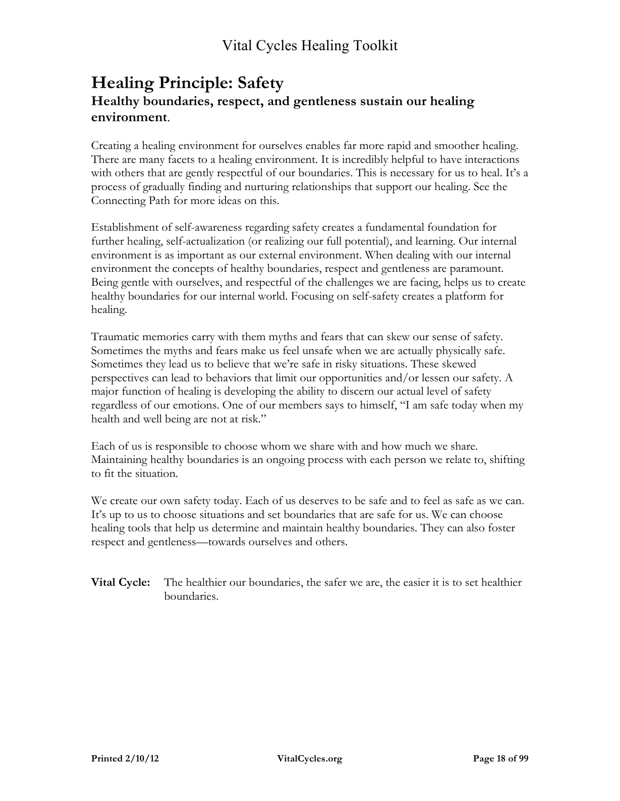#### **Healing Principle: Safety Healthy boundaries, respect, and gentleness sustain our healing environment**.

Creating a healing environment for ourselves enables far more rapid and smoother healing. There are many facets to a healing environment. It is incredibly helpful to have interactions with others that are gently respectful of our boundaries. This is necessary for us to heal. It's a process of gradually finding and nurturing relationships that support our healing. See the Connecting Path for more ideas on this.

Establishment of self-awareness regarding safety creates a fundamental foundation for further healing, self-actualization (or realizing our full potential), and learning. Our internal environment is as important as our external environment. When dealing with our internal environment the concepts of healthy boundaries, respect and gentleness are paramount. Being gentle with ourselves, and respectful of the challenges we are facing, helps us to create healthy boundaries for our internal world. Focusing on self-safety creates a platform for healing.

Traumatic memories carry with them myths and fears that can skew our sense of safety. Sometimes the myths and fears make us feel unsafe when we are actually physically safe. Sometimes they lead us to believe that we're safe in risky situations. These skewed perspectives can lead to behaviors that limit our opportunities and/or lessen our safety. A major function of healing is developing the ability to discern our actual level of safety regardless of our emotions. One of our members says to himself, "I am safe today when my health and well being are not at risk."

Each of us is responsible to choose whom we share with and how much we share. Maintaining healthy boundaries is an ongoing process with each person we relate to, shifting to fit the situation.

We create our own safety today. Each of us deserves to be safe and to feel as safe as we can. It's up to us to choose situations and set boundaries that are safe for us. We can choose healing tools that help us determine and maintain healthy boundaries. They can also foster respect and gentleness—towards ourselves and others.

**Vital Cycle:** The healthier our boundaries, the safer we are, the easier it is to set healthier boundaries.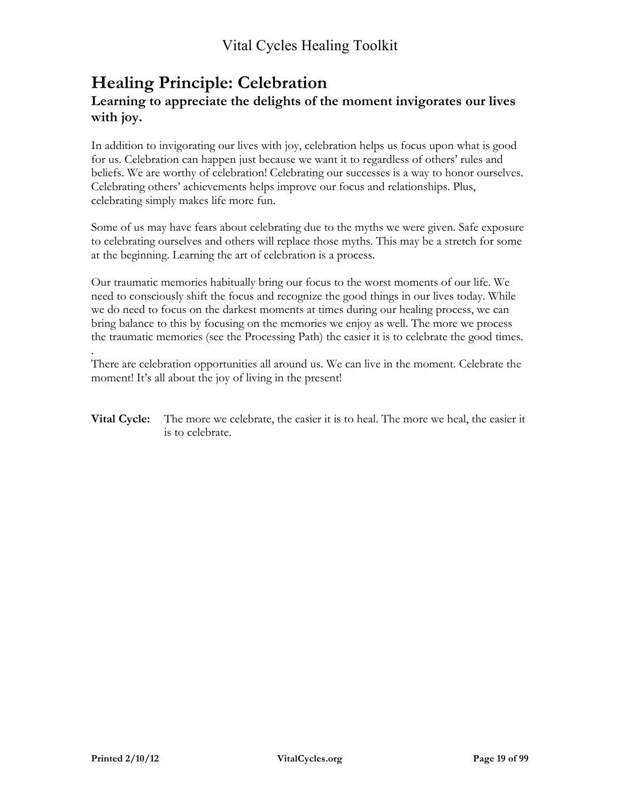#### **Healing Principle: Celebration Learning to appreciate the delights of the moment invigorates our lives with joy.**

In addition to invigorating our lives with joy, celebration helps us focus upon what is good for us. Celebration can happen just because we want it to regardless of others' rules and beliefs. We are worthy of celebration! Celebrating our successes is a way to honor ourselves. Celebrating others' achievements helps improve our focus and relationships. Plus, celebrating simply makes life more fun.

Some of us may have fears about celebrating due to the myths we were given. Safe exposure to celebrating ourselves and others will replace those myths. This may be a stretch for some at the beginning. Learning the art of celebration is a process.

Our traumatic memories habitually bring our focus to the worst moments of our life. We need to consciously shift the focus and recognize the good things in our lives today. While we do need to focus on the darkest moments at times during our healing process, we can bring balance to this by focusing on the memories we enjoy as well. The more we process the traumatic memories (see the Processing Path) the easier it is to celebrate the good times.

. There are celebration opportunities all around us. We can live in the moment. Celebrate the moment! It's all about the joy of living in the present!

**Vital Cycle:** The more we celebrate, the easier it is to heal. The more we heal, the easier it is to celebrate.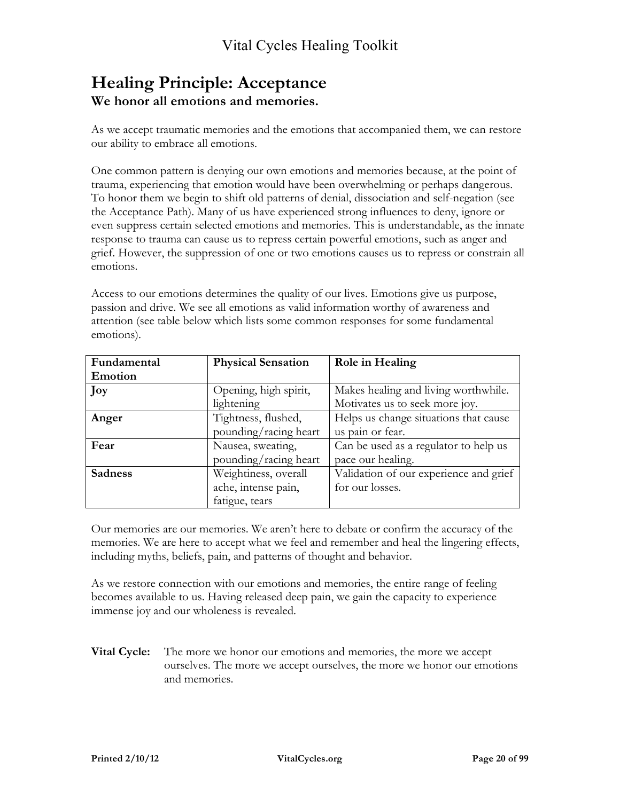### **Healing Principle: Acceptance We honor all emotions and memories.**

As we accept traumatic memories and the emotions that accompanied them, we can restore our ability to embrace all emotions.

One common pattern is denying our own emotions and memories because, at the point of trauma, experiencing that emotion would have been overwhelming or perhaps dangerous. To honor them we begin to shift old patterns of denial, dissociation and self-negation (see the Acceptance Path). Many of us have experienced strong influences to deny, ignore or even suppress certain selected emotions and memories. This is understandable, as the innate response to trauma can cause us to repress certain powerful emotions, such as anger and grief. However, the suppression of one or two emotions causes us to repress or constrain all emotions.

Access to our emotions determines the quality of our lives. Emotions give us purpose, passion and drive. We see all emotions as valid information worthy of awareness and attention (see table below which lists some common responses for some fundamental emotions).

| Fundamental    | <b>Physical Sensation</b> | Role in Healing                        |  |
|----------------|---------------------------|----------------------------------------|--|
| <b>Emotion</b> |                           |                                        |  |
| Joy            | Opening, high spirit,     | Makes healing and living worthwhile.   |  |
|                | lightening                | Motivates us to seek more joy.         |  |
| Anger          | Tightness, flushed,       | Helps us change situations that cause  |  |
|                | pounding/racing heart     | us pain or fear.                       |  |
| Fear           | Nausea, sweating,         | Can be used as a regulator to help us  |  |
|                | pounding/racing heart     | pace our healing.                      |  |
| <b>Sadness</b> | Weightiness, overall      | Validation of our experience and grief |  |
|                | ache, intense pain,       | for our losses.                        |  |
|                | fatigue, tears            |                                        |  |

Our memories are our memories. We aren't here to debate or confirm the accuracy of the memories. We are here to accept what we feel and remember and heal the lingering effects, including myths, beliefs, pain, and patterns of thought and behavior.

As we restore connection with our emotions and memories, the entire range of feeling becomes available to us. Having released deep pain, we gain the capacity to experience immense joy and our wholeness is revealed.

**Vital Cycle:** The more we honor our emotions and memories, the more we accept ourselves. The more we accept ourselves, the more we honor our emotions and memories.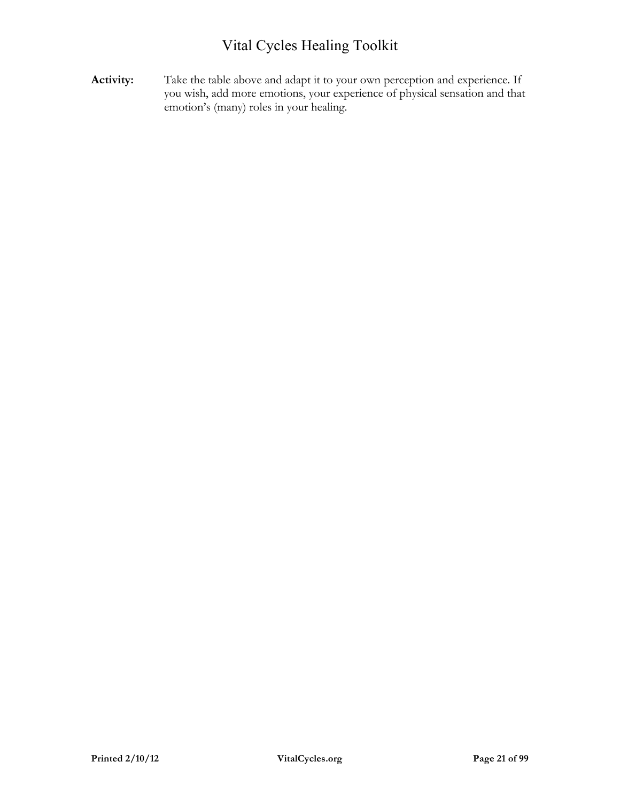**Activity:** Take the table above and adapt it to your own perception and experience. If you wish, add more emotions, your experience of physical sensation and that emotion's (many) roles in your healing.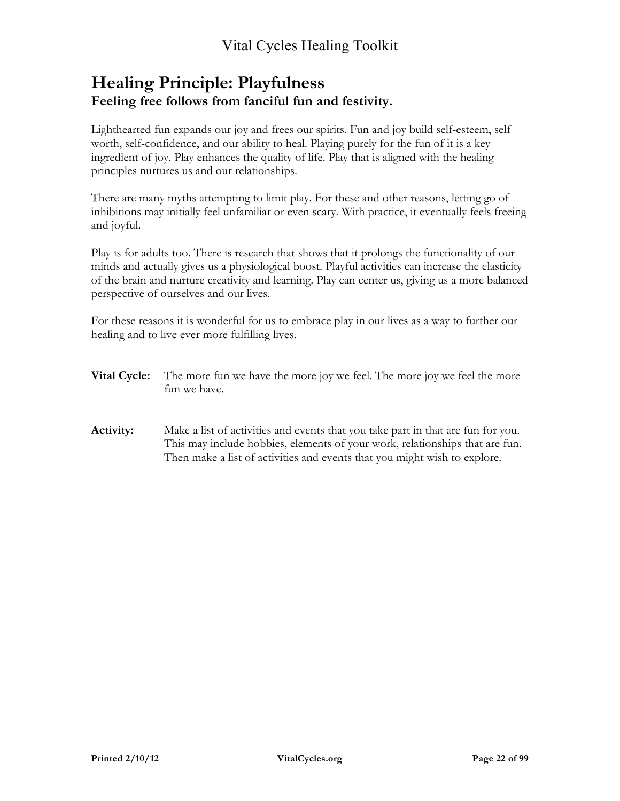#### **Healing Principle: Playfulness Feeling free follows from fanciful fun and festivity.**

Lighthearted fun expands our joy and frees our spirits. Fun and joy build self-esteem, self worth, self-confidence, and our ability to heal. Playing purely for the fun of it is a key ingredient of joy. Play enhances the quality of life. Play that is aligned with the healing principles nurtures us and our relationships.

There are many myths attempting to limit play. For these and other reasons, letting go of inhibitions may initially feel unfamiliar or even scary. With practice, it eventually feels freeing and joyful.

Play is for adults too. There is research that shows that it prolongs the functionality of our minds and actually gives us a physiological boost. Playful activities can increase the elasticity of the brain and nurture creativity and learning. Play can center us, giving us a more balanced perspective of ourselves and our lives.

For these reasons it is wonderful for us to embrace play in our lives as a way to further our healing and to live ever more fulfilling lives.

- **Vital Cycle:** The more fun we have the more joy we feel. The more joy we feel the more fun we have.
- **Activity:** Make a list of activities and events that you take part in that are fun for you. This may include hobbies, elements of your work, relationships that are fun. Then make a list of activities and events that you might wish to explore.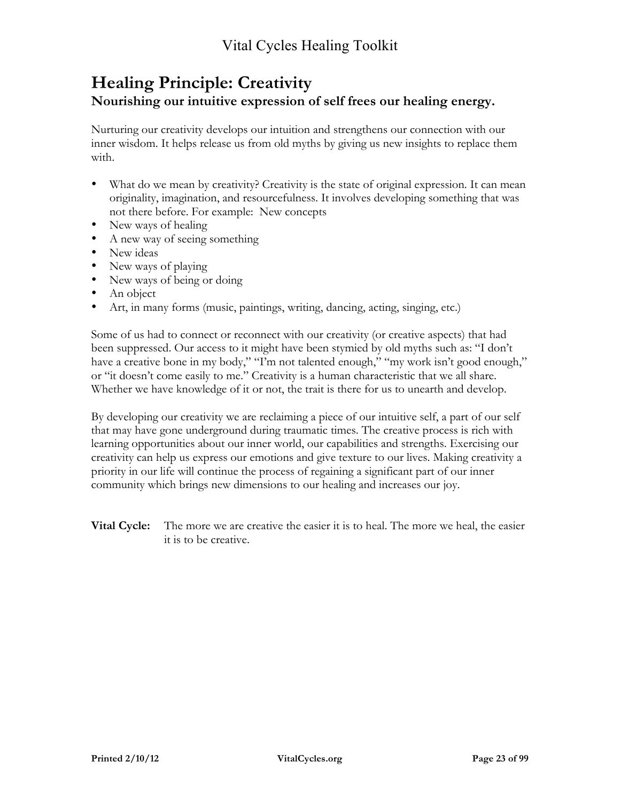#### **Healing Principle: Creativity Nourishing our intuitive expression of self frees our healing energy.**

Nurturing our creativity develops our intuition and strengthens our connection with our inner wisdom. It helps release us from old myths by giving us new insights to replace them with.

- What do we mean by creativity? Creativity is the state of original expression. It can mean originality, imagination, and resourcefulness. It involves developing something that was not there before. For example: New concepts
- New ways of healing
- A new way of seeing something
- New ideas
- New ways of playing
- New ways of being or doing
- An object
- Art, in many forms (music, paintings, writing, dancing, acting, singing, etc.)

Some of us had to connect or reconnect with our creativity (or creative aspects) that had been suppressed. Our access to it might have been stymied by old myths such as: "I don't have a creative bone in my body," "I'm not talented enough," "my work isn't good enough," or "it doesn't come easily to me." Creativity is a human characteristic that we all share. Whether we have knowledge of it or not, the trait is there for us to unearth and develop.

By developing our creativity we are reclaiming a piece of our intuitive self, a part of our self that may have gone underground during traumatic times. The creative process is rich with learning opportunities about our inner world, our capabilities and strengths. Exercising our creativity can help us express our emotions and give texture to our lives. Making creativity a priority in our life will continue the process of regaining a significant part of our inner community which brings new dimensions to our healing and increases our joy.

**Vital Cycle:** The more we are creative the easier it is to heal. The more we heal, the easier it is to be creative.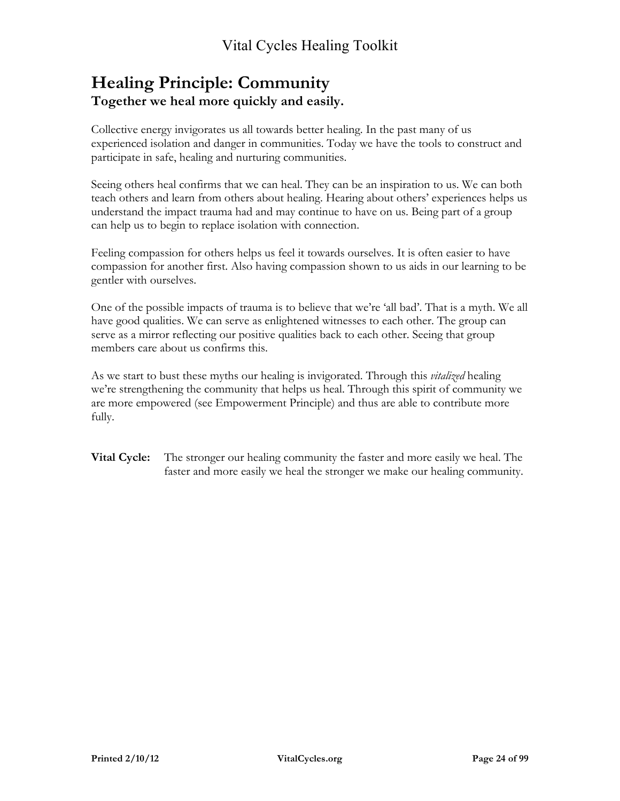## **Healing Principle: Community Together we heal more quickly and easily.**

Collective energy invigorates us all towards better healing. In the past many of us experienced isolation and danger in communities. Today we have the tools to construct and participate in safe, healing and nurturing communities.

Seeing others heal confirms that we can heal. They can be an inspiration to us. We can both teach others and learn from others about healing. Hearing about others' experiences helps us understand the impact trauma had and may continue to have on us. Being part of a group can help us to begin to replace isolation with connection.

Feeling compassion for others helps us feel it towards ourselves. It is often easier to have compassion for another first. Also having compassion shown to us aids in our learning to be gentler with ourselves.

One of the possible impacts of trauma is to believe that we're 'all bad'. That is a myth. We all have good qualities. We can serve as enlightened witnesses to each other. The group can serve as a mirror reflecting our positive qualities back to each other. Seeing that group members care about us confirms this.

As we start to bust these myths our healing is invigorated. Through this *vitalized* healing we're strengthening the community that helps us heal. Through this spirit of community we are more empowered (see Empowerment Principle) and thus are able to contribute more fully.

**Vital Cycle:** The stronger our healing community the faster and more easily we heal. The faster and more easily we heal the stronger we make our healing community.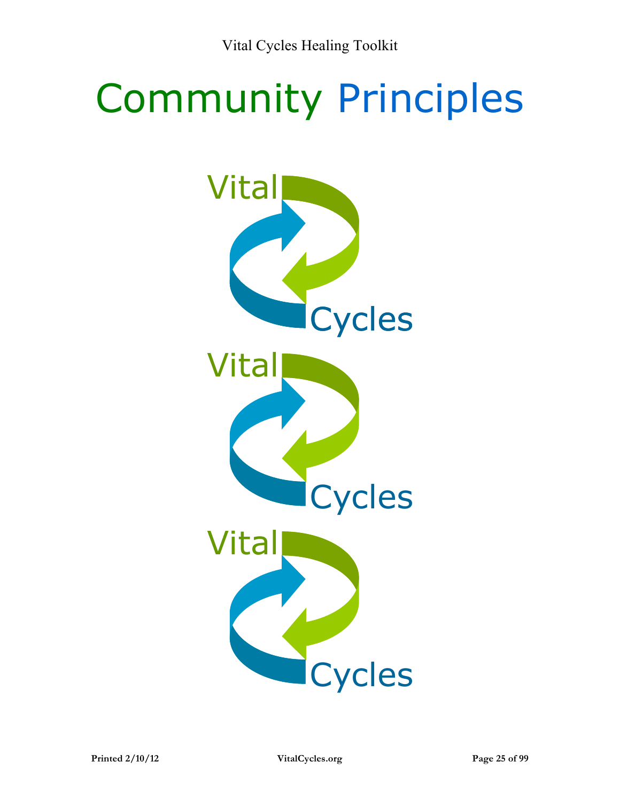# Community Principles

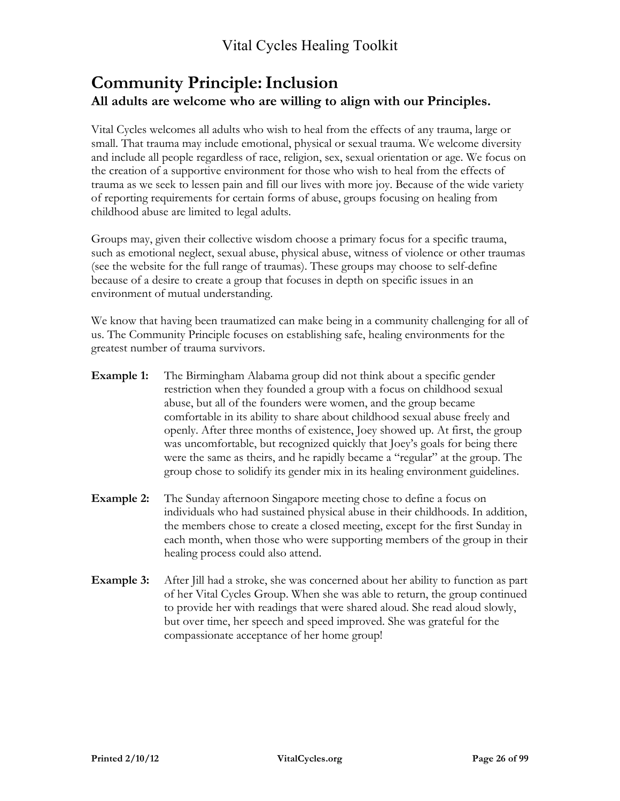#### **Community Principle:Inclusion All adults are welcome who are willing to align with our Principles.**

Vital Cycles welcomes all adults who wish to heal from the effects of any trauma, large or small. That trauma may include emotional, physical or sexual trauma. We welcome diversity and include all people regardless of race, religion, sex, sexual orientation or age. We focus on the creation of a supportive environment for those who wish to heal from the effects of trauma as we seek to lessen pain and fill our lives with more joy. Because of the wide variety of reporting requirements for certain forms of abuse, groups focusing on healing from childhood abuse are limited to legal adults.

Groups may, given their collective wisdom choose a primary focus for a specific trauma, such as emotional neglect, sexual abuse, physical abuse, witness of violence or other traumas (see the website for the full range of traumas). These groups may choose to self-define because of a desire to create a group that focuses in depth on specific issues in an environment of mutual understanding.

We know that having been traumatized can make being in a community challenging for all of us. The Community Principle focuses on establishing safe, healing environments for the greatest number of trauma survivors.

- **Example 1:** The Birmingham Alabama group did not think about a specific gender restriction when they founded a group with a focus on childhood sexual abuse, but all of the founders were women, and the group became comfortable in its ability to share about childhood sexual abuse freely and openly. After three months of existence, Joey showed up. At first, the group was uncomfortable, but recognized quickly that Joey's goals for being there were the same as theirs, and he rapidly became a "regular" at the group. The group chose to solidify its gender mix in its healing environment guidelines.
- **Example 2:** The Sunday afternoon Singapore meeting chose to define a focus on individuals who had sustained physical abuse in their childhoods. In addition, the members chose to create a closed meeting, except for the first Sunday in each month, when those who were supporting members of the group in their healing process could also attend.
- **Example 3:** After Jill had a stroke, she was concerned about her ability to function as part of her Vital Cycles Group. When she was able to return, the group continued to provide her with readings that were shared aloud. She read aloud slowly, but over time, her speech and speed improved. She was grateful for the compassionate acceptance of her home group!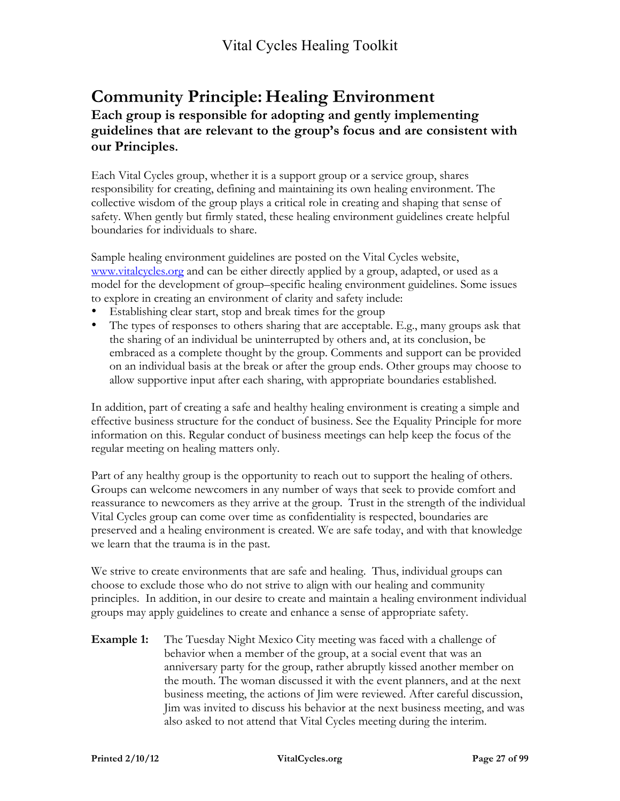## **Community Principle: Healing Environment**

#### **Each group is responsible for adopting and gently implementing guidelines that are relevant to the group's focus and are consistent with our Principles.**

Each Vital Cycles group, whether it is a support group or a service group, shares responsibility for creating, defining and maintaining its own healing environment. The collective wisdom of the group plays a critical role in creating and shaping that sense of safety. When gently but firmly stated, these healing environment guidelines create helpful boundaries for individuals to share.

Sample healing environment guidelines are posted on the Vital Cycles website, www.vitalcycles.org and can be either directly applied by a group, adapted, or used as a model for the development of group–specific healing environment guidelines. Some issues to explore in creating an environment of clarity and safety include:

- Establishing clear start, stop and break times for the group
- The types of responses to others sharing that are acceptable. E.g., many groups ask that the sharing of an individual be uninterrupted by others and, at its conclusion, be embraced as a complete thought by the group. Comments and support can be provided on an individual basis at the break or after the group ends. Other groups may choose to allow supportive input after each sharing, with appropriate boundaries established.

In addition, part of creating a safe and healthy healing environment is creating a simple and effective business structure for the conduct of business. See the Equality Principle for more information on this. Regular conduct of business meetings can help keep the focus of the regular meeting on healing matters only.

Part of any healthy group is the opportunity to reach out to support the healing of others. Groups can welcome newcomers in any number of ways that seek to provide comfort and reassurance to newcomers as they arrive at the group. Trust in the strength of the individual Vital Cycles group can come over time as confidentiality is respected, boundaries are preserved and a healing environment is created. We are safe today, and with that knowledge we learn that the trauma is in the past.

We strive to create environments that are safe and healing. Thus, individual groups can choose to exclude those who do not strive to align with our healing and community principles. In addition, in our desire to create and maintain a healing environment individual groups may apply guidelines to create and enhance a sense of appropriate safety.

**Example 1:** The Tuesday Night Mexico City meeting was faced with a challenge of behavior when a member of the group, at a social event that was an anniversary party for the group, rather abruptly kissed another member on the mouth. The woman discussed it with the event planners, and at the next business meeting, the actions of Jim were reviewed. After careful discussion, Jim was invited to discuss his behavior at the next business meeting, and was also asked to not attend that Vital Cycles meeting during the interim.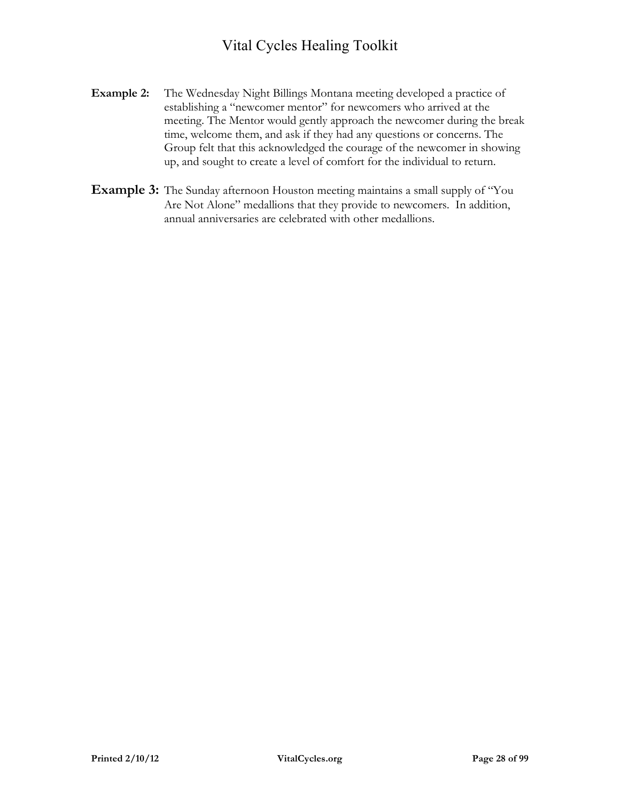- **Example 2:** The Wednesday Night Billings Montana meeting developed a practice of establishing a "newcomer mentor" for newcomers who arrived at the meeting. The Mentor would gently approach the newcomer during the break time, welcome them, and ask if they had any questions or concerns. The Group felt that this acknowledged the courage of the newcomer in showing up, and sought to create a level of comfort for the individual to return.
- **Example 3:** The Sunday afternoon Houston meeting maintains a small supply of "You Are Not Alone" medallions that they provide to newcomers. In addition, annual anniversaries are celebrated with other medallions.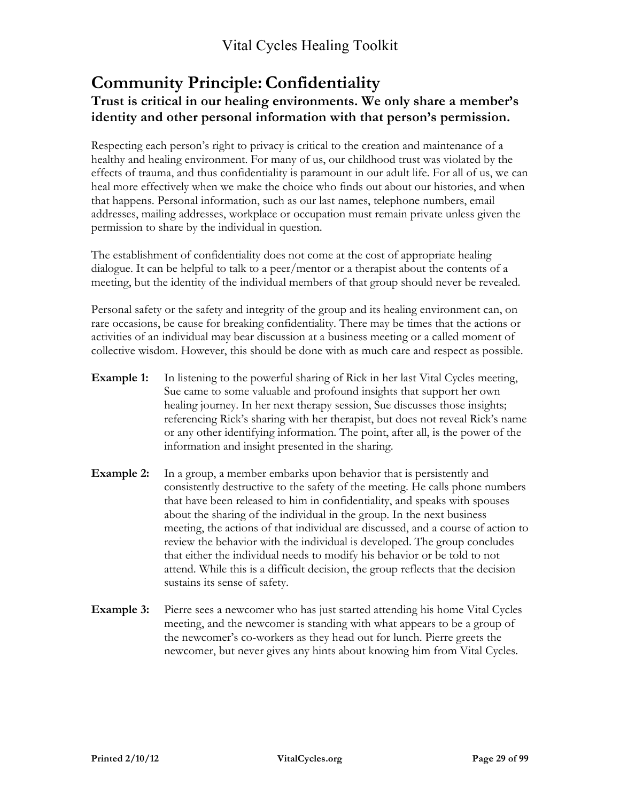#### **Community Principle:Confidentiality Trust is critical in our healing environments. We only share a member's identity and other personal information with that person's permission.**

Respecting each person's right to privacy is critical to the creation and maintenance of a healthy and healing environment. For many of us, our childhood trust was violated by the effects of trauma, and thus confidentiality is paramount in our adult life. For all of us, we can heal more effectively when we make the choice who finds out about our histories, and when that happens. Personal information, such as our last names, telephone numbers, email addresses, mailing addresses, workplace or occupation must remain private unless given the permission to share by the individual in question.

The establishment of confidentiality does not come at the cost of appropriate healing dialogue. It can be helpful to talk to a peer/mentor or a therapist about the contents of a meeting, but the identity of the individual members of that group should never be revealed.

Personal safety or the safety and integrity of the group and its healing environment can, on rare occasions, be cause for breaking confidentiality. There may be times that the actions or activities of an individual may bear discussion at a business meeting or a called moment of collective wisdom. However, this should be done with as much care and respect as possible.

- **Example 1:** In listening to the powerful sharing of Rick in her last Vital Cycles meeting, Sue came to some valuable and profound insights that support her own healing journey. In her next therapy session, Sue discusses those insights; referencing Rick's sharing with her therapist, but does not reveal Rick's name or any other identifying information. The point, after all, is the power of the information and insight presented in the sharing.
- **Example 2:** In a group, a member embarks upon behavior that is persistently and consistently destructive to the safety of the meeting. He calls phone numbers that have been released to him in confidentiality, and speaks with spouses about the sharing of the individual in the group. In the next business meeting, the actions of that individual are discussed, and a course of action to review the behavior with the individual is developed. The group concludes that either the individual needs to modify his behavior or be told to not attend. While this is a difficult decision, the group reflects that the decision sustains its sense of safety.
- **Example 3:** Pierre sees a newcomer who has just started attending his home Vital Cycles meeting, and the newcomer is standing with what appears to be a group of the newcomer's co-workers as they head out for lunch. Pierre greets the newcomer, but never gives any hints about knowing him from Vital Cycles.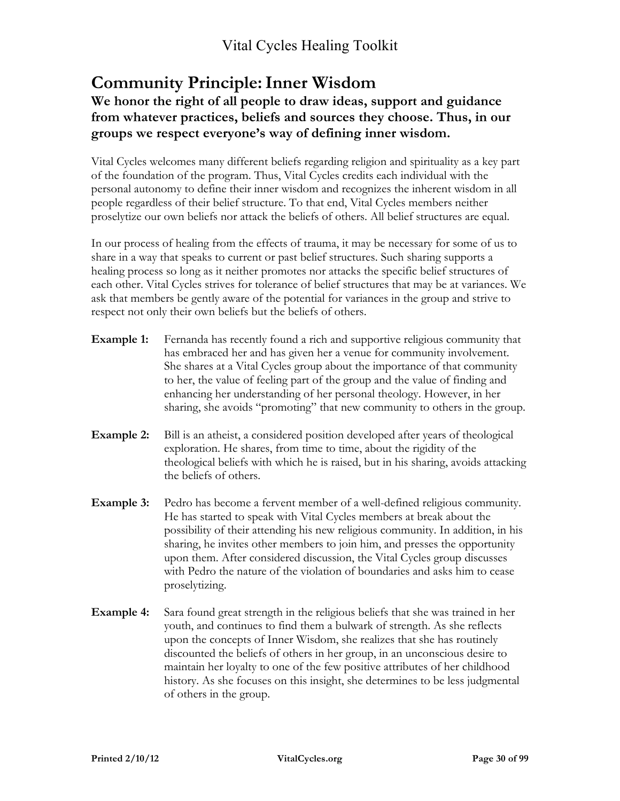## **Community Principle:Inner Wisdom**

#### **We honor the right of all people to draw ideas, support and guidance from whatever practices, beliefs and sources they choose. Thus, in our groups we respect everyone's way of defining inner wisdom.**

Vital Cycles welcomes many different beliefs regarding religion and spirituality as a key part of the foundation of the program. Thus, Vital Cycles credits each individual with the personal autonomy to define their inner wisdom and recognizes the inherent wisdom in all people regardless of their belief structure. To that end, Vital Cycles members neither proselytize our own beliefs nor attack the beliefs of others. All belief structures are equal.

In our process of healing from the effects of trauma, it may be necessary for some of us to share in a way that speaks to current or past belief structures. Such sharing supports a healing process so long as it neither promotes nor attacks the specific belief structures of each other. Vital Cycles strives for tolerance of belief structures that may be at variances. We ask that members be gently aware of the potential for variances in the group and strive to respect not only their own beliefs but the beliefs of others.

- **Example 1:** Fernanda has recently found a rich and supportive religious community that has embraced her and has given her a venue for community involvement. She shares at a Vital Cycles group about the importance of that community to her, the value of feeling part of the group and the value of finding and enhancing her understanding of her personal theology. However, in her sharing, she avoids "promoting" that new community to others in the group.
- **Example 2:** Bill is an atheist, a considered position developed after years of theological exploration. He shares, from time to time, about the rigidity of the theological beliefs with which he is raised, but in his sharing, avoids attacking the beliefs of others.
- **Example 3:** Pedro has become a fervent member of a well-defined religious community. He has started to speak with Vital Cycles members at break about the possibility of their attending his new religious community. In addition, in his sharing, he invites other members to join him, and presses the opportunity upon them. After considered discussion, the Vital Cycles group discusses with Pedro the nature of the violation of boundaries and asks him to cease proselytizing.
- **Example 4:** Sara found great strength in the religious beliefs that she was trained in her youth, and continues to find them a bulwark of strength. As she reflects upon the concepts of Inner Wisdom, she realizes that she has routinely discounted the beliefs of others in her group, in an unconscious desire to maintain her loyalty to one of the few positive attributes of her childhood history. As she focuses on this insight, she determines to be less judgmental of others in the group.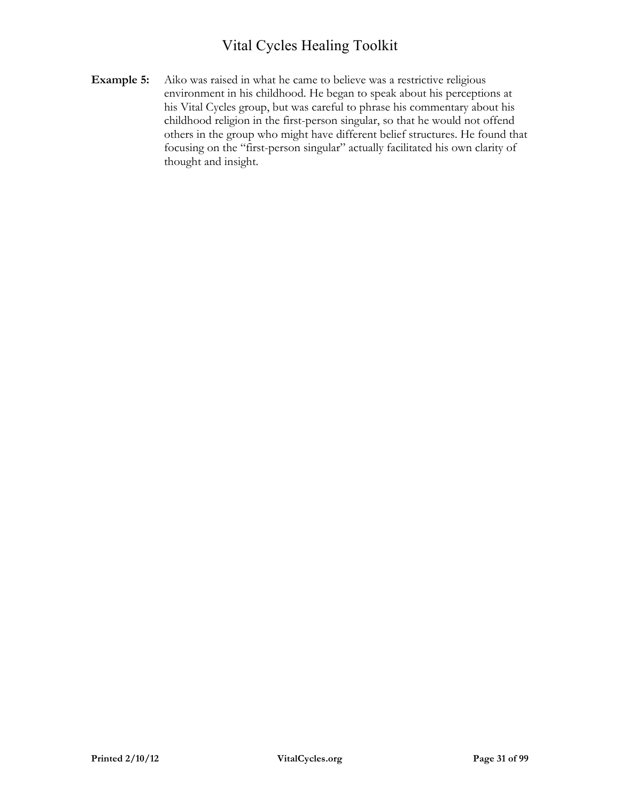**Example 5:** Aiko was raised in what he came to believe was a restrictive religious environment in his childhood. He began to speak about his perceptions at his Vital Cycles group, but was careful to phrase his commentary about his childhood religion in the first-person singular, so that he would not offend others in the group who might have different belief structures. He found that focusing on the "first-person singular" actually facilitated his own clarity of thought and insight.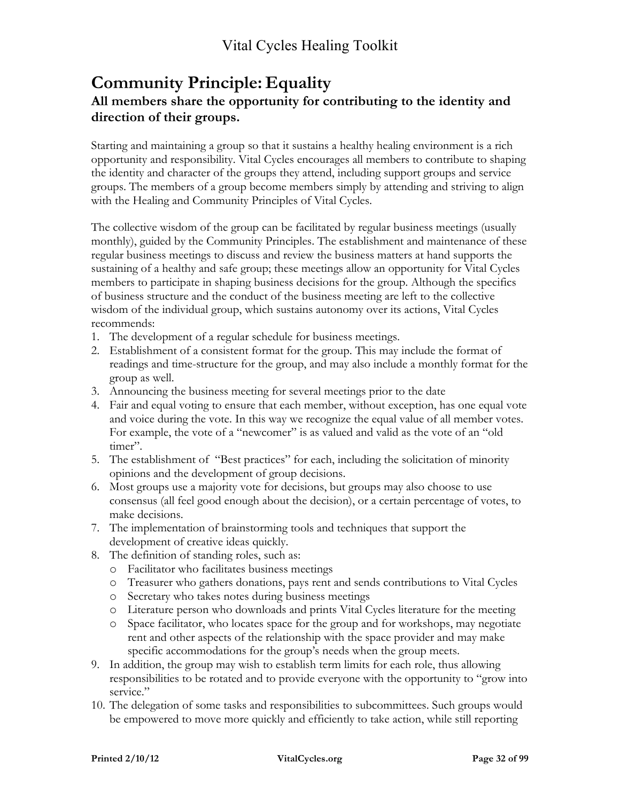#### **Community Principle: Equality All members share the opportunity for contributing to the identity and direction of their groups.**

Starting and maintaining a group so that it sustains a healthy healing environment is a rich opportunity and responsibility. Vital Cycles encourages all members to contribute to shaping the identity and character of the groups they attend, including support groups and service groups. The members of a group become members simply by attending and striving to align with the Healing and Community Principles of Vital Cycles.

The collective wisdom of the group can be facilitated by regular business meetings (usually monthly), guided by the Community Principles. The establishment and maintenance of these regular business meetings to discuss and review the business matters at hand supports the sustaining of a healthy and safe group; these meetings allow an opportunity for Vital Cycles members to participate in shaping business decisions for the group. Although the specifics of business structure and the conduct of the business meeting are left to the collective wisdom of the individual group, which sustains autonomy over its actions, Vital Cycles recommends:

- 1. The development of a regular schedule for business meetings.
- 2. Establishment of a consistent format for the group. This may include the format of readings and time-structure for the group, and may also include a monthly format for the group as well.
- 3. Announcing the business meeting for several meetings prior to the date
- 4. Fair and equal voting to ensure that each member, without exception, has one equal vote and voice during the vote. In this way we recognize the equal value of all member votes. For example, the vote of a "newcomer" is as valued and valid as the vote of an "old timer".
- 5. The establishment of "Best practices" for each, including the solicitation of minority opinions and the development of group decisions.
- 6. Most groups use a majority vote for decisions, but groups may also choose to use consensus (all feel good enough about the decision), or a certain percentage of votes, to make decisions.
- 7. The implementation of brainstorming tools and techniques that support the development of creative ideas quickly.
- 8. The definition of standing roles, such as:
	- o Facilitator who facilitates business meetings
	- o Treasurer who gathers donations, pays rent and sends contributions to Vital Cycles
	- o Secretary who takes notes during business meetings
	- o Literature person who downloads and prints Vital Cycles literature for the meeting
	- o Space facilitator, who locates space for the group and for workshops, may negotiate rent and other aspects of the relationship with the space provider and may make specific accommodations for the group's needs when the group meets.
- 9. In addition, the group may wish to establish term limits for each role, thus allowing responsibilities to be rotated and to provide everyone with the opportunity to "grow into service."
- 10. The delegation of some tasks and responsibilities to subcommittees. Such groups would be empowered to move more quickly and efficiently to take action, while still reporting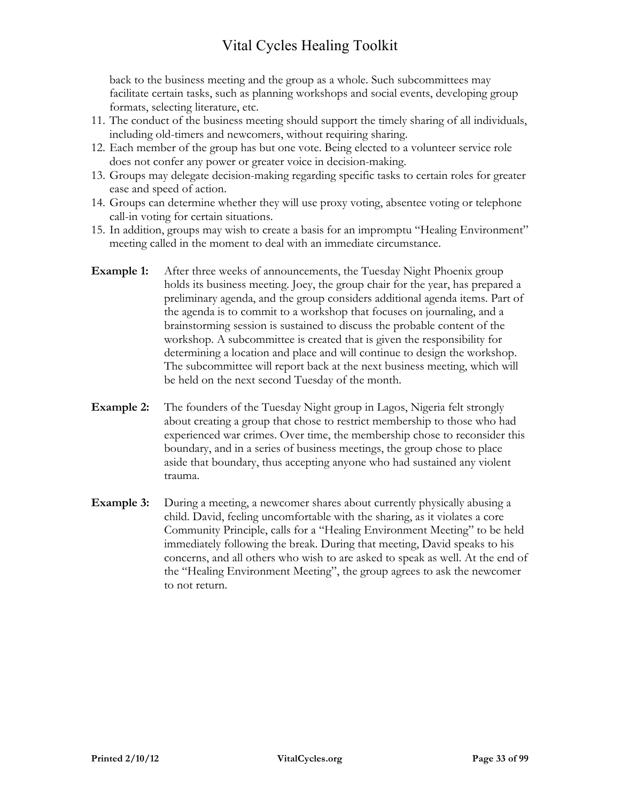back to the business meeting and the group as a whole. Such subcommittees may facilitate certain tasks, such as planning workshops and social events, developing group formats, selecting literature, etc.

- 11. The conduct of the business meeting should support the timely sharing of all individuals, including old-timers and newcomers, without requiring sharing.
- 12. Each member of the group has but one vote. Being elected to a volunteer service role does not confer any power or greater voice in decision-making.
- 13. Groups may delegate decision-making regarding specific tasks to certain roles for greater ease and speed of action.
- 14. Groups can determine whether they will use proxy voting, absentee voting or telephone call-in voting for certain situations.
- 15. In addition, groups may wish to create a basis for an impromptu "Healing Environment" meeting called in the moment to deal with an immediate circumstance.
- **Example 1:** After three weeks of announcements, the Tuesday Night Phoenix group holds its business meeting. Joey, the group chair for the year, has prepared a preliminary agenda, and the group considers additional agenda items. Part of the agenda is to commit to a workshop that focuses on journaling, and a brainstorming session is sustained to discuss the probable content of the workshop. A subcommittee is created that is given the responsibility for determining a location and place and will continue to design the workshop. The subcommittee will report back at the next business meeting, which will be held on the next second Tuesday of the month.
- **Example 2:** The founders of the Tuesday Night group in Lagos, Nigeria felt strongly about creating a group that chose to restrict membership to those who had experienced war crimes. Over time, the membership chose to reconsider this boundary, and in a series of business meetings, the group chose to place aside that boundary, thus accepting anyone who had sustained any violent trauma.
- **Example 3:** During a meeting, a newcomer shares about currently physically abusing a child. David, feeling uncomfortable with the sharing, as it violates a core Community Principle, calls for a "Healing Environment Meeting" to be held immediately following the break. During that meeting, David speaks to his concerns, and all others who wish to are asked to speak as well. At the end of the "Healing Environment Meeting", the group agrees to ask the newcomer to not return.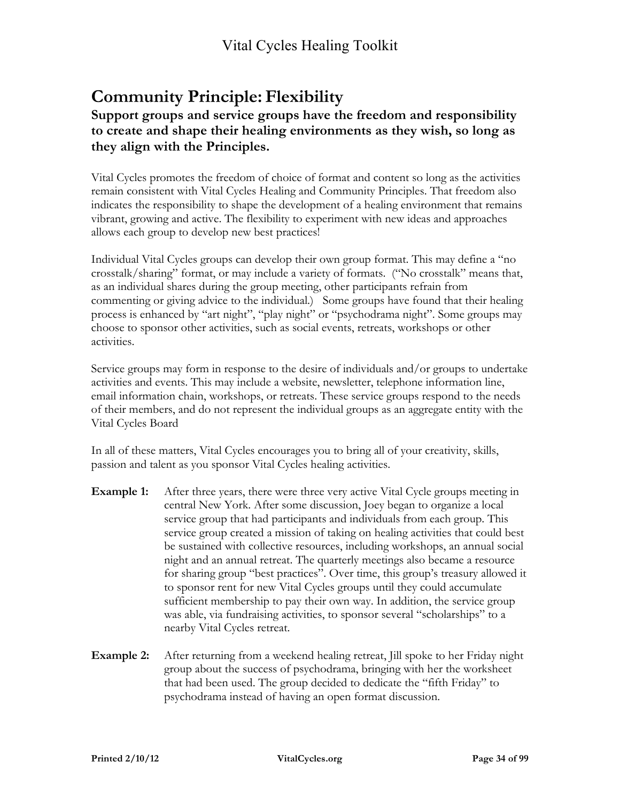## **Community Principle: Flexibility**

#### **Support groups and service groups have the freedom and responsibility to create and shape their healing environments as they wish, so long as they align with the Principles.**

Vital Cycles promotes the freedom of choice of format and content so long as the activities remain consistent with Vital Cycles Healing and Community Principles. That freedom also indicates the responsibility to shape the development of a healing environment that remains vibrant, growing and active. The flexibility to experiment with new ideas and approaches allows each group to develop new best practices!

Individual Vital Cycles groups can develop their own group format. This may define a "no crosstalk/sharing" format, or may include a variety of formats. ("No crosstalk" means that, as an individual shares during the group meeting, other participants refrain from commenting or giving advice to the individual.) Some groups have found that their healing process is enhanced by "art night", "play night" or "psychodrama night". Some groups may choose to sponsor other activities, such as social events, retreats, workshops or other activities.

Service groups may form in response to the desire of individuals and/or groups to undertake activities and events. This may include a website, newsletter, telephone information line, email information chain, workshops, or retreats. These service groups respond to the needs of their members, and do not represent the individual groups as an aggregate entity with the Vital Cycles Board

In all of these matters, Vital Cycles encourages you to bring all of your creativity, skills, passion and talent as you sponsor Vital Cycles healing activities.

- **Example 1:** After three years, there were three very active Vital Cycle groups meeting in central New York. After some discussion, Joey began to organize a local service group that had participants and individuals from each group. This service group created a mission of taking on healing activities that could best be sustained with collective resources, including workshops, an annual social night and an annual retreat. The quarterly meetings also became a resource for sharing group "best practices". Over time, this group's treasury allowed it to sponsor rent for new Vital Cycles groups until they could accumulate sufficient membership to pay their own way. In addition, the service group was able, via fundraising activities, to sponsor several "scholarships" to a nearby Vital Cycles retreat.
- **Example 2:** After returning from a weekend healing retreat, Jill spoke to her Friday night group about the success of psychodrama, bringing with her the worksheet that had been used. The group decided to dedicate the "fifth Friday" to psychodrama instead of having an open format discussion.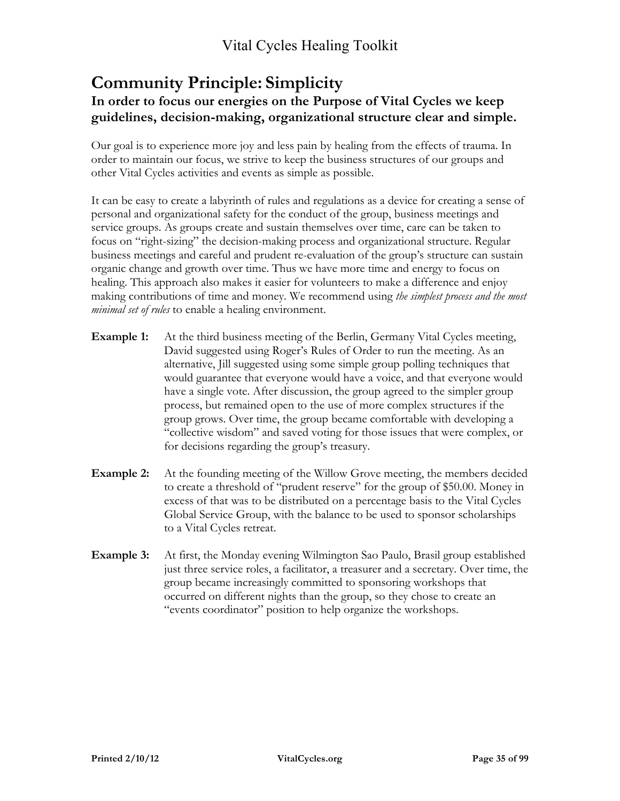#### **Community Principle: Simplicity In order to focus our energies on the Purpose of Vital Cycles we keep guidelines, decision-making, organizational structure clear and simple.**

Our goal is to experience more joy and less pain by healing from the effects of trauma. In order to maintain our focus, we strive to keep the business structures of our groups and other Vital Cycles activities and events as simple as possible.

It can be easy to create a labyrinth of rules and regulations as a device for creating a sense of personal and organizational safety for the conduct of the group, business meetings and service groups. As groups create and sustain themselves over time, care can be taken to focus on "right-sizing" the decision-making process and organizational structure. Regular business meetings and careful and prudent re-evaluation of the group's structure can sustain organic change and growth over time. Thus we have more time and energy to focus on healing. This approach also makes it easier for volunteers to make a difference and enjoy making contributions of time and money. We recommend using *the simplest process and the most minimal set of rules* to enable a healing environment.

- **Example 1:** At the third business meeting of the Berlin, Germany Vital Cycles meeting, David suggested using Roger's Rules of Order to run the meeting. As an alternative, Jill suggested using some simple group polling techniques that would guarantee that everyone would have a voice, and that everyone would have a single vote. After discussion, the group agreed to the simpler group process, but remained open to the use of more complex structures if the group grows. Over time, the group became comfortable with developing a "collective wisdom" and saved voting for those issues that were complex, or for decisions regarding the group's treasury.
- **Example 2:** At the founding meeting of the Willow Grove meeting, the members decided to create a threshold of "prudent reserve" for the group of \$50.00. Money in excess of that was to be distributed on a percentage basis to the Vital Cycles Global Service Group, with the balance to be used to sponsor scholarships to a Vital Cycles retreat.
- **Example 3:** At first, the Monday evening Wilmington Sao Paulo, Brasil group established just three service roles, a facilitator, a treasurer and a secretary. Over time, the group became increasingly committed to sponsoring workshops that occurred on different nights than the group, so they chose to create an "events coordinator" position to help organize the workshops.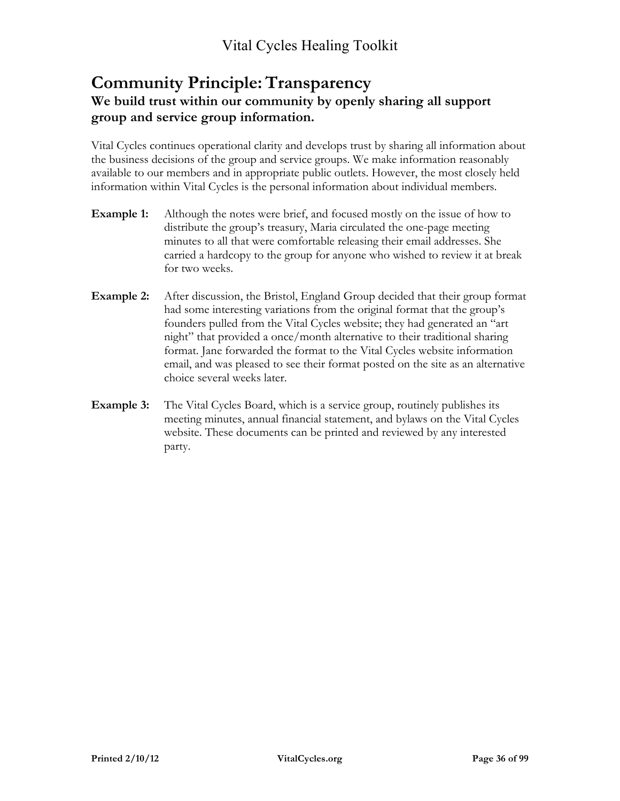### **Community Principle:Transparency We build trust within our community by openly sharing all support group and service group information.**

Vital Cycles continues operational clarity and develops trust by sharing all information about the business decisions of the group and service groups. We make information reasonably available to our members and in appropriate public outlets. However, the most closely held information within Vital Cycles is the personal information about individual members.

- **Example 1:** Although the notes were brief, and focused mostly on the issue of how to distribute the group's treasury, Maria circulated the one-page meeting minutes to all that were comfortable releasing their email addresses. She carried a hardcopy to the group for anyone who wished to review it at break for two weeks.
- **Example 2:** After discussion, the Bristol, England Group decided that their group format had some interesting variations from the original format that the group's founders pulled from the Vital Cycles website; they had generated an "art night" that provided a once/month alternative to their traditional sharing format. Jane forwarded the format to the Vital Cycles website information email, and was pleased to see their format posted on the site as an alternative choice several weeks later.
- **Example 3:** The Vital Cycles Board, which is a service group, routinely publishes its meeting minutes, annual financial statement, and bylaws on the Vital Cycles website. These documents can be printed and reviewed by any interested party.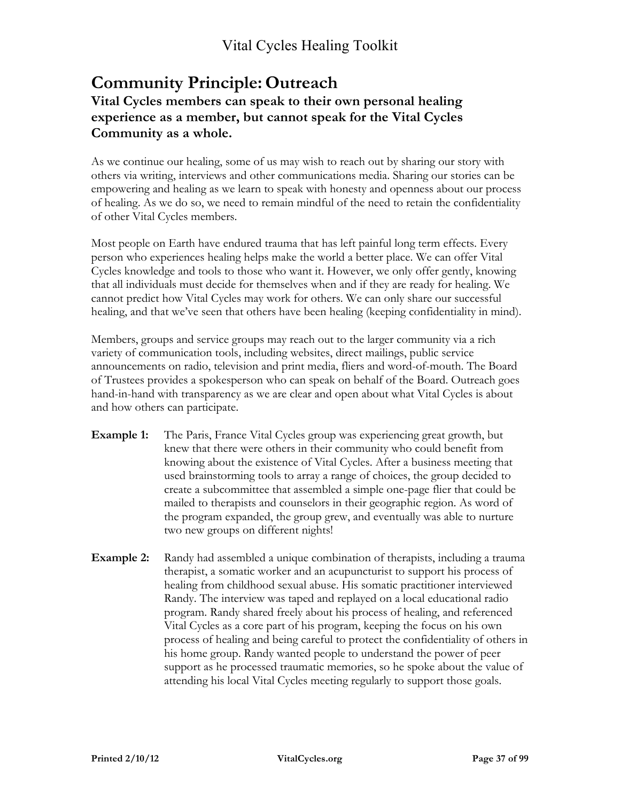### **Community Principle: Outreach Vital Cycles members can speak to their own personal healing experience as a member, but cannot speak for the Vital Cycles Community as a whole.**

As we continue our healing, some of us may wish to reach out by sharing our story with others via writing, interviews and other communications media. Sharing our stories can be empowering and healing as we learn to speak with honesty and openness about our process of healing. As we do so, we need to remain mindful of the need to retain the confidentiality of other Vital Cycles members.

Most people on Earth have endured trauma that has left painful long term effects. Every person who experiences healing helps make the world a better place. We can offer Vital Cycles knowledge and tools to those who want it. However, we only offer gently, knowing that all individuals must decide for themselves when and if they are ready for healing. We cannot predict how Vital Cycles may work for others. We can only share our successful healing, and that we've seen that others have been healing (keeping confidentiality in mind).

Members, groups and service groups may reach out to the larger community via a rich variety of communication tools, including websites, direct mailings, public service announcements on radio, television and print media, fliers and word-of-mouth. The Board of Trustees provides a spokesperson who can speak on behalf of the Board. Outreach goes hand-in-hand with transparency as we are clear and open about what Vital Cycles is about and how others can participate.

- **Example 1:** The Paris, France Vital Cycles group was experiencing great growth, but knew that there were others in their community who could benefit from knowing about the existence of Vital Cycles. After a business meeting that used brainstorming tools to array a range of choices, the group decided to create a subcommittee that assembled a simple one-page flier that could be mailed to therapists and counselors in their geographic region. As word of the program expanded, the group grew, and eventually was able to nurture two new groups on different nights!
- **Example 2:** Randy had assembled a unique combination of therapists, including a trauma therapist, a somatic worker and an acupuncturist to support his process of healing from childhood sexual abuse. His somatic practitioner interviewed Randy. The interview was taped and replayed on a local educational radio program. Randy shared freely about his process of healing, and referenced Vital Cycles as a core part of his program, keeping the focus on his own process of healing and being careful to protect the confidentiality of others in his home group. Randy wanted people to understand the power of peer support as he processed traumatic memories, so he spoke about the value of attending his local Vital Cycles meeting regularly to support those goals.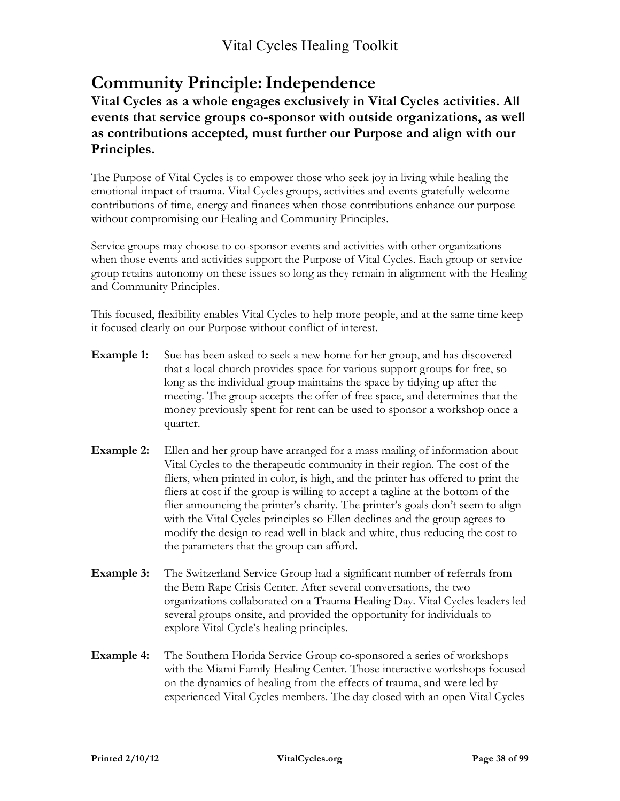## **Community Principle:Independence**

**Vital Cycles as a whole engages exclusively in Vital Cycles activities. All events that service groups co-sponsor with outside organizations, as well as contributions accepted, must further our Purpose and align with our Principles.** 

The Purpose of Vital Cycles is to empower those who seek joy in living while healing the emotional impact of trauma. Vital Cycles groups, activities and events gratefully welcome contributions of time, energy and finances when those contributions enhance our purpose without compromising our Healing and Community Principles.

Service groups may choose to co-sponsor events and activities with other organizations when those events and activities support the Purpose of Vital Cycles. Each group or service group retains autonomy on these issues so long as they remain in alignment with the Healing and Community Principles.

This focused, flexibility enables Vital Cycles to help more people, and at the same time keep it focused clearly on our Purpose without conflict of interest.

- **Example 1:** Sue has been asked to seek a new home for her group, and has discovered that a local church provides space for various support groups for free, so long as the individual group maintains the space by tidying up after the meeting. The group accepts the offer of free space, and determines that the money previously spent for rent can be used to sponsor a workshop once a quarter.
- **Example 2:** Ellen and her group have arranged for a mass mailing of information about Vital Cycles to the therapeutic community in their region. The cost of the fliers, when printed in color, is high, and the printer has offered to print the fliers at cost if the group is willing to accept a tagline at the bottom of the flier announcing the printer's charity. The printer's goals don't seem to align with the Vital Cycles principles so Ellen declines and the group agrees to modify the design to read well in black and white, thus reducing the cost to the parameters that the group can afford.
- **Example 3:** The Switzerland Service Group had a significant number of referrals from the Bern Rape Crisis Center. After several conversations, the two organizations collaborated on a Trauma Healing Day. Vital Cycles leaders led several groups onsite, and provided the opportunity for individuals to explore Vital Cycle's healing principles.
- **Example 4:** The Southern Florida Service Group co-sponsored a series of workshops with the Miami Family Healing Center. Those interactive workshops focused on the dynamics of healing from the effects of trauma, and were led by experienced Vital Cycles members. The day closed with an open Vital Cycles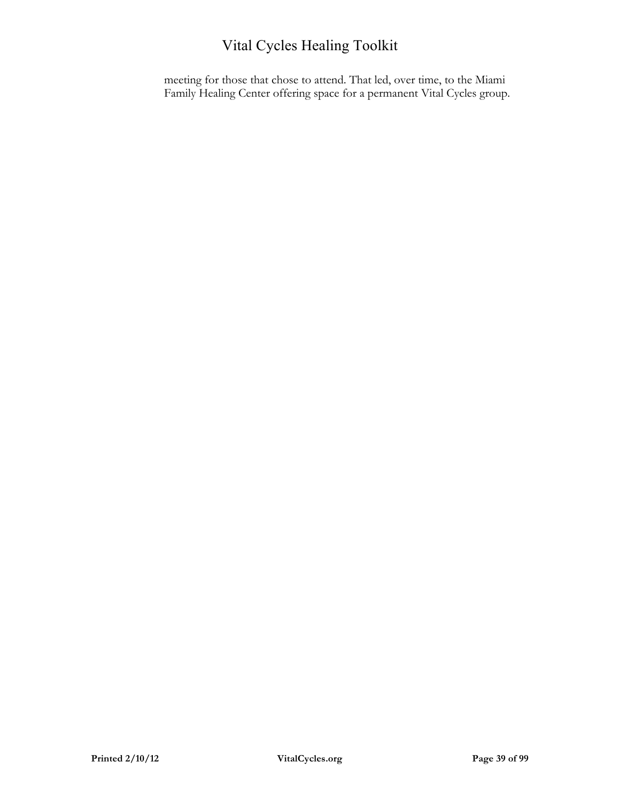meeting for those that chose to attend. That led, over time, to the Miami Family Healing Center offering space for a permanent Vital Cycles group.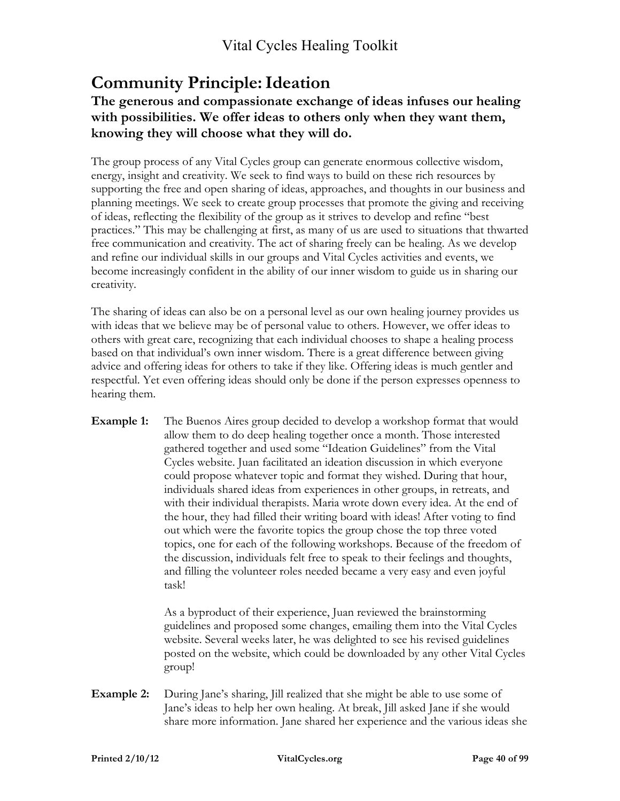# **Community Principle:Ideation**

### **The generous and compassionate exchange of ideas infuses our healing with possibilities. We offer ideas to others only when they want them, knowing they will choose what they will do.**

The group process of any Vital Cycles group can generate enormous collective wisdom, energy, insight and creativity. We seek to find ways to build on these rich resources by supporting the free and open sharing of ideas, approaches, and thoughts in our business and planning meetings. We seek to create group processes that promote the giving and receiving of ideas, reflecting the flexibility of the group as it strives to develop and refine "best practices." This may be challenging at first, as many of us are used to situations that thwarted free communication and creativity. The act of sharing freely can be healing. As we develop and refine our individual skills in our groups and Vital Cycles activities and events, we become increasingly confident in the ability of our inner wisdom to guide us in sharing our creativity.

The sharing of ideas can also be on a personal level as our own healing journey provides us with ideas that we believe may be of personal value to others. However, we offer ideas to others with great care, recognizing that each individual chooses to shape a healing process based on that individual's own inner wisdom. There is a great difference between giving advice and offering ideas for others to take if they like. Offering ideas is much gentler and respectful. Yet even offering ideas should only be done if the person expresses openness to hearing them.

**Example 1:** The Buenos Aires group decided to develop a workshop format that would allow them to do deep healing together once a month. Those interested gathered together and used some "Ideation Guidelines" from the Vital Cycles website. Juan facilitated an ideation discussion in which everyone could propose whatever topic and format they wished. During that hour, individuals shared ideas from experiences in other groups, in retreats, and with their individual therapists. Maria wrote down every idea. At the end of the hour, they had filled their writing board with ideas! After voting to find out which were the favorite topics the group chose the top three voted topics, one for each of the following workshops. Because of the freedom of the discussion, individuals felt free to speak to their feelings and thoughts, and filling the volunteer roles needed became a very easy and even joyful task!

> As a byproduct of their experience, Juan reviewed the brainstorming guidelines and proposed some changes, emailing them into the Vital Cycles website. Several weeks later, he was delighted to see his revised guidelines posted on the website, which could be downloaded by any other Vital Cycles group!

**Example 2:** During Jane's sharing, Jill realized that she might be able to use some of Jane's ideas to help her own healing. At break, Jill asked Jane if she would share more information. Jane shared her experience and the various ideas she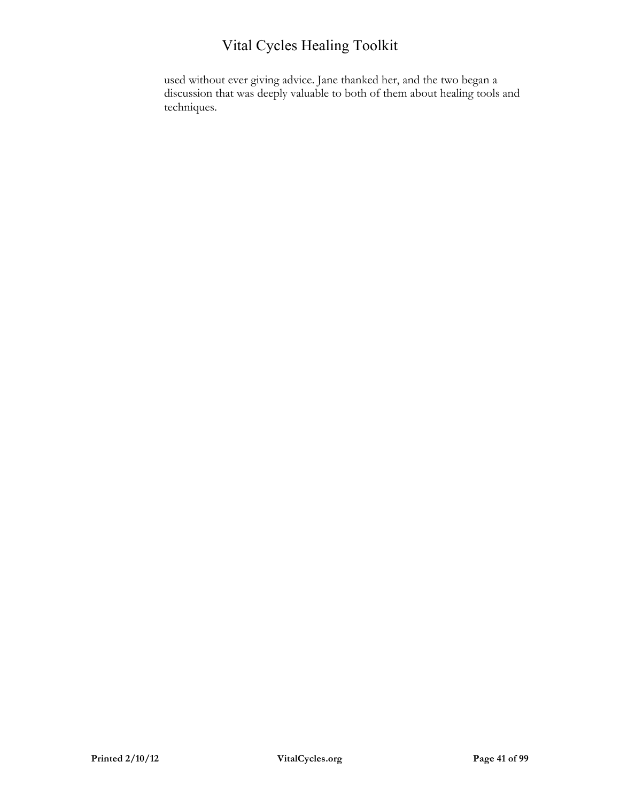used without ever giving advice. Jane thanked her, and the two began a discussion that was deeply valuable to both of them about healing tools and techniques.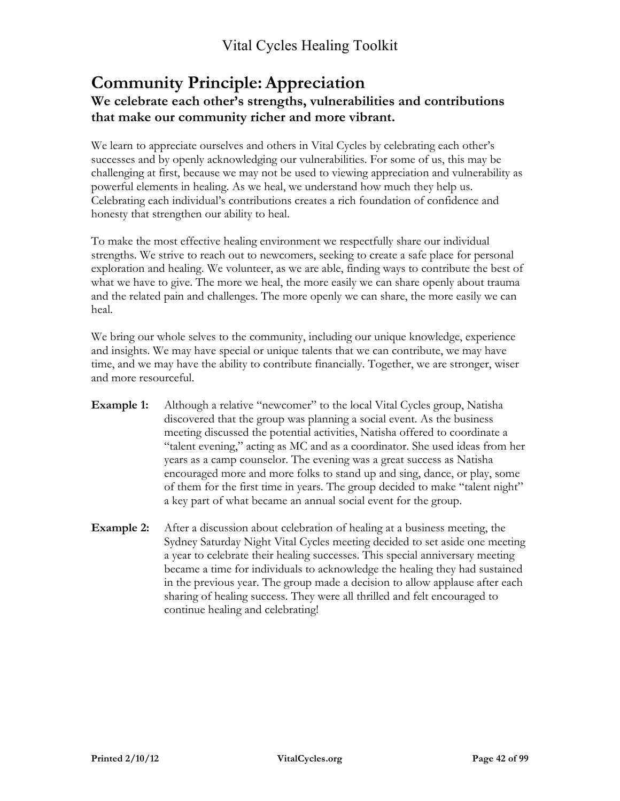### **Community Principle: Appreciation We celebrate each other's strengths, vulnerabilities and contributions that make our community richer and more vibrant.**

We learn to appreciate ourselves and others in Vital Cycles by celebrating each other's successes and by openly acknowledging our vulnerabilities. For some of us, this may be challenging at first, because we may not be used to viewing appreciation and vulnerability as powerful elements in healing. As we heal, we understand how much they help us. Celebrating each individual's contributions creates a rich foundation of confidence and honesty that strengthen our ability to heal.

To make the most effective healing environment we respectfully share our individual strengths. We strive to reach out to newcomers, seeking to create a safe place for personal exploration and healing. We volunteer, as we are able, finding ways to contribute the best of what we have to give. The more we heal, the more easily we can share openly about trauma and the related pain and challenges. The more openly we can share, the more easily we can heal.

We bring our whole selves to the community, including our unique knowledge, experience and insights. We may have special or unique talents that we can contribute, we may have time, and we may have the ability to contribute financially. Together, we are stronger, wiser and more resourceful.

- **Example 1:** Although a relative "newcomer" to the local Vital Cycles group, Natisha discovered that the group was planning a social event. As the business meeting discussed the potential activities, Natisha offered to coordinate a "talent evening," acting as MC and as a coordinator. She used ideas from her years as a camp counselor. The evening was a great success as Natisha encouraged more and more folks to stand up and sing, dance, or play, some of them for the first time in years. The group decided to make "talent night" a key part of what became an annual social event for the group.
- **Example 2:** After a discussion about celebration of healing at a business meeting, the Sydney Saturday Night Vital Cycles meeting decided to set aside one meeting a year to celebrate their healing successes. This special anniversary meeting became a time for individuals to acknowledge the healing they had sustained in the previous year. The group made a decision to allow applause after each sharing of healing success. They were all thrilled and felt encouraged to continue healing and celebrating!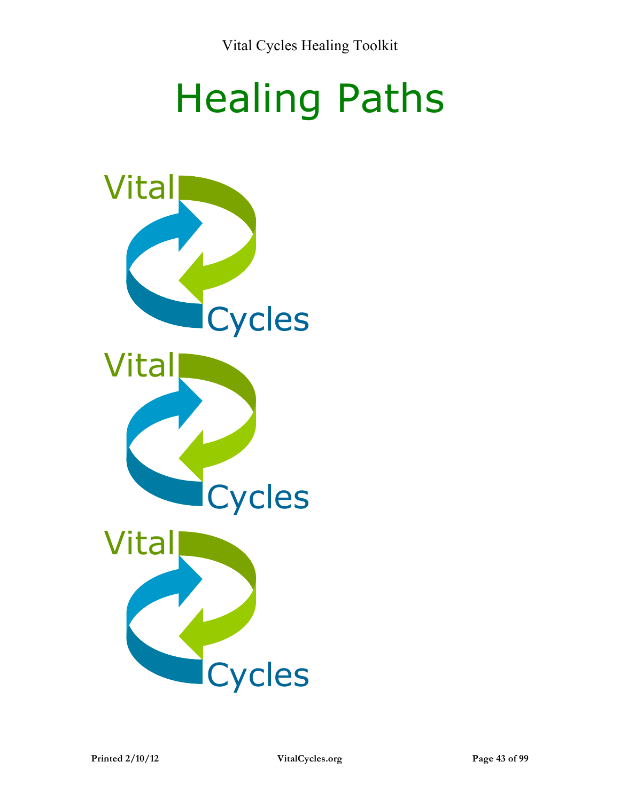# Healing Paths

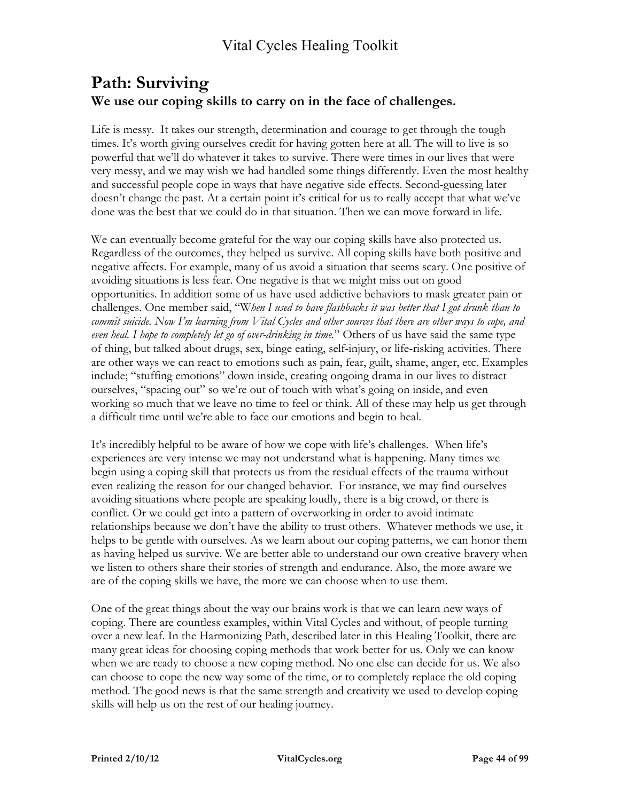### **Path: Surviving We use our coping skills to carry on in the face of challenges.**

Life is messy. It takes our strength, determination and courage to get through the tough times. It's worth giving ourselves credit for having gotten here at all. The will to live is so powerful that we'll do whatever it takes to survive. There were times in our lives that were very messy, and we may wish we had handled some things differently. Even the most healthy and successful people cope in ways that have negative side effects. Second-guessing later doesn't change the past. At a certain point it's critical for us to really accept that what we've done was the best that we could do in that situation. Then we can move forward in life.

We can eventually become grateful for the way our coping skills have also protected us. Regardless of the outcomes, they helped us survive. All coping skills have both positive and negative affects. For example, many of us avoid a situation that seems scary. One positive of avoiding situations is less fear. One negative is that we might miss out on good opportunities. In addition some of us have used addictive behaviors to mask greater pain or challenges. One member said, "W*hen I used to have flashbacks it was better that I got drunk than to commit suicide. Now I'm learning from Vital Cycles and other sources that there are other ways to cope, and even heal. I hope to completely let go of over-drinking in time.*" Others of us have said the same type of thing, but talked about drugs, sex, binge eating, self-injury, or life-risking activities. There are other ways we can react to emotions such as pain, fear, guilt, shame, anger, etc. Examples include; "stuffing emotions" down inside, creating ongoing drama in our lives to distract ourselves, "spacing out" so we're out of touch with what's going on inside, and even working so much that we leave no time to feel or think. All of these may help us get through a difficult time until we're able to face our emotions and begin to heal.

It's incredibly helpful to be aware of how we cope with life's challenges. When life's experiences are very intense we may not understand what is happening. Many times we begin using a coping skill that protects us from the residual effects of the trauma without even realizing the reason for our changed behavior. For instance, we may find ourselves avoiding situations where people are speaking loudly, there is a big crowd, or there is conflict. Or we could get into a pattern of overworking in order to avoid intimate relationships because we don't have the ability to trust others. Whatever methods we use, it helps to be gentle with ourselves. As we learn about our coping patterns, we can honor them as having helped us survive. We are better able to understand our own creative bravery when we listen to others share their stories of strength and endurance. Also, the more aware we are of the coping skills we have, the more we can choose when to use them.

One of the great things about the way our brains work is that we can learn new ways of coping. There are countless examples, within Vital Cycles and without, of people turning over a new leaf. In the Harmonizing Path, described later in this Healing Toolkit, there are many great ideas for choosing coping methods that work better for us. Only we can know when we are ready to choose a new coping method. No one else can decide for us. We also can choose to cope the new way some of the time, or to completely replace the old coping method. The good news is that the same strength and creativity we used to develop coping skills will help us on the rest of our healing journey.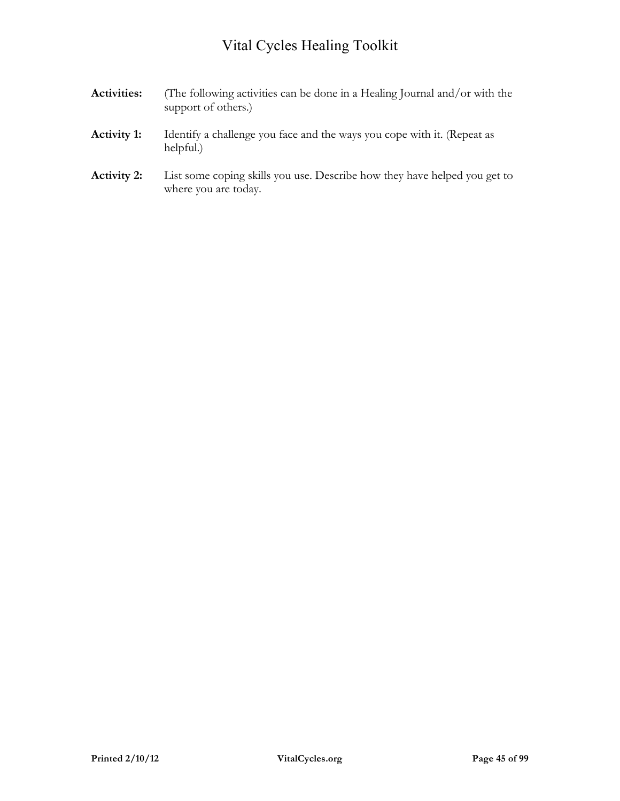- **Activities:** (The following activities can be done in a Healing Journal and/or with the support of others.) **Activity 1:** Identify a challenge you face and the ways you cope with it. (Repeat as
- **Activity 2:** List some coping skills you use. Describe how they have helped you get to where you are today.

helpful.)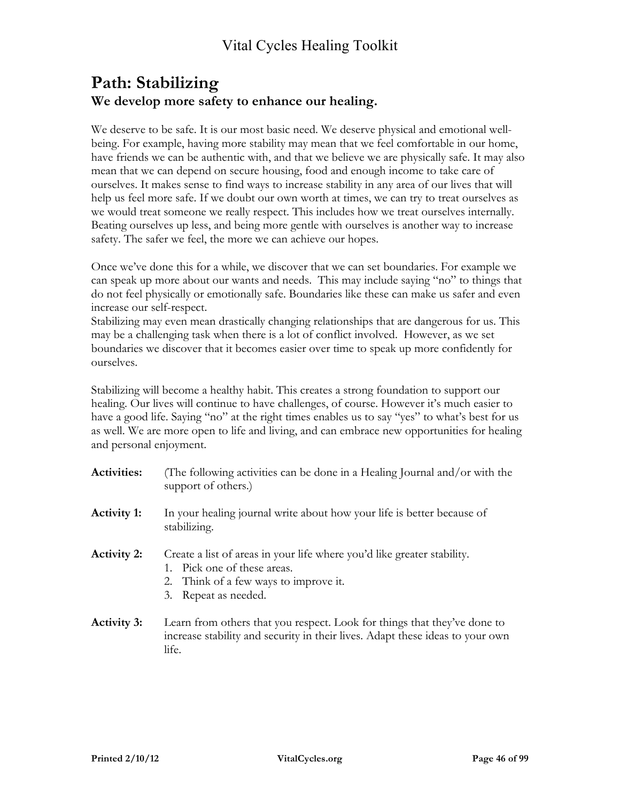### **Path: Stabilizing We develop more safety to enhance our healing.**

We deserve to be safe. It is our most basic need. We deserve physical and emotional wellbeing. For example, having more stability may mean that we feel comfortable in our home, have friends we can be authentic with, and that we believe we are physically safe. It may also mean that we can depend on secure housing, food and enough income to take care of ourselves. It makes sense to find ways to increase stability in any area of our lives that will help us feel more safe. If we doubt our own worth at times, we can try to treat ourselves as we would treat someone we really respect. This includes how we treat ourselves internally. Beating ourselves up less, and being more gentle with ourselves is another way to increase safety. The safer we feel, the more we can achieve our hopes.

Once we've done this for a while, we discover that we can set boundaries. For example we can speak up more about our wants and needs. This may include saying "no" to things that do not feel physically or emotionally safe. Boundaries like these can make us safer and even increase our self-respect.

Stabilizing may even mean drastically changing relationships that are dangerous for us. This may be a challenging task when there is a lot of conflict involved. However, as we set boundaries we discover that it becomes easier over time to speak up more confidently for ourselves.

Stabilizing will become a healthy habit. This creates a strong foundation to support our healing. Our lives will continue to have challenges, of course. However it's much easier to have a good life. Saying "no" at the right times enables us to say "yes" to what's best for us as well. We are more open to life and living, and can embrace new opportunities for healing and personal enjoyment.

| <b>Activities:</b> | (The following activities can be done in a Healing Journal and/or with the<br>support of others.)                                                                       |
|--------------------|-------------------------------------------------------------------------------------------------------------------------------------------------------------------------|
| <b>Activity 1:</b> | In your healing journal write about how your life is better because of<br>stabilizing.                                                                                  |
| <b>Activity 2:</b> | Create a list of areas in your life where you'd like greater stability.<br>1. Pick one of these areas.<br>2. Think of a few ways to improve it.<br>3. Repeat as needed. |
| <b>Activity 3:</b> | Learn from others that you respect. Look for things that they've done to<br>increase stability and security in their lives. Adapt these ideas to your own<br>life.      |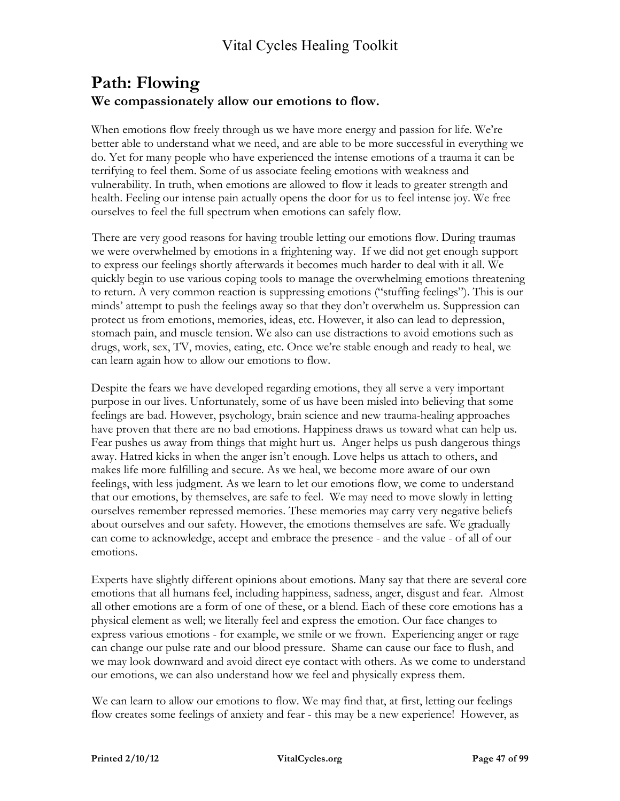### **Path: Flowing We compassionately allow our emotions to flow.**

When emotions flow freely through us we have more energy and passion for life. We're better able to understand what we need, and are able to be more successful in everything we do. Yet for many people who have experienced the intense emotions of a trauma it can be terrifying to feel them. Some of us associate feeling emotions with weakness and vulnerability. In truth, when emotions are allowed to flow it leads to greater strength and health. Feeling our intense pain actually opens the door for us to feel intense joy. We free ourselves to feel the full spectrum when emotions can safely flow.

There are very good reasons for having trouble letting our emotions flow. During traumas we were overwhelmed by emotions in a frightening way. If we did not get enough support to express our feelings shortly afterwards it becomes much harder to deal with it all. We quickly begin to use various coping tools to manage the overwhelming emotions threatening to return. A very common reaction is suppressing emotions ("stuffing feelings"). This is our minds' attempt to push the feelings away so that they don't overwhelm us. Suppression can protect us from emotions, memories, ideas, etc. However, it also can lead to depression, stomach pain, and muscle tension. We also can use distractions to avoid emotions such as drugs, work, sex, TV, movies, eating, etc. Once we're stable enough and ready to heal, we can learn again how to allow our emotions to flow.

Despite the fears we have developed regarding emotions, they all serve a very important purpose in our lives. Unfortunately, some of us have been misled into believing that some feelings are bad. However, psychology, brain science and new trauma-healing approaches have proven that there are no bad emotions. Happiness draws us toward what can help us. Fear pushes us away from things that might hurt us. Anger helps us push dangerous things away. Hatred kicks in when the anger isn't enough. Love helps us attach to others, and makes life more fulfilling and secure. As we heal, we become more aware of our own feelings, with less judgment. As we learn to let our emotions flow, we come to understand that our emotions, by themselves, are safe to feel. We may need to move slowly in letting ourselves remember repressed memories. These memories may carry very negative beliefs about ourselves and our safety. However, the emotions themselves are safe. We gradually can come to acknowledge, accept and embrace the presence - and the value - of all of our emotions.

Experts have slightly different opinions about emotions. Many say that there are several core emotions that all humans feel, including happiness, sadness, anger, disgust and fear. Almost all other emotions are a form of one of these, or a blend. Each of these core emotions has a physical element as well; we literally feel and express the emotion. Our face changes to express various emotions - for example, we smile or we frown. Experiencing anger or rage can change our pulse rate and our blood pressure. Shame can cause our face to flush, and we may look downward and avoid direct eye contact with others. As we come to understand our emotions, we can also understand how we feel and physically express them.

We can learn to allow our emotions to flow. We may find that, at first, letting our feelings flow creates some feelings of anxiety and fear - this may be a new experience! However, as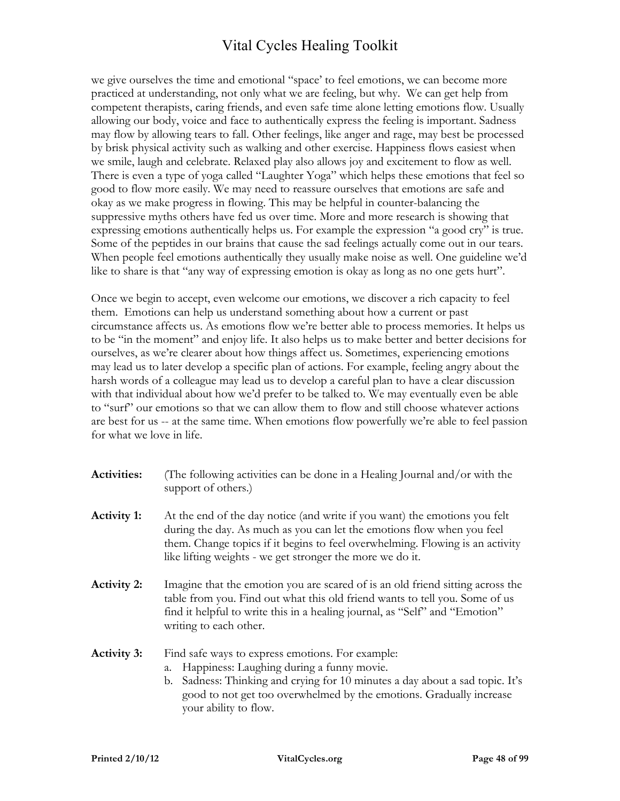we give ourselves the time and emotional "space' to feel emotions, we can become more practiced at understanding, not only what we are feeling, but why. We can get help from competent therapists, caring friends, and even safe time alone letting emotions flow. Usually allowing our body, voice and face to authentically express the feeling is important. Sadness may flow by allowing tears to fall. Other feelings, like anger and rage, may best be processed by brisk physical activity such as walking and other exercise. Happiness flows easiest when we smile, laugh and celebrate. Relaxed play also allows joy and excitement to flow as well. There is even a type of yoga called "Laughter Yoga" which helps these emotions that feel so good to flow more easily. We may need to reassure ourselves that emotions are safe and okay as we make progress in flowing. This may be helpful in counter-balancing the suppressive myths others have fed us over time. More and more research is showing that expressing emotions authentically helps us. For example the expression "a good cry" is true. Some of the peptides in our brains that cause the sad feelings actually come out in our tears. When people feel emotions authentically they usually make noise as well. One guideline we'd like to share is that "any way of expressing emotion is okay as long as no one gets hurt".

Once we begin to accept, even welcome our emotions, we discover a rich capacity to feel them. Emotions can help us understand something about how a current or past circumstance affects us. As emotions flow we're better able to process memories. It helps us to be "in the moment" and enjoy life. It also helps us to make better and better decisions for ourselves, as we're clearer about how things affect us. Sometimes, experiencing emotions may lead us to later develop a specific plan of actions. For example, feeling angry about the harsh words of a colleague may lead us to develop a careful plan to have a clear discussion with that individual about how we'd prefer to be talked to. We may eventually even be able to "surf" our emotions so that we can allow them to flow and still choose whatever actions are best for us -- at the same time. When emotions flow powerfully we're able to feel passion for what we love in life.

| <b>Activities:</b> | (The following activities can be done in a Healing Journal and/or with the |
|--------------------|----------------------------------------------------------------------------|
|                    | support of others.)                                                        |
|                    |                                                                            |

- **Activity 1:** At the end of the day notice (and write if you want) the emotions you felt during the day. As much as you can let the emotions flow when you feel them. Change topics if it begins to feel overwhelming. Flowing is an activity like lifting weights - we get stronger the more we do it.
- **Activity 2:** Imagine that the emotion you are scared of is an old friend sitting across the table from you. Find out what this old friend wants to tell you. Some of us find it helpful to write this in a healing journal, as "Self" and "Emotion" writing to each other.

Activity 3: Find safe ways to express emotions. For example:

- a. Happiness: Laughing during a funny movie.
- b. Sadness: Thinking and crying for 10 minutes a day about a sad topic. It's good to not get too overwhelmed by the emotions. Gradually increase your ability to flow.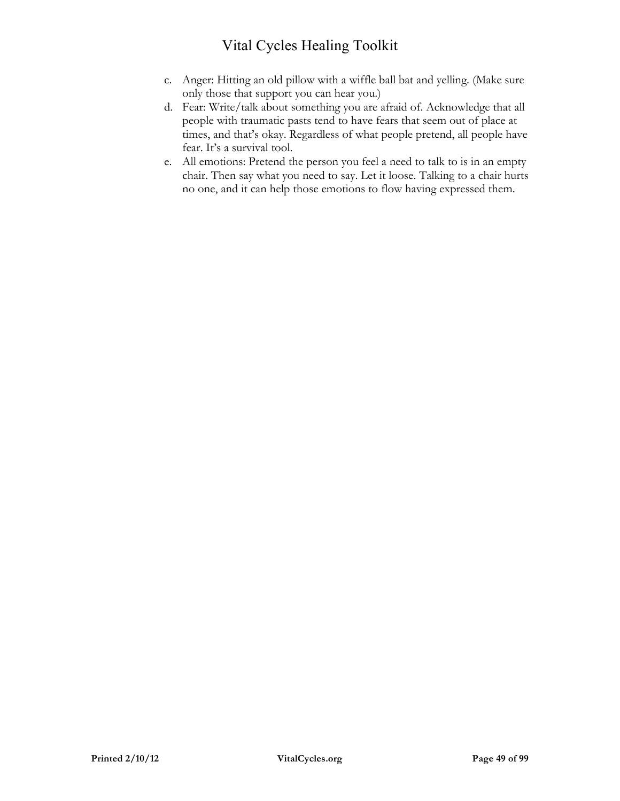- c. Anger: Hitting an old pillow with a wiffle ball bat and yelling. (Make sure only those that support you can hear you.)
- d. Fear: Write/talk about something you are afraid of. Acknowledge that all people with traumatic pasts tend to have fears that seem out of place at times, and that's okay. Regardless of what people pretend, all people have fear. It's a survival tool.
- e. All emotions: Pretend the person you feel a need to talk to is in an empty chair. Then say what you need to say. Let it loose. Talking to a chair hurts no one, and it can help those emotions to flow having expressed them.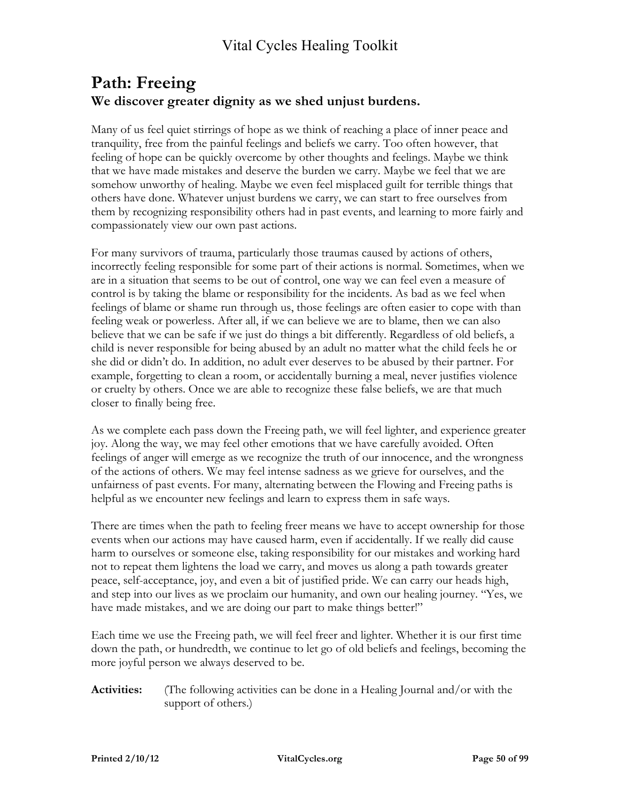### **Path: Freeing We discover greater dignity as we shed unjust burdens.**

Many of us feel quiet stirrings of hope as we think of reaching a place of inner peace and tranquility, free from the painful feelings and beliefs we carry. Too often however, that feeling of hope can be quickly overcome by other thoughts and feelings. Maybe we think that we have made mistakes and deserve the burden we carry. Maybe we feel that we are somehow unworthy of healing. Maybe we even feel misplaced guilt for terrible things that others have done. Whatever unjust burdens we carry, we can start to free ourselves from them by recognizing responsibility others had in past events, and learning to more fairly and compassionately view our own past actions.

For many survivors of trauma, particularly those traumas caused by actions of others, incorrectly feeling responsible for some part of their actions is normal. Sometimes, when we are in a situation that seems to be out of control, one way we can feel even a measure of control is by taking the blame or responsibility for the incidents. As bad as we feel when feelings of blame or shame run through us, those feelings are often easier to cope with than feeling weak or powerless. After all, if we can believe we are to blame, then we can also believe that we can be safe if we just do things a bit differently. Regardless of old beliefs, a child is never responsible for being abused by an adult no matter what the child feels he or she did or didn't do. In addition, no adult ever deserves to be abused by their partner. For example, forgetting to clean a room, or accidentally burning a meal, never justifies violence or cruelty by others. Once we are able to recognize these false beliefs, we are that much closer to finally being free.

As we complete each pass down the Freeing path, we will feel lighter, and experience greater joy. Along the way, we may feel other emotions that we have carefully avoided. Often feelings of anger will emerge as we recognize the truth of our innocence, and the wrongness of the actions of others. We may feel intense sadness as we grieve for ourselves, and the unfairness of past events. For many, alternating between the Flowing and Freeing paths is helpful as we encounter new feelings and learn to express them in safe ways.

There are times when the path to feeling freer means we have to accept ownership for those events when our actions may have caused harm, even if accidentally. If we really did cause harm to ourselves or someone else, taking responsibility for our mistakes and working hard not to repeat them lightens the load we carry, and moves us along a path towards greater peace, self-acceptance, joy, and even a bit of justified pride. We can carry our heads high, and step into our lives as we proclaim our humanity, and own our healing journey. "Yes, we have made mistakes, and we are doing our part to make things better!"

Each time we use the Freeing path, we will feel freer and lighter. Whether it is our first time down the path, or hundredth, we continue to let go of old beliefs and feelings, becoming the more joyful person we always deserved to be.

**Activities:** (The following activities can be done in a Healing Journal and/or with the support of others.)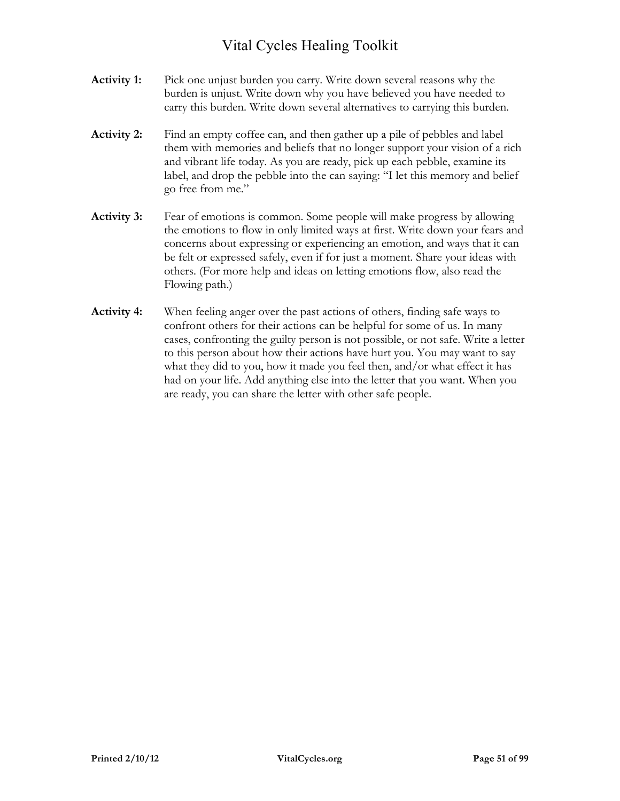- **Activity 1:** Pick one unjust burden you carry. Write down several reasons why the burden is unjust. Write down why you have believed you have needed to carry this burden. Write down several alternatives to carrying this burden.
- **Activity 2:** Find an empty coffee can, and then gather up a pile of pebbles and label them with memories and beliefs that no longer support your vision of a rich and vibrant life today. As you are ready, pick up each pebble, examine its label, and drop the pebble into the can saying: "I let this memory and belief go free from me."
- **Activity 3:** Fear of emotions is common. Some people will make progress by allowing the emotions to flow in only limited ways at first. Write down your fears and concerns about expressing or experiencing an emotion, and ways that it can be felt or expressed safely, even if for just a moment. Share your ideas with others. (For more help and ideas on letting emotions flow, also read the Flowing path.)
- **Activity 4:** When feeling anger over the past actions of others, finding safe ways to confront others for their actions can be helpful for some of us. In many cases, confronting the guilty person is not possible, or not safe. Write a letter to this person about how their actions have hurt you. You may want to say what they did to you, how it made you feel then, and/or what effect it has had on your life. Add anything else into the letter that you want. When you are ready, you can share the letter with other safe people.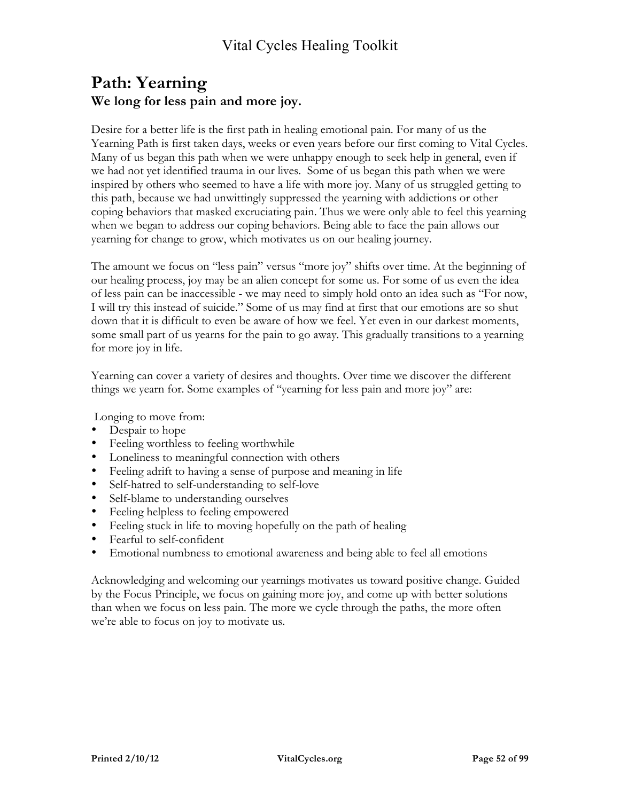### **Path: Yearning We long for less pain and more joy.**

Desire for a better life is the first path in healing emotional pain. For many of us the Yearning Path is first taken days, weeks or even years before our first coming to Vital Cycles. Many of us began this path when we were unhappy enough to seek help in general, even if we had not yet identified trauma in our lives. Some of us began this path when we were inspired by others who seemed to have a life with more joy. Many of us struggled getting to this path, because we had unwittingly suppressed the yearning with addictions or other coping behaviors that masked excruciating pain. Thus we were only able to feel this yearning when we began to address our coping behaviors. Being able to face the pain allows our yearning for change to grow, which motivates us on our healing journey.

The amount we focus on "less pain" versus "more joy" shifts over time. At the beginning of our healing process, joy may be an alien concept for some us. For some of us even the idea of less pain can be inaccessible - we may need to simply hold onto an idea such as "For now, I will try this instead of suicide." Some of us may find at first that our emotions are so shut down that it is difficult to even be aware of how we feel. Yet even in our darkest moments, some small part of us yearns for the pain to go away. This gradually transitions to a yearning for more joy in life.

Yearning can cover a variety of desires and thoughts. Over time we discover the different things we yearn for. Some examples of "yearning for less pain and more joy" are:

Longing to move from:

- Despair to hope
- Feeling worthless to feeling worthwhile
- Loneliness to meaningful connection with others
- Feeling adrift to having a sense of purpose and meaning in life
- Self-hatred to self-understanding to self-love
- Self-blame to understanding ourselves
- Feeling helpless to feeling empowered
- Feeling stuck in life to moving hopefully on the path of healing
- Fearful to self-confident
- Emotional numbness to emotional awareness and being able to feel all emotions

Acknowledging and welcoming our yearnings motivates us toward positive change. Guided by the Focus Principle, we focus on gaining more joy, and come up with better solutions than when we focus on less pain. The more we cycle through the paths, the more often we're able to focus on joy to motivate us.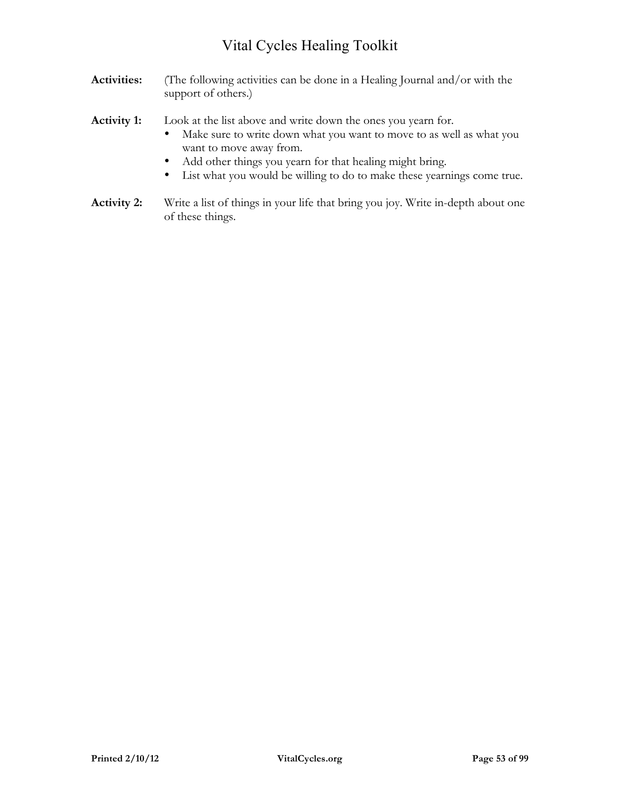- **Activities:** (The following activities can be done in a Healing Journal and/or with the support of others.)
- **Activity 1:** Look at the list above and write down the ones you yearn for.
	- Make sure to write down what you want to move to as well as what you want to move away from.
	- Add other things you yearn for that healing might bring.
	- List what you would be willing to do to make these yearnings come true.
- **Activity 2:** Write a list of things in your life that bring you joy. Write in-depth about one of these things.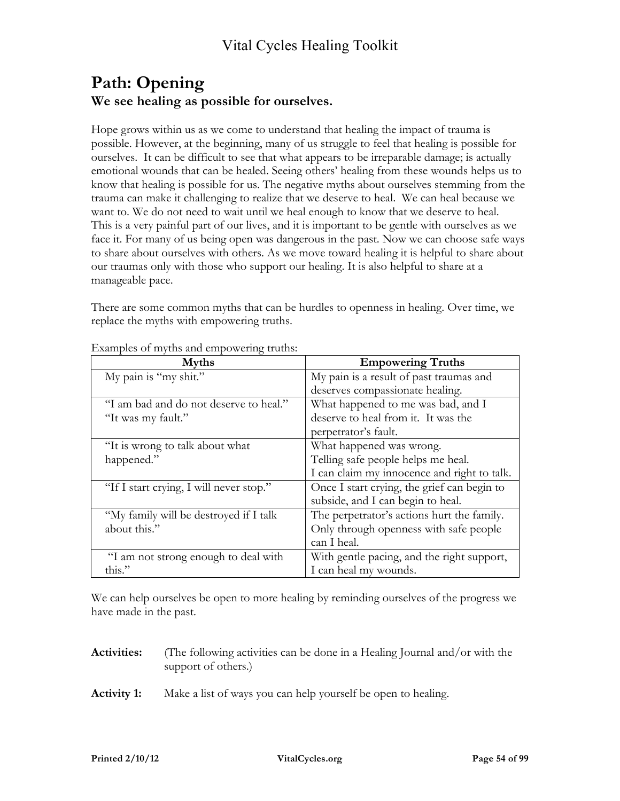### **Path: Opening We see healing as possible for ourselves.**

Hope grows within us as we come to understand that healing the impact of trauma is possible. However, at the beginning, many of us struggle to feel that healing is possible for ourselves. It can be difficult to see that what appears to be irreparable damage; is actually emotional wounds that can be healed. Seeing others' healing from these wounds helps us to know that healing is possible for us. The negative myths about ourselves stemming from the trauma can make it challenging to realize that we deserve to heal. We can heal because we want to. We do not need to wait until we heal enough to know that we deserve to heal. This is a very painful part of our lives, and it is important to be gentle with ourselves as we face it. For many of us being open was dangerous in the past. Now we can choose safe ways to share about ourselves with others. As we move toward healing it is helpful to share about our traumas only with those who support our healing. It is also helpful to share at a manageable pace.

There are some common myths that can be hurdles to openness in healing. Over time, we replace the myths with empowering truths.

| <b>Myths</b>                            | <b>Empowering Truths</b>                    |
|-----------------------------------------|---------------------------------------------|
| My pain is "my shit."                   | My pain is a result of past traumas and     |
|                                         | deserves compassionate healing.             |
| "I am bad and do not deserve to heal."  | What happened to me was bad, and I          |
| "It was my fault."                      | deserve to heal from it. It was the         |
|                                         | perpetrator's fault.                        |
| "It is wrong to talk about what         | What happened was wrong.                    |
| happened."                              | Telling safe people helps me heal.          |
|                                         | I can claim my innocence and right to talk. |
| "If I start crying, I will never stop." | Once I start crying, the grief can begin to |
|                                         | subside, and I can begin to heal.           |
| "My family will be destroyed if I talk  | The perpetrator's actions hurt the family.  |
| about this."                            | Only through openness with safe people      |
|                                         | can I heal.                                 |
| "I am not strong enough to deal with    | With gentle pacing, and the right support,  |
| this."                                  | I can heal my wounds.                       |

#### Examples of myths and empowering truths:

We can help ourselves be open to more healing by reminding ourselves of the progress we have made in the past.

| <b>Activities:</b> | (The following activities can be done in a Healing Journal and/or with the<br>support of others.) |
|--------------------|---------------------------------------------------------------------------------------------------|
| <b>Activity 1:</b> | Make a list of ways you can help yourself be open to healing.                                     |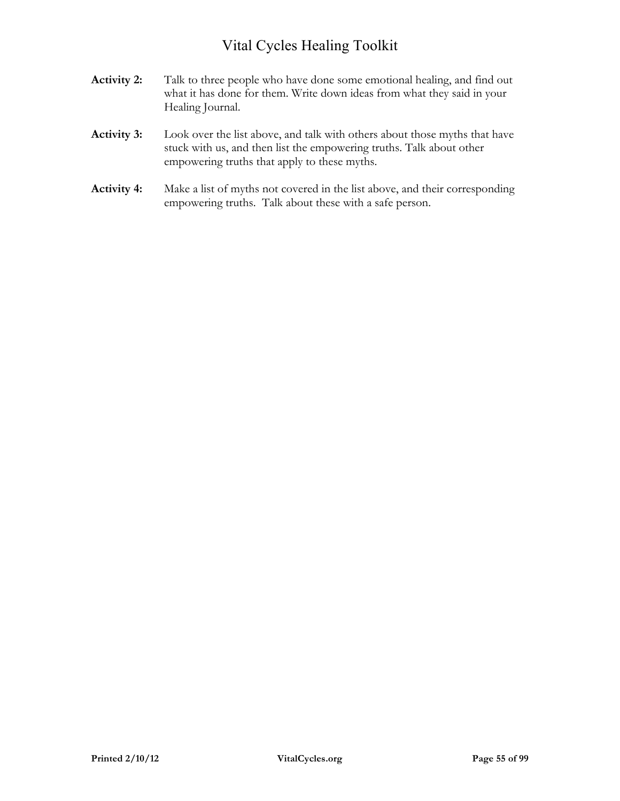- **Activity 2:** Talk to three people who have done some emotional healing, and find out what it has done for them. Write down ideas from what they said in your Healing Journal.
- **Activity 3:** Look over the list above, and talk with others about those myths that have stuck with us, and then list the empowering truths. Talk about other empowering truths that apply to these myths.
- **Activity 4:** Make a list of myths not covered in the list above, and their corresponding empowering truths. Talk about these with a safe person.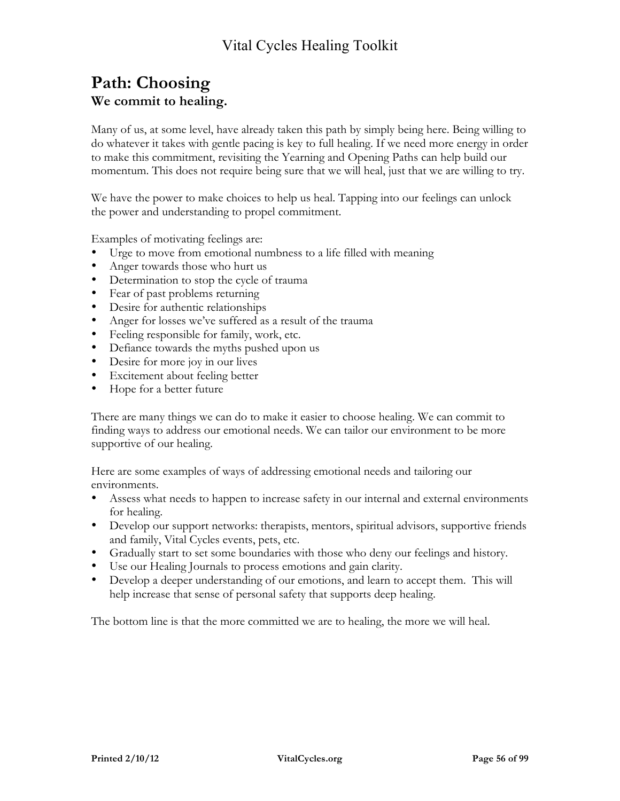### **Path: Choosing We commit to healing.**

Many of us, at some level, have already taken this path by simply being here. Being willing to do whatever it takes with gentle pacing is key to full healing. If we need more energy in order to make this commitment, revisiting the Yearning and Opening Paths can help build our momentum. This does not require being sure that we will heal, just that we are willing to try.

We have the power to make choices to help us heal. Tapping into our feelings can unlock the power and understanding to propel commitment.

Examples of motivating feelings are:

- Urge to move from emotional numbness to a life filled with meaning
- Anger towards those who hurt us
- Determination to stop the cycle of trauma
- Fear of past problems returning
- Desire for authentic relationships
- Anger for losses we've suffered as a result of the trauma
- Feeling responsible for family, work, etc.
- Defiance towards the myths pushed upon us
- Desire for more joy in our lives
- Excitement about feeling better
- Hope for a better future

There are many things we can do to make it easier to choose healing. We can commit to finding ways to address our emotional needs. We can tailor our environment to be more supportive of our healing.

Here are some examples of ways of addressing emotional needs and tailoring our environments.

- Assess what needs to happen to increase safety in our internal and external environments for healing.
- Develop our support networks: therapists, mentors, spiritual advisors, supportive friends and family, Vital Cycles events, pets, etc.
- Gradually start to set some boundaries with those who deny our feelings and history.
- Use our Healing Journals to process emotions and gain clarity.
- Develop a deeper understanding of our emotions, and learn to accept them. This will help increase that sense of personal safety that supports deep healing.

The bottom line is that the more committed we are to healing, the more we will heal.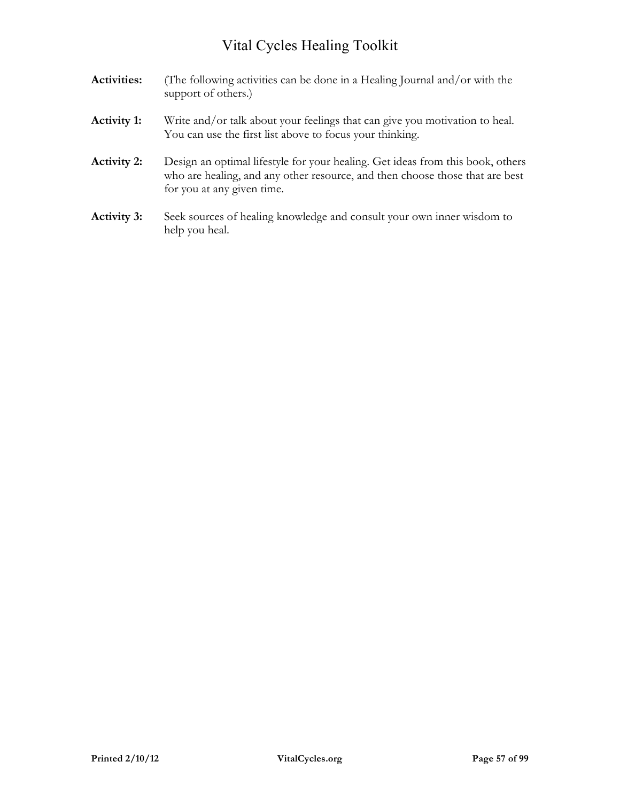| <b>Activities:</b> | (The following activities can be done in a Healing Journal and/or with the<br>support of others.)                                                                                            |
|--------------------|----------------------------------------------------------------------------------------------------------------------------------------------------------------------------------------------|
| <b>Activity 1:</b> | Write and/or talk about your feelings that can give you motivation to heal.<br>You can use the first list above to focus your thinking.                                                      |
| <b>Activity 2:</b> | Design an optimal lifestyle for your healing. Get ideas from this book, others<br>who are healing, and any other resource, and then choose those that are best<br>for you at any given time. |
| <b>Activity 3:</b> | Seek sources of healing knowledge and consult your own inner wisdom to<br>help you heal.                                                                                                     |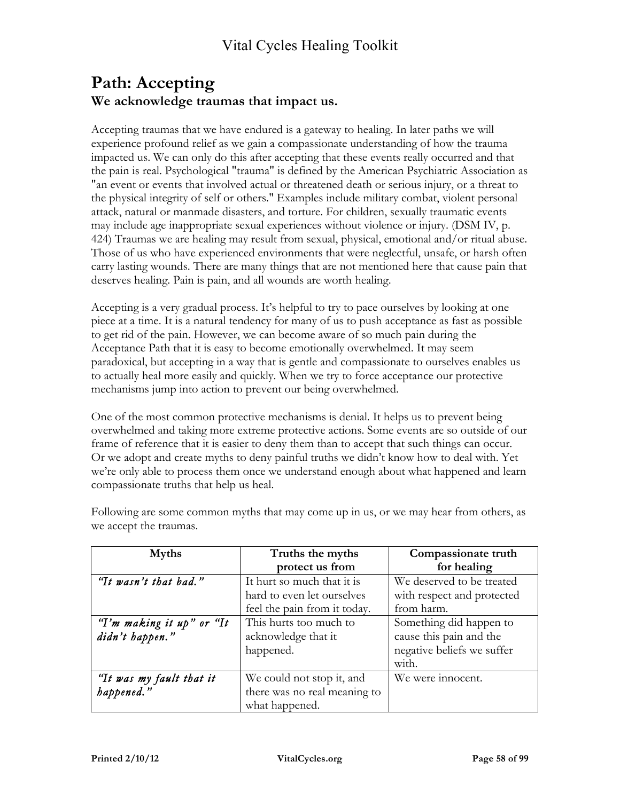### **Path: Accepting We acknowledge traumas that impact us.**

Accepting traumas that we have endured is a gateway to healing. In later paths we will experience profound relief as we gain a compassionate understanding of how the trauma impacted us. We can only do this after accepting that these events really occurred and that the pain is real. Psychological "trauma" is defined by the American Psychiatric Association as "an event or events that involved actual or threatened death or serious injury, or a threat to the physical integrity of self or others." Examples include military combat, violent personal attack, natural or manmade disasters, and torture. For children, sexually traumatic events may include age inappropriate sexual experiences without violence or injury. (DSM IV, p. 424) Traumas we are healing may result from sexual, physical, emotional and/or ritual abuse. Those of us who have experienced environments that were neglectful, unsafe, or harsh often carry lasting wounds. There are many things that are not mentioned here that cause pain that deserves healing. Pain is pain, and all wounds are worth healing.

Accepting is a very gradual process. It's helpful to try to pace ourselves by looking at one piece at a time. It is a natural tendency for many of us to push acceptance as fast as possible to get rid of the pain. However, we can become aware of so much pain during the Acceptance Path that it is easy to become emotionally overwhelmed. It may seem paradoxical, but accepting in a way that is gentle and compassionate to ourselves enables us to actually heal more easily and quickly. When we try to force acceptance our protective mechanisms jump into action to prevent our being overwhelmed.

One of the most common protective mechanisms is denial. It helps us to prevent being overwhelmed and taking more extreme protective actions. Some events are so outside of our frame of reference that it is easier to deny them than to accept that such things can occur. Or we adopt and create myths to deny painful truths we didn't know how to deal with. Yet we're only able to process them once we understand enough about what happened and learn compassionate truths that help us heal.

| <b>Myths</b>              | Truths the myths             | Compassionate truth        |
|---------------------------|------------------------------|----------------------------|
|                           | protect us from              | for healing                |
| "It wasn't that bad."     | It hurt so much that it is   | We deserved to be treated  |
|                           | hard to even let ourselves   | with respect and protected |
|                           | feel the pain from it today. | from harm.                 |
| "I'm making it up" or "It | This hurts too much to       | Something did happen to    |
| didn't happen."           | acknowledge that it          | cause this pain and the    |
|                           | happened.                    | negative beliefs we suffer |
|                           |                              | with.                      |
| "It was my fault that it  | We could not stop it, and    | We were innocent.          |
| happened."                | there was no real meaning to |                            |
|                           | what happened.               |                            |

Following are some common myths that may come up in us, or we may hear from others, as we accept the traumas.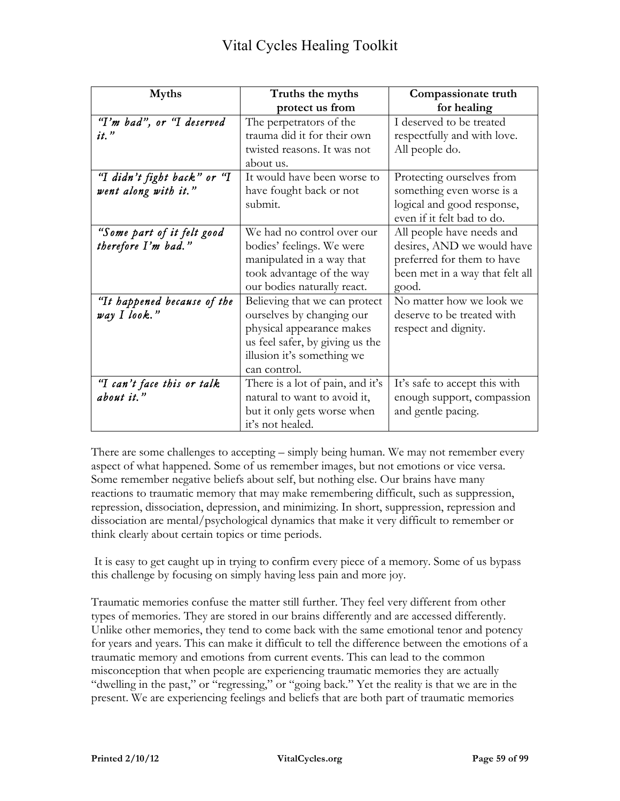| <b>Myths</b>                                        | Truths the myths                                                                                                                                                         | Compassionate truth                                                                                                               |
|-----------------------------------------------------|--------------------------------------------------------------------------------------------------------------------------------------------------------------------------|-----------------------------------------------------------------------------------------------------------------------------------|
|                                                     | protect us from                                                                                                                                                          | for healing                                                                                                                       |
| "I'm bad", or "I deserved<br>$it.$ "                | The perpetrators of the<br>trauma did it for their own<br>twisted reasons. It was not<br>about us.                                                                       | I deserved to be treated<br>respectfully and with love.<br>All people do.                                                         |
| "I didn't fight back" or "I<br>went along with it." | It would have been worse to<br>have fought back or not<br>submit.                                                                                                        | Protecting ourselves from<br>something even worse is a<br>logical and good response,<br>even if it felt bad to do.                |
| "Some part of it felt good<br>therefore I'm bad."   | We had no control over our<br>bodies' feelings. We were<br>manipulated in a way that<br>took advantage of the way<br>our bodies naturally react.                         | All people have needs and<br>desires, AND we would have<br>preferred for them to have<br>been met in a way that felt all<br>good. |
| "It happened because of the<br>way I look."         | Believing that we can protect<br>ourselves by changing our<br>physical appearance makes<br>us feel safer, by giving us the<br>illusion it's something we<br>can control. | No matter how we look we<br>deserve to be treated with<br>respect and dignity.                                                    |
| "I can't face this or talk<br>about it."            | There is a lot of pain, and it's<br>natural to want to avoid it,<br>but it only gets worse when<br>it's not healed.                                                      | It's safe to accept this with<br>enough support, compassion<br>and gentle pacing.                                                 |

There are some challenges to accepting – simply being human. We may not remember every aspect of what happened. Some of us remember images, but not emotions or vice versa. Some remember negative beliefs about self, but nothing else. Our brains have many reactions to traumatic memory that may make remembering difficult, such as suppression, repression, dissociation, depression, and minimizing. In short, suppression, repression and dissociation are mental/psychological dynamics that make it very difficult to remember or think clearly about certain topics or time periods.

 It is easy to get caught up in trying to confirm every piece of a memory. Some of us bypass this challenge by focusing on simply having less pain and more joy.

Traumatic memories confuse the matter still further. They feel very different from other types of memories. They are stored in our brains differently and are accessed differently. Unlike other memories, they tend to come back with the same emotional tenor and potency for years and years. This can make it difficult to tell the difference between the emotions of a traumatic memory and emotions from current events. This can lead to the common misconception that when people are experiencing traumatic memories they are actually "dwelling in the past," or "regressing," or "going back." Yet the reality is that we are in the present. We are experiencing feelings and beliefs that are both part of traumatic memories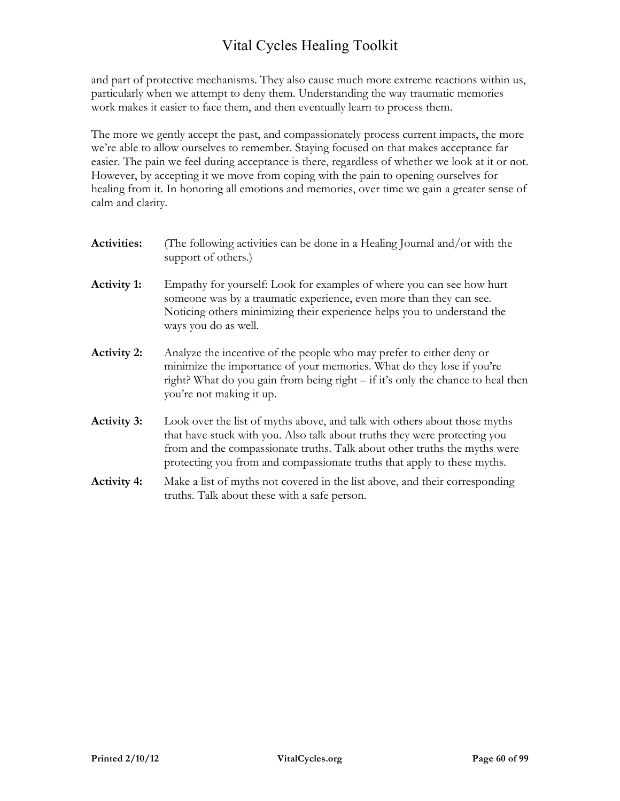and part of protective mechanisms. They also cause much more extreme reactions within us, particularly when we attempt to deny them. Understanding the way traumatic memories work makes it easier to face them, and then eventually learn to process them.

The more we gently accept the past, and compassionately process current impacts, the more we're able to allow ourselves to remember. Staying focused on that makes acceptance far easier. The pain we feel during acceptance is there, regardless of whether we look at it or not. However, by accepting it we move from coping with the pain to opening ourselves for healing from it. In honoring all emotions and memories, over time we gain a greater sense of calm and clarity.

| <b>Activities:</b> | (The following activities can be done in a Healing Journal and/or with the<br>support of others.)                                                                                                                                                                                                              |
|--------------------|----------------------------------------------------------------------------------------------------------------------------------------------------------------------------------------------------------------------------------------------------------------------------------------------------------------|
| <b>Activity 1:</b> | Empathy for yourself: Look for examples of where you can see how hurt<br>someone was by a traumatic experience, even more than they can see.<br>Noticing others minimizing their experience helps you to understand the<br>ways you do as well.                                                                |
| <b>Activity 2:</b> | Analyze the incentive of the people who may prefer to either deny or<br>minimize the importance of your memories. What do they lose if you're<br>right? What do you gain from being right – if it's only the chance to heal then<br>you're not making it up.                                                   |
| <b>Activity 3:</b> | Look over the list of myths above, and talk with others about those myths<br>that have stuck with you. Also talk about truths they were protecting you<br>from and the compassionate truths. Talk about other truths the myths were<br>protecting you from and compassionate truths that apply to these myths. |
| <b>Activity 4:</b> | Make a list of myths not covered in the list above, and their corresponding<br>truths. Talk about these with a safe person.                                                                                                                                                                                    |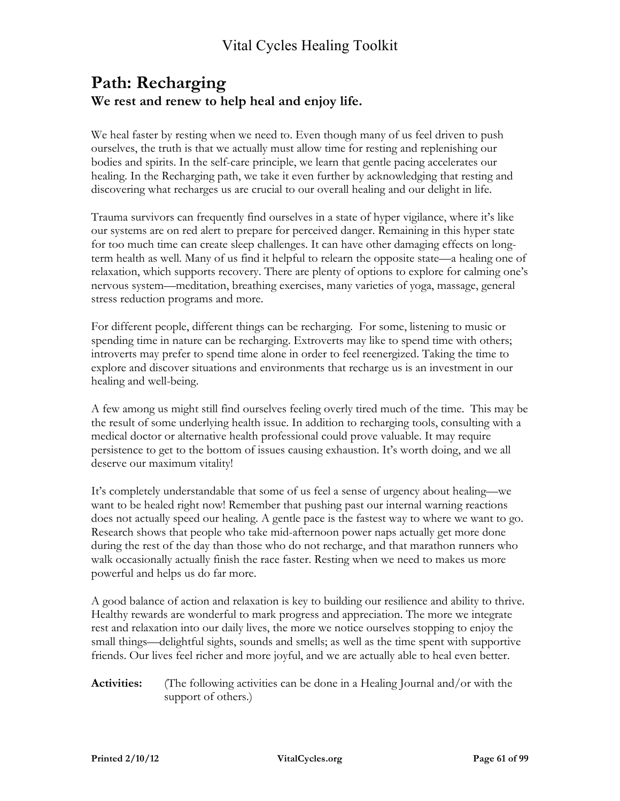### **Path: Recharging We rest and renew to help heal and enjoy life.**

We heal faster by resting when we need to. Even though many of us feel driven to push ourselves, the truth is that we actually must allow time for resting and replenishing our bodies and spirits. In the self-care principle, we learn that gentle pacing accelerates our healing. In the Recharging path, we take it even further by acknowledging that resting and discovering what recharges us are crucial to our overall healing and our delight in life.

Trauma survivors can frequently find ourselves in a state of hyper vigilance, where it's like our systems are on red alert to prepare for perceived danger. Remaining in this hyper state for too much time can create sleep challenges. It can have other damaging effects on longterm health as well. Many of us find it helpful to relearn the opposite state—a healing one of relaxation, which supports recovery. There are plenty of options to explore for calming one's nervous system—meditation, breathing exercises, many varieties of yoga, massage, general stress reduction programs and more.

For different people, different things can be recharging. For some, listening to music or spending time in nature can be recharging. Extroverts may like to spend time with others; introverts may prefer to spend time alone in order to feel reenergized. Taking the time to explore and discover situations and environments that recharge us is an investment in our healing and well-being.

A few among us might still find ourselves feeling overly tired much of the time. This may be the result of some underlying health issue. In addition to recharging tools, consulting with a medical doctor or alternative health professional could prove valuable. It may require persistence to get to the bottom of issues causing exhaustion. It's worth doing, and we all deserve our maximum vitality!

It's completely understandable that some of us feel a sense of urgency about healing—we want to be healed right now! Remember that pushing past our internal warning reactions does not actually speed our healing. A gentle pace is the fastest way to where we want to go. Research shows that people who take mid-afternoon power naps actually get more done during the rest of the day than those who do not recharge, and that marathon runners who walk occasionally actually finish the race faster. Resting when we need to makes us more powerful and helps us do far more.

A good balance of action and relaxation is key to building our resilience and ability to thrive. Healthy rewards are wonderful to mark progress and appreciation. The more we integrate rest and relaxation into our daily lives, the more we notice ourselves stopping to enjoy the small things—delightful sights, sounds and smells; as well as the time spent with supportive friends. Our lives feel richer and more joyful, and we are actually able to heal even better.

**Activities:** (The following activities can be done in a Healing Journal and/or with the support of others.)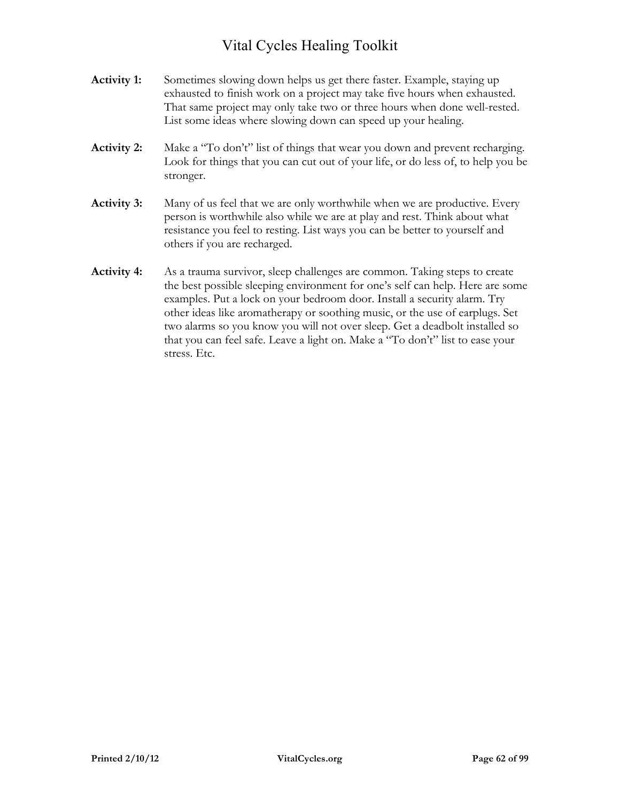- **Activity 1:** Sometimes slowing down helps us get there faster. Example, staying up exhausted to finish work on a project may take five hours when exhausted. That same project may only take two or three hours when done well-rested. List some ideas where slowing down can speed up your healing.
- **Activity 2:** Make a "To don't" list of things that wear you down and prevent recharging. Look for things that you can cut out of your life, or do less of, to help you be stronger.
- **Activity 3:** Many of us feel that we are only worthwhile when we are productive. Every person is worthwhile also while we are at play and rest. Think about what resistance you feel to resting. List ways you can be better to yourself and others if you are recharged.
- **Activity 4:** As a trauma survivor, sleep challenges are common. Taking steps to create the best possible sleeping environment for one's self can help. Here are some examples. Put a lock on your bedroom door. Install a security alarm. Try other ideas like aromatherapy or soothing music, or the use of earplugs. Set two alarms so you know you will not over sleep. Get a deadbolt installed so that you can feel safe. Leave a light on. Make a "To don't" list to ease your stress. Etc.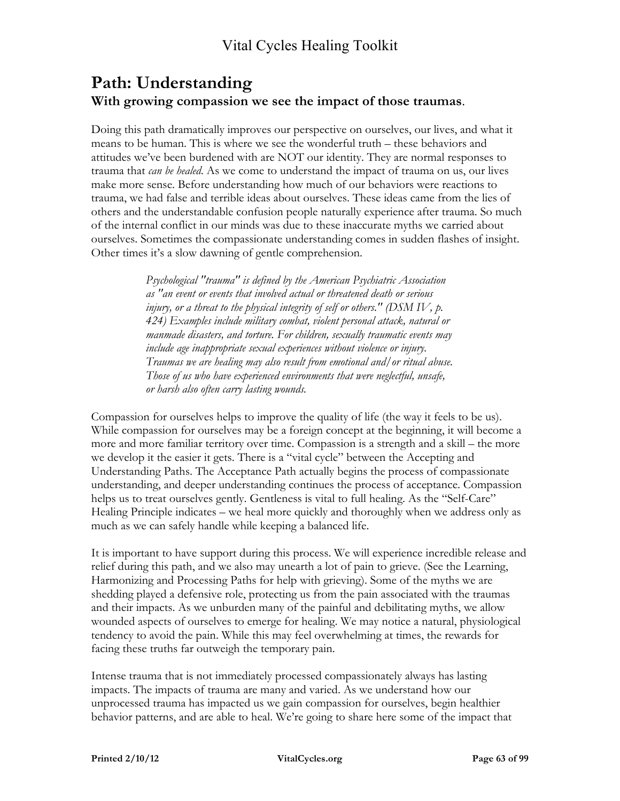### **Path: Understanding With growing compassion we see the impact of those traumas**.

Doing this path dramatically improves our perspective on ourselves, our lives, and what it means to be human. This is where we see the wonderful truth – these behaviors and attitudes we've been burdened with are NOT our identity. They are normal responses to trauma that *can be healed*. As we come to understand the impact of trauma on us, our lives make more sense. Before understanding how much of our behaviors were reactions to trauma, we had false and terrible ideas about ourselves. These ideas came from the lies of others and the understandable confusion people naturally experience after trauma. So much of the internal conflict in our minds was due to these inaccurate myths we carried about ourselves. Sometimes the compassionate understanding comes in sudden flashes of insight. Other times it's a slow dawning of gentle comprehension.

> *Psychological "trauma" is defined by the American Psychiatric Association as "an event or events that involved actual or threatened death or serious injury, or a threat to the physical integrity of self or others.*" (DSM IV, p. *424) Examples include military combat, violent personal attack, natural or manmade disasters, and torture. For children, sexually traumatic events may include age inappropriate sexual experiences without violence or injury. Traumas we are healing may also result from emotional and/or ritual abuse. Those of us who have experienced environments that were neglectful, unsafe, or harsh also often carry lasting wounds.*

Compassion for ourselves helps to improve the quality of life (the way it feels to be us). While compassion for ourselves may be a foreign concept at the beginning, it will become a more and more familiar territory over time. Compassion is a strength and a skill – the more we develop it the easier it gets. There is a "vital cycle" between the Accepting and Understanding Paths. The Acceptance Path actually begins the process of compassionate understanding, and deeper understanding continues the process of acceptance. Compassion helps us to treat ourselves gently. Gentleness is vital to full healing. As the "Self-Care" Healing Principle indicates – we heal more quickly and thoroughly when we address only as much as we can safely handle while keeping a balanced life.

It is important to have support during this process. We will experience incredible release and relief during this path, and we also may unearth a lot of pain to grieve. (See the Learning, Harmonizing and Processing Paths for help with grieving). Some of the myths we are shedding played a defensive role, protecting us from the pain associated with the traumas and their impacts. As we unburden many of the painful and debilitating myths, we allow wounded aspects of ourselves to emerge for healing. We may notice a natural, physiological tendency to avoid the pain. While this may feel overwhelming at times, the rewards for facing these truths far outweigh the temporary pain.

Intense trauma that is not immediately processed compassionately always has lasting impacts. The impacts of trauma are many and varied. As we understand how our unprocessed trauma has impacted us we gain compassion for ourselves, begin healthier behavior patterns, and are able to heal. We're going to share here some of the impact that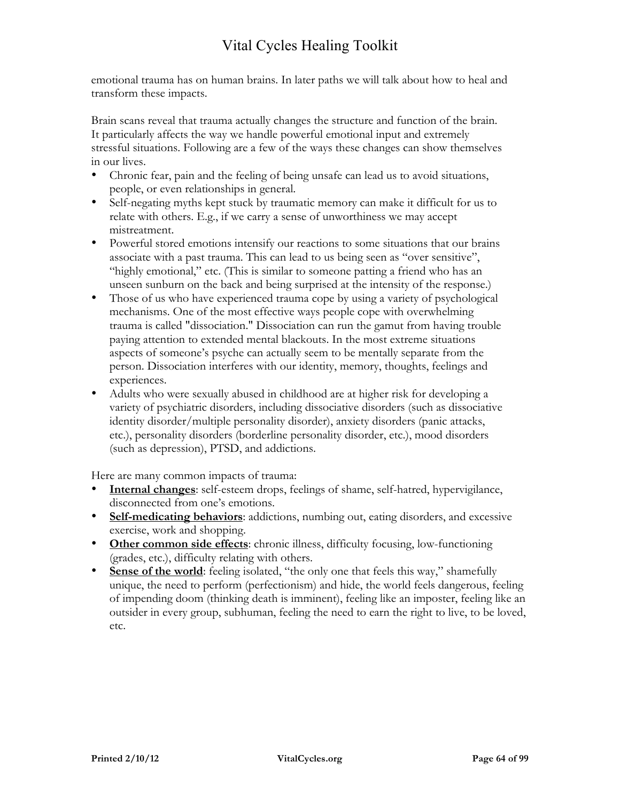emotional trauma has on human brains. In later paths we will talk about how to heal and transform these impacts.

Brain scans reveal that trauma actually changes the structure and function of the brain. It particularly affects the way we handle powerful emotional input and extremely stressful situations. Following are a few of the ways these changes can show themselves in our lives.

- Chronic fear, pain and the feeling of being unsafe can lead us to avoid situations, people, or even relationships in general.
- Self-negating myths kept stuck by traumatic memory can make it difficult for us to relate with others. E.g., if we carry a sense of unworthiness we may accept mistreatment.
- Powerful stored emotions intensify our reactions to some situations that our brains associate with a past trauma. This can lead to us being seen as "over sensitive", "highly emotional," etc. (This is similar to someone patting a friend who has an unseen sunburn on the back and being surprised at the intensity of the response.)
- Those of us who have experienced trauma cope by using a variety of psychological mechanisms. One of the most effective ways people cope with overwhelming trauma is called "dissociation." Dissociation can run the gamut from having trouble paying attention to extended mental blackouts. In the most extreme situations aspects of someone's psyche can actually seem to be mentally separate from the person. Dissociation interferes with our identity, memory, thoughts, feelings and experiences.
- Adults who were sexually abused in childhood are at higher risk for developing a variety of psychiatric disorders, including dissociative disorders (such as dissociative identity disorder/multiple personality disorder), anxiety disorders (panic attacks, etc.), personality disorders (borderline personality disorder, etc.), mood disorders (such as depression), PTSD, and addictions.

Here are many common impacts of trauma:

- **Internal changes**: self-esteem drops, feelings of shame, self-hatred, hypervigilance, disconnected from one's emotions.
- **Self-medicating behaviors**: addictions, numbing out, eating disorders, and excessive exercise, work and shopping.
- **Other common side effects**: chronic illness, difficulty focusing, low-functioning (grades, etc.), difficulty relating with others.
- **Sense of the world:** feeling isolated, "the only one that feels this way," shamefully unique, the need to perform (perfectionism) and hide, the world feels dangerous, feeling of impending doom (thinking death is imminent), feeling like an imposter, feeling like an outsider in every group, subhuman, feeling the need to earn the right to live, to be loved, etc.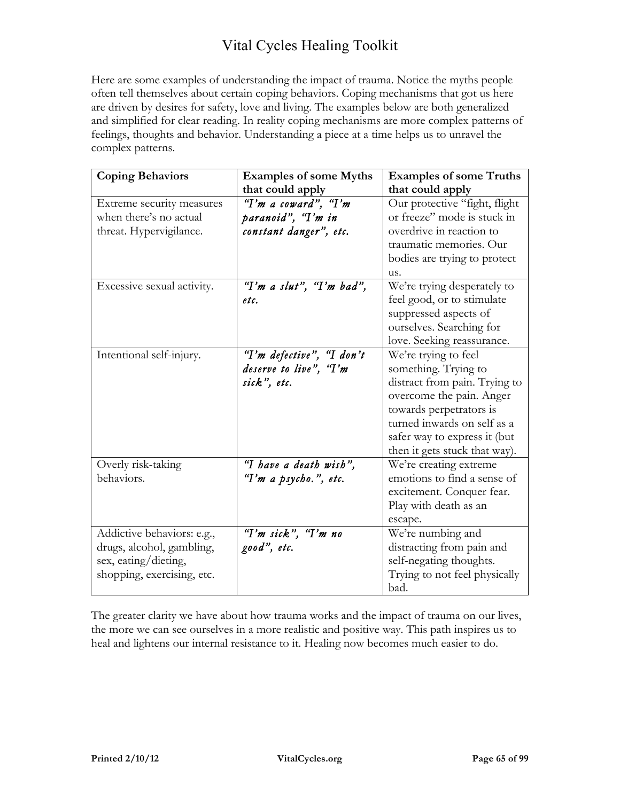Here are some examples of understanding the impact of trauma. Notice the myths people often tell themselves about certain coping behaviors. Coping mechanisms that got us here are driven by desires for safety, love and living. The examples below are both generalized and simplified for clear reading. In reality coping mechanisms are more complex patterns of feelings, thoughts and behavior. Understanding a piece at a time helps us to unravel the complex patterns.

| <b>Coping Behaviors</b>    | <b>Examples of some Myths</b> | <b>Examples of some Truths</b> |
|----------------------------|-------------------------------|--------------------------------|
|                            | that could apply              | that could apply               |
| Extreme security measures  | "I'm a coward", "I'm          | Our protective "fight, flight  |
| when there's no actual     | paranoid", "I'm in            | or freeze" mode is stuck in    |
| threat. Hypervigilance.    | constant danger", etc.        | overdrive in reaction to       |
|                            |                               | traumatic memories. Our        |
|                            |                               | bodies are trying to protect   |
|                            |                               | us.                            |
| Excessive sexual activity. | "I'm a slut", "I'm bad",      | We're trying desperately to    |
|                            | etc.                          | feel good, or to stimulate     |
|                            |                               | suppressed aspects of          |
|                            |                               | ourselves. Searching for       |
|                            |                               | love. Seeking reassurance.     |
| Intentional self-injury.   | "I'm defective", "I don't     | We're trying to feel           |
|                            | deserve to live", "I'm        | something. Trying to           |
|                            | sick", etc.                   | distract from pain. Trying to  |
|                            |                               | overcome the pain. Anger       |
|                            |                               | towards perpetrators is        |
|                            |                               | turned inwards on self as a    |
|                            |                               | safer way to express it (but   |
|                            |                               | then it gets stuck that way).  |
| Overly risk-taking         | "I have a death wish",        | We're creating extreme         |
| behaviors.                 | "I'm a psycho.", etc.         | emotions to find a sense of    |
|                            |                               | excitement. Conquer fear.      |
|                            |                               | Play with death as an          |
|                            |                               | escape.                        |
| Addictive behaviors: e.g., | "I'm sick", "I'm no           | We're numbing and              |
| drugs, alcohol, gambling,  | good", etc.                   | distracting from pain and      |
| sex, eating/dieting,       |                               | self-negating thoughts.        |
| shopping, exercising, etc. |                               | Trying to not feel physically  |
|                            |                               | bad.                           |

The greater clarity we have about how trauma works and the impact of trauma on our lives, the more we can see ourselves in a more realistic and positive way. This path inspires us to heal and lightens our internal resistance to it. Healing now becomes much easier to do.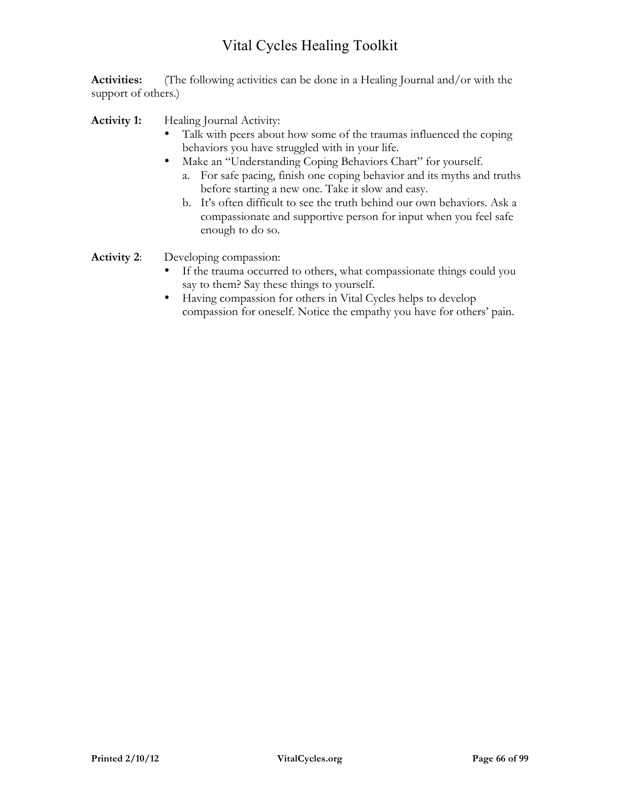**Activities:** (The following activities can be done in a Healing Journal and/or with the support of others.)

Activity 1: Healing Journal Activity:

- Talk with peers about how some of the traumas influenced the coping behaviors you have struggled with in your life.
- Make an "Understanding Coping Behaviors Chart" for yourself.
	- a. For safe pacing, finish one coping behavior and its myths and truths before starting a new one. Take it slow and easy.
	- b. It's often difficult to see the truth behind our own behaviors. Ask a compassionate and supportive person for input when you feel safe enough to do so.

**Activity 2**: Developing compassion:

- If the trauma occurred to others, what compassionate things could you say to them? Say these things to yourself.
- Having compassion for others in Vital Cycles helps to develop compassion for oneself. Notice the empathy you have for others' pain.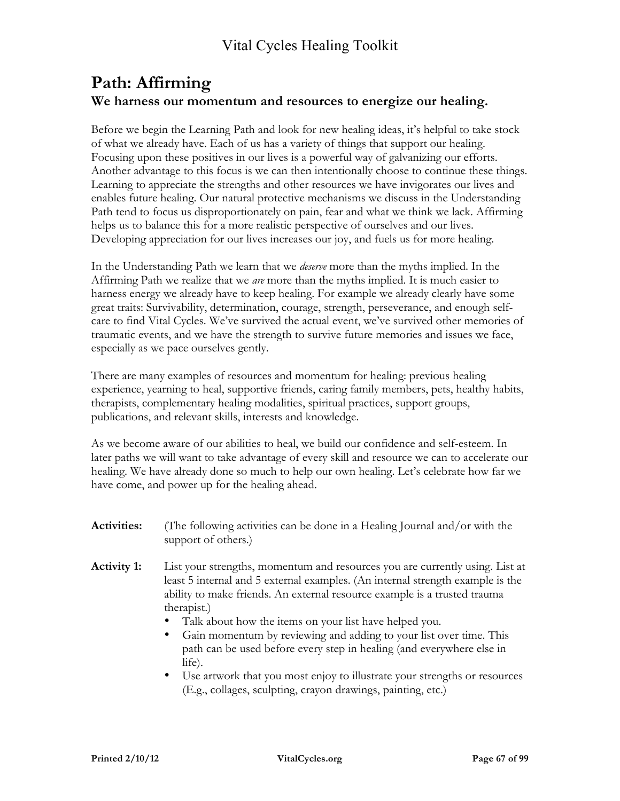### **Path: Affirming We harness our momentum and resources to energize our healing.**

Before we begin the Learning Path and look for new healing ideas, it's helpful to take stock of what we already have. Each of us has a variety of things that support our healing. Focusing upon these positives in our lives is a powerful way of galvanizing our efforts. Another advantage to this focus is we can then intentionally choose to continue these things. Learning to appreciate the strengths and other resources we have invigorates our lives and enables future healing. Our natural protective mechanisms we discuss in the Understanding Path tend to focus us disproportionately on pain, fear and what we think we lack. Affirming helps us to balance this for a more realistic perspective of ourselves and our lives. Developing appreciation for our lives increases our joy, and fuels us for more healing.

In the Understanding Path we learn that we *deserve* more than the myths implied. In the Affirming Path we realize that we *are* more than the myths implied. It is much easier to harness energy we already have to keep healing. For example we already clearly have some great traits: Survivability, determination, courage, strength, perseverance, and enough selfcare to find Vital Cycles. We've survived the actual event, we've survived other memories of traumatic events, and we have the strength to survive future memories and issues we face, especially as we pace ourselves gently.

There are many examples of resources and momentum for healing: previous healing experience, yearning to heal, supportive friends, caring family members, pets, healthy habits, therapists, complementary healing modalities, spiritual practices, support groups, publications, and relevant skills, interests and knowledge.

As we become aware of our abilities to heal, we build our confidence and self-esteem. In later paths we will want to take advantage of every skill and resource we can to accelerate our healing. We have already done so much to help our own healing. Let's celebrate how far we have come, and power up for the healing ahead.

- **Activities:** (The following activities can be done in a Healing Journal and/or with the support of others.)
- **Activity 1:** List your strengths, momentum and resources you are currently using. List at least 5 internal and 5 external examples. (An internal strength example is the ability to make friends. An external resource example is a trusted trauma therapist.)
	- Talk about how the items on your list have helped you.
	- Gain momentum by reviewing and adding to your list over time. This path can be used before every step in healing (and everywhere else in life).
	- Use artwork that you most enjoy to illustrate your strengths or resources (E.g., collages, sculpting, crayon drawings, painting, etc.)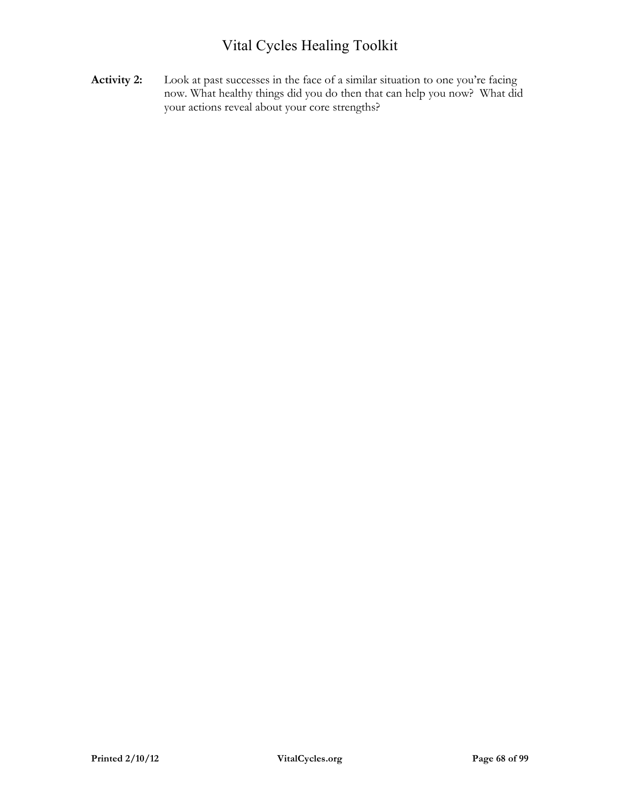Activity 2: Look at past successes in the face of a similar situation to one you're facing now. What healthy things did you do then that can help you now? What did your actions reveal about your core strengths?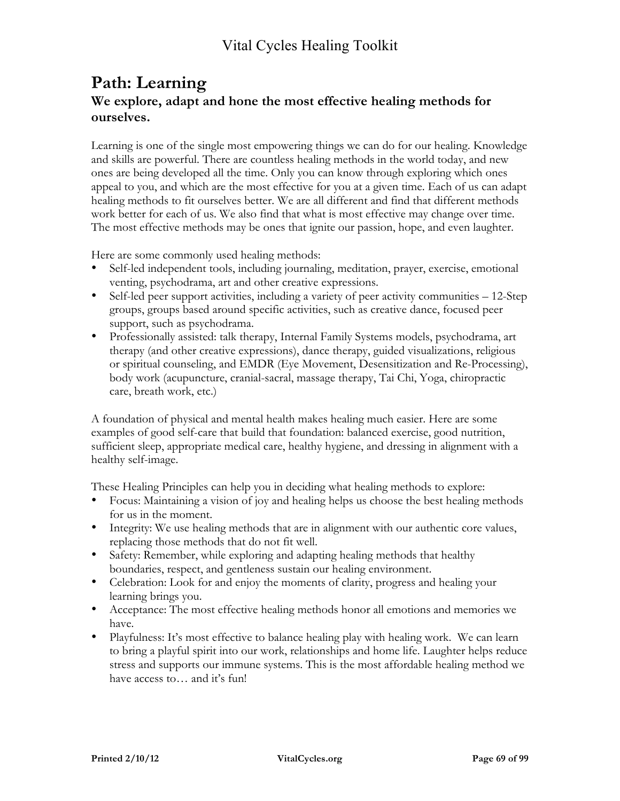### **Path: Learning We explore, adapt and hone the most effective healing methods for ourselves.**

Learning is one of the single most empowering things we can do for our healing. Knowledge and skills are powerful. There are countless healing methods in the world today, and new ones are being developed all the time. Only you can know through exploring which ones appeal to you, and which are the most effective for you at a given time. Each of us can adapt healing methods to fit ourselves better. We are all different and find that different methods work better for each of us. We also find that what is most effective may change over time. The most effective methods may be ones that ignite our passion, hope, and even laughter.

Here are some commonly used healing methods:

- Self-led independent tools, including journaling, meditation, prayer, exercise, emotional venting, psychodrama, art and other creative expressions.
- Self-led peer support activities, including a variety of peer activity communities 12-Step groups, groups based around specific activities, such as creative dance, focused peer support, such as psychodrama.
- Professionally assisted: talk therapy, Internal Family Systems models, psychodrama, art therapy (and other creative expressions), dance therapy, guided visualizations, religious or spiritual counseling, and EMDR (Eye Movement, Desensitization and Re-Processing), body work (acupuncture, cranial-sacral, massage therapy, Tai Chi, Yoga, chiropractic care, breath work, etc.)

A foundation of physical and mental health makes healing much easier. Here are some examples of good self-care that build that foundation: balanced exercise, good nutrition, sufficient sleep, appropriate medical care, healthy hygiene, and dressing in alignment with a healthy self-image.

These Healing Principles can help you in deciding what healing methods to explore:

- Focus: Maintaining a vision of joy and healing helps us choose the best healing methods for us in the moment.
- Integrity: We use healing methods that are in alignment with our authentic core values, replacing those methods that do not fit well.
- Safety: Remember, while exploring and adapting healing methods that healthy boundaries, respect, and gentleness sustain our healing environment.
- Celebration: Look for and enjoy the moments of clarity, progress and healing your learning brings you.
- Acceptance: The most effective healing methods honor all emotions and memories we have.
- Playfulness: It's most effective to balance healing play with healing work. We can learn to bring a playful spirit into our work, relationships and home life. Laughter helps reduce stress and supports our immune systems. This is the most affordable healing method we have access to… and it's fun!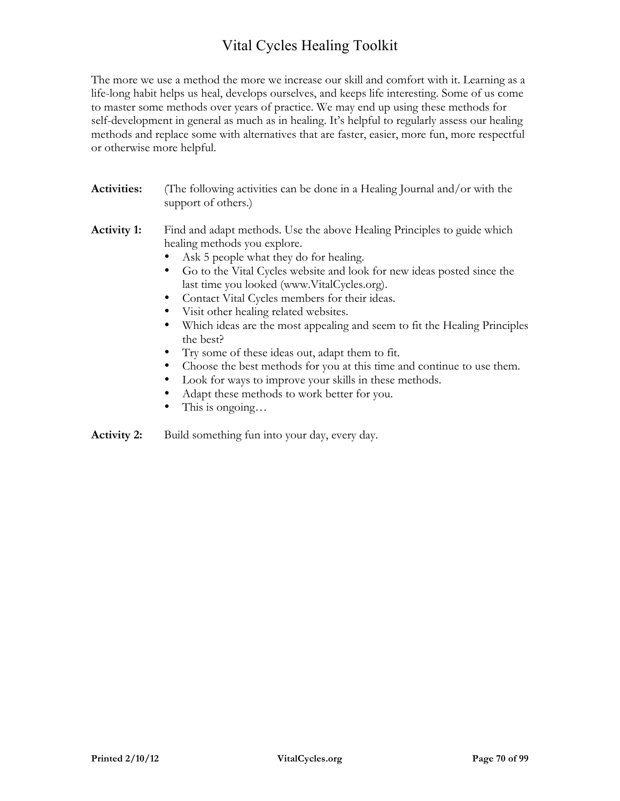The more we use a method the more we increase our skill and comfort with it. Learning as a life-long habit helps us heal, develops ourselves, and keeps life interesting. Some of us come to master some methods over years of practice. We may end up using these methods for self-development in general as much as in healing. It's helpful to regularly assess our healing methods and replace some with alternatives that are faster, easier, more fun, more respectful or otherwise more helpful.

| <b>Activities:</b> | (The following activities can be done in a Healing Journal and/or with the<br>support of others.)       |
|--------------------|---------------------------------------------------------------------------------------------------------|
| <b>Activity 1:</b> | Find and adapt methods. Use the above Healing Principles to guide which<br>healing methods you explore. |
|                    | • Ask 5 people what they do for healing.                                                                |
|                    | • Go to the Vital Cycles website and look for new ideas posted since the                                |
|                    | $\frac{1}{2}$                                                                                           |

- last time you looked (www.VitalCycles.org).
- Contact Vital Cycles members for their ideas.
- Visit other healing related websites.
- Which ideas are the most appealing and seem to fit the Healing Principles the best?
- Try some of these ideas out, adapt them to fit.
- Choose the best methods for you at this time and continue to use them.
- Look for ways to improve your skills in these methods.
- Adapt these methods to work better for you.
- This is ongoing...

**Activity 2:** Build something fun into your day, every day.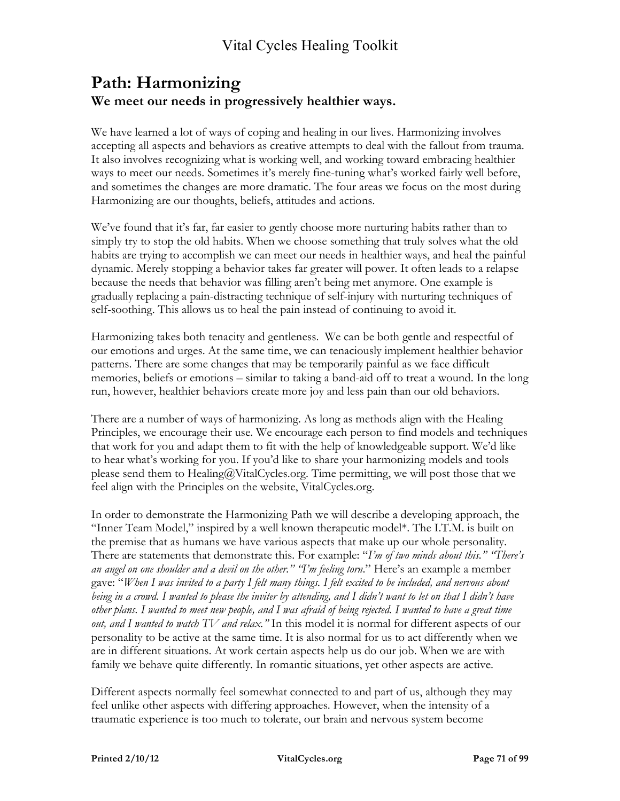### **Path: Harmonizing We meet our needs in progressively healthier ways.**

We have learned a lot of ways of coping and healing in our lives. Harmonizing involves accepting all aspects and behaviors as creative attempts to deal with the fallout from trauma. It also involves recognizing what is working well, and working toward embracing healthier ways to meet our needs. Sometimes it's merely fine-tuning what's worked fairly well before, and sometimes the changes are more dramatic. The four areas we focus on the most during Harmonizing are our thoughts, beliefs, attitudes and actions.

We've found that it's far, far easier to gently choose more nurturing habits rather than to simply try to stop the old habits. When we choose something that truly solves what the old habits are trying to accomplish we can meet our needs in healthier ways, and heal the painful dynamic. Merely stopping a behavior takes far greater will power. It often leads to a relapse because the needs that behavior was filling aren't being met anymore. One example is gradually replacing a pain-distracting technique of self-injury with nurturing techniques of self-soothing. This allows us to heal the pain instead of continuing to avoid it.

Harmonizing takes both tenacity and gentleness. We can be both gentle and respectful of our emotions and urges. At the same time, we can tenaciously implement healthier behavior patterns. There are some changes that may be temporarily painful as we face difficult memories, beliefs or emotions – similar to taking a band-aid off to treat a wound. In the long run, however, healthier behaviors create more joy and less pain than our old behaviors.

There are a number of ways of harmonizing. As long as methods align with the Healing Principles, we encourage their use. We encourage each person to find models and techniques that work for you and adapt them to fit with the help of knowledgeable support. We'd like to hear what's working for you. If you'd like to share your harmonizing models and tools please send them to Healing@VitalCycles.org. Time permitting, we will post those that we feel align with the Principles on the website, VitalCycles.org.

In order to demonstrate the Harmonizing Path we will describe a developing approach, the "Inner Team Model," inspired by a well known therapeutic model\*. The I.T.M. is built on the premise that as humans we have various aspects that make up our whole personality. There are statements that demonstrate this. For example: "*I'm of two minds about this." "There's an angel on one shoulder and a devil on the other." "I'm feeling torn*." Here's an example a member gave: "*When I was invited to a party I felt many things. I felt excited to be included, and nervous about being in a crowd. I wanted to please the inviter by attending, and I didn't want to let on that I didn't have other plans. I wanted to meet new people, and I was afraid of being rejected. I wanted to have a great time out, and I wanted to watch TV and relax."* In this model it is normal for different aspects of our personality to be active at the same time. It is also normal for us to act differently when we are in different situations. At work certain aspects help us do our job. When we are with family we behave quite differently. In romantic situations, yet other aspects are active.

Different aspects normally feel somewhat connected to and part of us, although they may feel unlike other aspects with differing approaches. However, when the intensity of a traumatic experience is too much to tolerate, our brain and nervous system become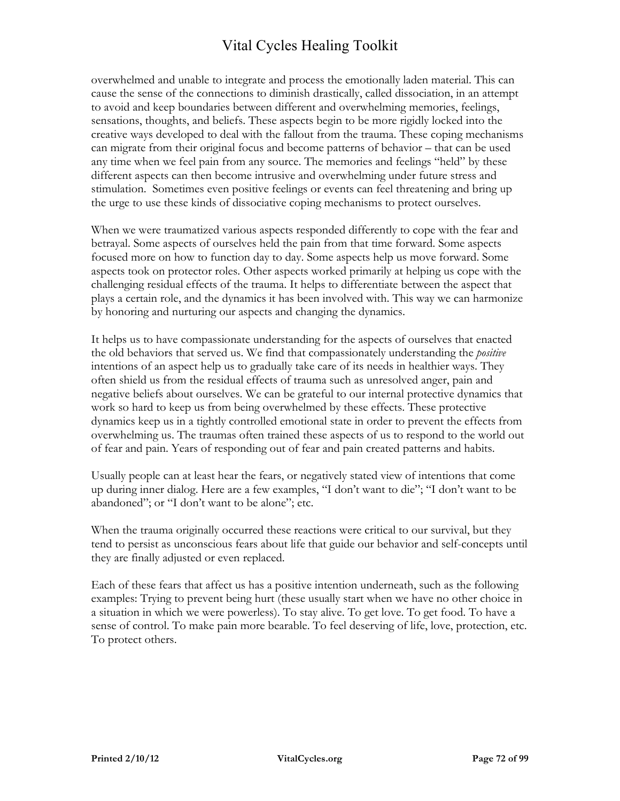overwhelmed and unable to integrate and process the emotionally laden material. This can cause the sense of the connections to diminish drastically, called dissociation, in an attempt to avoid and keep boundaries between different and overwhelming memories, feelings, sensations, thoughts, and beliefs. These aspects begin to be more rigidly locked into the creative ways developed to deal with the fallout from the trauma. These coping mechanisms can migrate from their original focus and become patterns of behavior – that can be used any time when we feel pain from any source. The memories and feelings "held" by these different aspects can then become intrusive and overwhelming under future stress and stimulation. Sometimes even positive feelings or events can feel threatening and bring up the urge to use these kinds of dissociative coping mechanisms to protect ourselves.

When we were traumatized various aspects responded differently to cope with the fear and betrayal. Some aspects of ourselves held the pain from that time forward. Some aspects focused more on how to function day to day. Some aspects help us move forward. Some aspects took on protector roles. Other aspects worked primarily at helping us cope with the challenging residual effects of the trauma. It helps to differentiate between the aspect that plays a certain role, and the dynamics it has been involved with. This way we can harmonize by honoring and nurturing our aspects and changing the dynamics.

It helps us to have compassionate understanding for the aspects of ourselves that enacted the old behaviors that served us. We find that compassionately understanding the *positive* intentions of an aspect help us to gradually take care of its needs in healthier ways. They often shield us from the residual effects of trauma such as unresolved anger, pain and negative beliefs about ourselves. We can be grateful to our internal protective dynamics that work so hard to keep us from being overwhelmed by these effects. These protective dynamics keep us in a tightly controlled emotional state in order to prevent the effects from overwhelming us. The traumas often trained these aspects of us to respond to the world out of fear and pain. Years of responding out of fear and pain created patterns and habits.

Usually people can at least hear the fears, or negatively stated view of intentions that come up during inner dialog. Here are a few examples, "I don't want to die"; "I don't want to be abandoned"; or "I don't want to be alone"; etc.

When the trauma originally occurred these reactions were critical to our survival, but they tend to persist as unconscious fears about life that guide our behavior and self-concepts until they are finally adjusted or even replaced.

Each of these fears that affect us has a positive intention underneath, such as the following examples: Trying to prevent being hurt (these usually start when we have no other choice in a situation in which we were powerless). To stay alive. To get love. To get food. To have a sense of control. To make pain more bearable. To feel deserving of life, love, protection, etc. To protect others.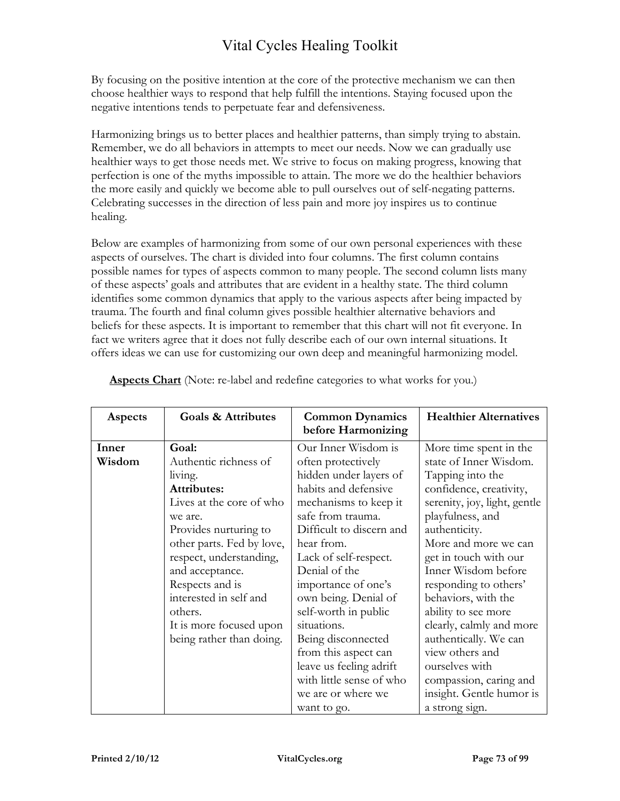By focusing on the positive intention at the core of the protective mechanism we can then choose healthier ways to respond that help fulfill the intentions. Staying focused upon the negative intentions tends to perpetuate fear and defensiveness.

Harmonizing brings us to better places and healthier patterns, than simply trying to abstain. Remember, we do all behaviors in attempts to meet our needs. Now we can gradually use healthier ways to get those needs met. We strive to focus on making progress, knowing that perfection is one of the myths impossible to attain. The more we do the healthier behaviors the more easily and quickly we become able to pull ourselves out of self-negating patterns. Celebrating successes in the direction of less pain and more joy inspires us to continue healing.

Below are examples of harmonizing from some of our own personal experiences with these aspects of ourselves. The chart is divided into four columns. The first column contains possible names for types of aspects common to many people. The second column lists many of these aspects' goals and attributes that are evident in a healthy state. The third column identifies some common dynamics that apply to the various aspects after being impacted by trauma. The fourth and final column gives possible healthier alternative behaviors and beliefs for these aspects. It is important to remember that this chart will not fit everyone. In fact we writers agree that it does not fully describe each of our own internal situations. It offers ideas we can use for customizing our own deep and meaningful harmonizing model.

| Aspects | <b>Goals &amp; Attributes</b> | <b>Common Dynamics</b><br>before Harmonizing | <b>Healthier Alternatives</b> |
|---------|-------------------------------|----------------------------------------------|-------------------------------|
| Inner   | Goal:                         | Our Inner Wisdom is                          | More time spent in the        |
| Wisdom  | Authentic richness of         | often protectively                           | state of Inner Wisdom.        |
|         | living.                       | hidden under layers of                       | Tapping into the              |
|         | <b>Attributes:</b>            | habits and defensive                         | confidence, creativity,       |
|         | Lives at the core of who      | mechanisms to keep it                        | serenity, joy, light, gentle  |
|         | we are.                       | safe from trauma.                            | playfulness, and              |
|         | Provides nurturing to         | Difficult to discern and                     | authenticity.                 |
|         | other parts. Fed by love,     | hear from.                                   | More and more we can          |
|         | respect, understanding,       | Lack of self-respect.                        | get in touch with our         |
|         | and acceptance.               | Denial of the                                | Inner Wisdom before           |
|         | Respects and is               | importance of one's                          | responding to others'         |
|         | interested in self and        | own being. Denial of                         | behaviors, with the           |
|         | others.                       | self-worth in public                         | ability to see more           |
|         | It is more focused upon       | situations.                                  | clearly, calmly and more      |
|         | being rather than doing.      | Being disconnected                           | authentically. We can         |
|         |                               | from this aspect can                         | view others and               |
|         |                               | leave us feeling adrift                      | ourselves with                |
|         |                               | with little sense of who                     | compassion, caring and        |
|         |                               | we are or where we                           | insight. Gentle humor is      |
|         |                               | want to go.                                  | a strong sign.                |

**Aspects Chart** (Note: re-label and redefine categories to what works for you.)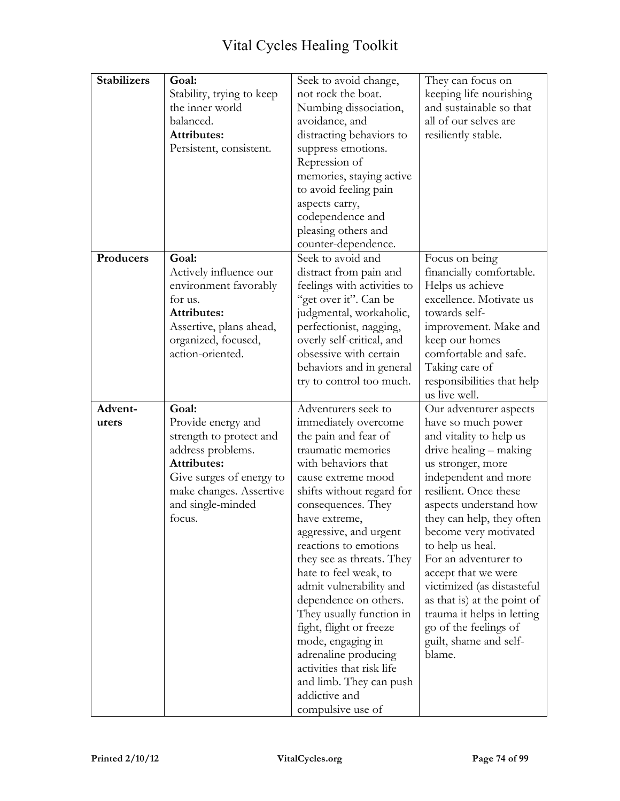| <b>Stabilizers</b> | Goal:                     | Seek to avoid change,              | They can focus on           |
|--------------------|---------------------------|------------------------------------|-----------------------------|
|                    | Stability, trying to keep | not rock the boat.                 | keeping life nourishing     |
|                    | the inner world           | Numbing dissociation,              | and sustainable so that     |
|                    | balanced.                 | avoidance, and                     | all of our selves are       |
|                    | <b>Attributes:</b>        | distracting behaviors to           | resiliently stable.         |
|                    | Persistent, consistent.   | suppress emotions.                 |                             |
|                    |                           | Repression of                      |                             |
|                    |                           | memories, staying active           |                             |
|                    |                           | to avoid feeling pain              |                             |
|                    |                           | aspects carry,                     |                             |
|                    |                           | codependence and                   |                             |
|                    |                           | pleasing others and                |                             |
|                    |                           | counter-dependence.                |                             |
| Producers          | Goal:                     | Seek to avoid and                  | Focus on being              |
|                    | Actively influence our    | distract from pain and             | financially comfortable.    |
|                    | environment favorably     | feelings with activities to        | Helps us achieve            |
|                    | for us.                   | "get over it". Can be              | excellence. Motivate us     |
|                    | <b>Attributes:</b>        | judgmental, workaholic,            | towards self-               |
|                    | Assertive, plans ahead,   | perfectionist, nagging,            | improvement. Make and       |
|                    | organized, focused,       | overly self-critical, and          | keep our homes              |
|                    | action-oriented.          | obsessive with certain             | comfortable and safe.       |
|                    |                           | behaviors and in general           | Taking care of              |
|                    |                           | try to control too much.           | responsibilities that help  |
|                    |                           |                                    | us live well.               |
| Advent-            | Goal:                     | Adventurers seek to                | Our adventurer aspects      |
| urers              | Provide energy and        | immediately overcome               | have so much power          |
|                    | strength to protect and   | the pain and fear of               | and vitality to help us     |
|                    | address problems.         | traumatic memories                 | drive healing – making      |
|                    | <b>Attributes:</b>        | with behaviors that                | us stronger, more           |
|                    | Give surges of energy to  | cause extreme mood                 | independent and more        |
|                    | make changes. Assertive   | shifts without regard for          | resilient. Once these       |
|                    | and single-minded         | consequences. They                 | aspects understand how      |
|                    | focus.                    | have extreme,                      | they can help, they often   |
|                    |                           |                                    |                             |
|                    |                           | aggressive, and urgent             | become very motivated       |
|                    |                           | reactions to emotions              | to help us heal.            |
|                    |                           | they see as threats. They          | For an adventurer to        |
|                    |                           | hate to feel weak, to              | accept that we were         |
|                    |                           | admit vulnerability and            | victimized (as distasteful  |
|                    |                           | dependence on others.              | as that is) at the point of |
|                    |                           | They usually function in           | trauma it helps in letting  |
|                    |                           | fight, flight or freeze            | go of the feelings of       |
|                    |                           | mode, engaging in                  | guilt, shame and self-      |
|                    |                           | adrenaline producing               | blame.                      |
|                    |                           | activities that risk life          |                             |
|                    |                           | and limb. They can push            |                             |
|                    |                           | addictive and<br>compulsive use of |                             |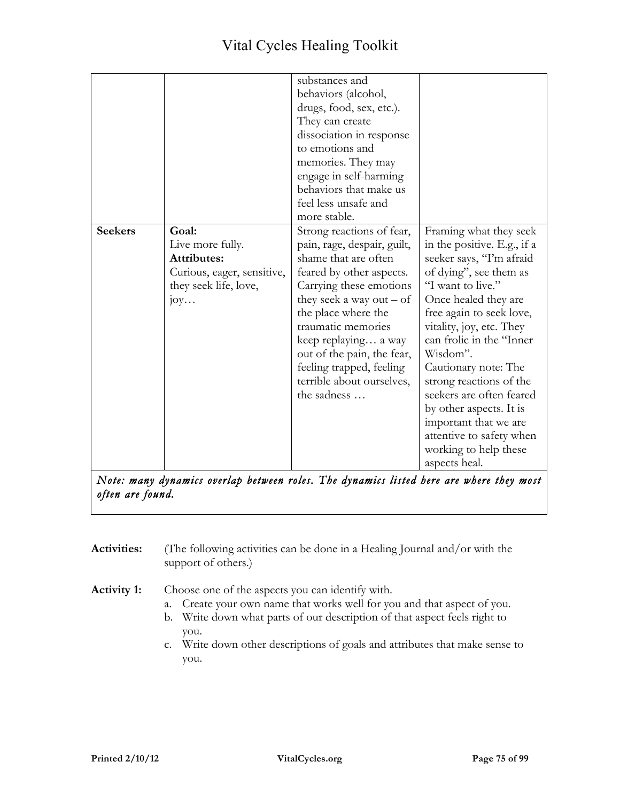|                |                            | substances and              |                             |
|----------------|----------------------------|-----------------------------|-----------------------------|
|                |                            | behaviors (alcohol,         |                             |
|                |                            | drugs, food, sex, etc.).    |                             |
|                |                            | They can create             |                             |
|                |                            | dissociation in response    |                             |
|                |                            | to emotions and             |                             |
|                |                            | memories. They may          |                             |
|                |                            | engage in self-harming      |                             |
|                |                            | behaviors that make us      |                             |
|                |                            | feel less unsafe and        |                             |
|                |                            | more stable.                |                             |
| <b>Seekers</b> | Goal:                      | Strong reactions of fear,   | Framing what they seek      |
|                | Live more fully.           | pain, rage, despair, guilt, | in the positive. E.g., if a |
|                | <b>Attributes:</b>         | shame that are often        | seeker says, "I'm afraid    |
|                | Curious, eager, sensitive, | feared by other aspects.    | of dying", see them as      |
|                | they seek life, love,      | Carrying these emotions     | "I want to live."           |
|                | $j$ oy                     | they seek a way out $-$ of  | Once healed they are        |
|                |                            | the place where the         | free again to seek love,    |
|                |                            | traumatic memories          | vitality, joy, etc. They    |
|                |                            | keep replaying a way        | can frolic in the "Inner    |
|                |                            | out of the pain, the fear,  | Wisdom".                    |
|                |                            | feeling trapped, feeling    | Cautionary note: The        |
|                |                            | terrible about ourselves,   | strong reactions of the     |
|                |                            | the sadness                 | seekers are often feared    |
|                |                            |                             | by other aspects. It is     |
|                |                            |                             |                             |
|                |                            |                             | important that we are       |
|                |                            |                             | attentive to safety when    |
|                |                            |                             | working to help these       |
|                |                            |                             | aspects heal.               |

*Note: many dynamics overlap between roles. The dynamics listed here are where they most often are found.* 

- **Activities:** (The following activities can be done in a Healing Journal and/or with the support of others.)
- **Activity 1:** Choose one of the aspects you can identify with.
	- a. Create your own name that works well for you and that aspect of you.
	- b. Write down what parts of our description of that aspect feels right to you.
	- c. Write down other descriptions of goals and attributes that make sense to you.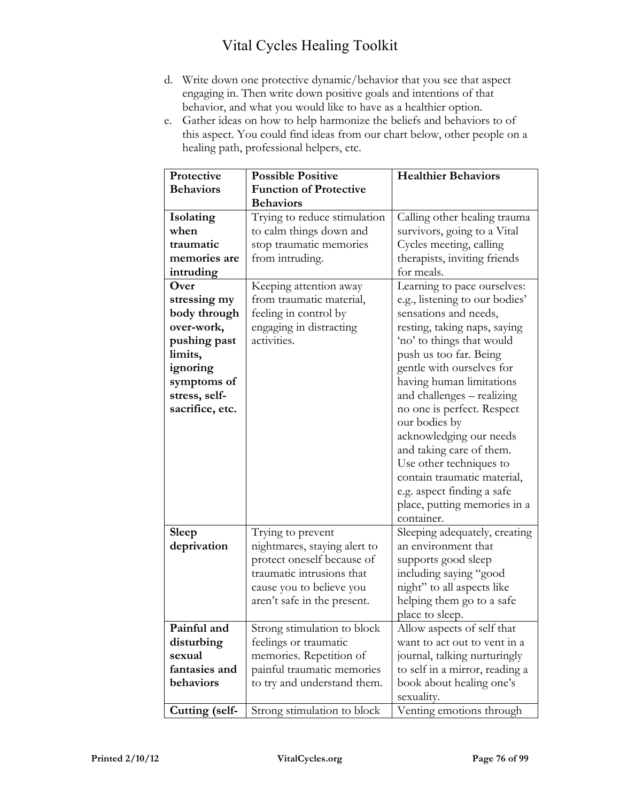- d. Write down one protective dynamic/behavior that you see that aspect engaging in. Then write down positive goals and intentions of that behavior, and what you would like to have as a healthier option.
- e. Gather ideas on how to help harmonize the beliefs and behaviors to of this aspect. You could find ideas from our chart below, other people on a healing path, professional helpers, etc.

| Protective       | <b>Possible Positive</b>      | <b>Healthier Behaviors</b>     |
|------------------|-------------------------------|--------------------------------|
| <b>Behaviors</b> | <b>Function of Protective</b> |                                |
|                  | <b>Behaviors</b>              |                                |
| Isolating        | Trying to reduce stimulation  | Calling other healing trauma   |
| when             | to calm things down and       | survivors, going to a Vital    |
| traumatic        | stop traumatic memories       | Cycles meeting, calling        |
| memories are     | from intruding.               | therapists, inviting friends   |
| intruding        |                               | for meals.                     |
| Over             | Keeping attention away        | Learning to pace ourselves:    |
| stressing my     | from traumatic material,      | e.g., listening to our bodies' |
| body through     | feeling in control by         | sensations and needs,          |
| over-work,       | engaging in distracting       | resting, taking naps, saying   |
| pushing past     | activities.                   | 'no' to things that would      |
| limits,          |                               | push us too far. Being         |
| ignoring         |                               | gentle with ourselves for      |
| symptoms of      |                               | having human limitations       |
| stress, self-    |                               | and challenges - realizing     |
| sacrifice, etc.  |                               | no one is perfect. Respect     |
|                  |                               | our bodies by                  |
|                  |                               | acknowledging our needs        |
|                  |                               | and taking care of them.       |
|                  |                               | Use other techniques to        |
|                  |                               | contain traumatic material,    |
|                  |                               | e.g. aspect finding a safe     |
|                  |                               | place, putting memories in a   |
|                  |                               | container.                     |
| <b>Sleep</b>     | Trying to prevent             | Sleeping adequately, creating  |
| deprivation      | nightmares, staying alert to  | an environment that            |
|                  | protect oneself because of    | supports good sleep            |
|                  | traumatic intrusions that     | including saying "good         |
|                  | cause you to believe you      | night" to all aspects like     |
|                  | aren't safe in the present.   | helping them go to a safe      |
|                  |                               | place to sleep.                |
| Painful and      | Strong stimulation to block   | Allow aspects of self that     |
| disturbing       | feelings or traumatic         | want to act out to vent in a   |
| sexual           | memories. Repetition of       | journal, talking nurturingly   |
| fantasies and    | painful traumatic memories    | to self in a mirror, reading a |
| behaviors        | to try and understand them.   | book about healing one's       |
|                  |                               | sexuality.                     |
| Cutting (self-   | Strong stimulation to block   | Venting emotions through       |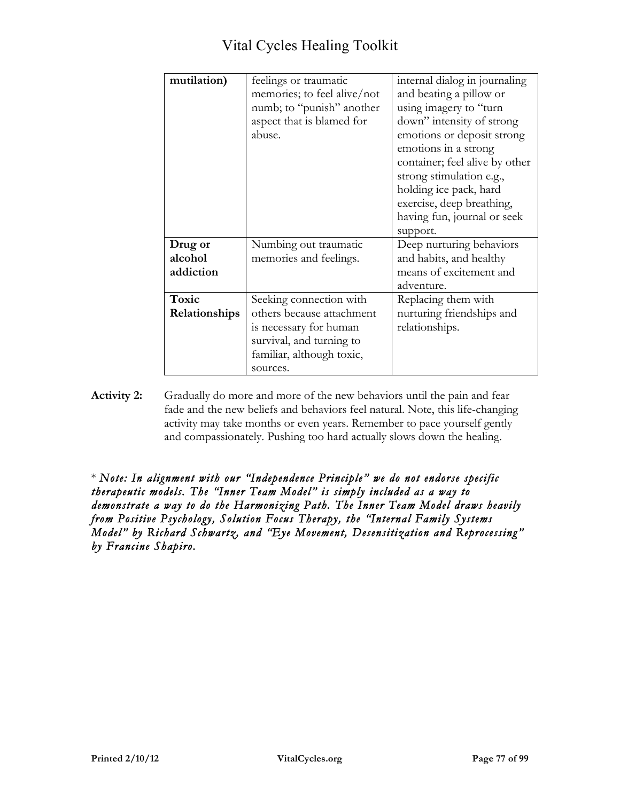| mutilation)   | feelings or traumatic<br>memories; to feel alive/not<br>numb; to "punish" another<br>aspect that is blamed for<br>abuse. | internal dialog in journaling<br>and beating a pillow or<br>using imagery to "turn<br>down" intensity of strong<br>emotions or deposit strong<br>emotions in a strong<br>container; feel alive by other<br>strong stimulation e.g.,<br>holding ice pack, hard<br>exercise, deep breathing, |
|---------------|--------------------------------------------------------------------------------------------------------------------------|--------------------------------------------------------------------------------------------------------------------------------------------------------------------------------------------------------------------------------------------------------------------------------------------|
|               |                                                                                                                          | having fun, journal or seek                                                                                                                                                                                                                                                                |
|               |                                                                                                                          | support.                                                                                                                                                                                                                                                                                   |
| Drug or       | Numbing out traumatic                                                                                                    | Deep nurturing behaviors                                                                                                                                                                                                                                                                   |
| alcohol       | memories and feelings.                                                                                                   | and habits, and healthy                                                                                                                                                                                                                                                                    |
| addiction     |                                                                                                                          | means of excitement and                                                                                                                                                                                                                                                                    |
|               |                                                                                                                          | adventure.                                                                                                                                                                                                                                                                                 |
| Toxic         | Seeking connection with                                                                                                  | Replacing them with                                                                                                                                                                                                                                                                        |
| Relationships | others because attachment                                                                                                | nurturing friendships and                                                                                                                                                                                                                                                                  |
|               | is necessary for human                                                                                                   | relationships.                                                                                                                                                                                                                                                                             |
|               | survival, and turning to                                                                                                 |                                                                                                                                                                                                                                                                                            |
|               | familiar, although toxic,                                                                                                |                                                                                                                                                                                                                                                                                            |
|               | sources.                                                                                                                 |                                                                                                                                                                                                                                                                                            |

**Activity 2:** Gradually do more and more of the new behaviors until the pain and fear fade and the new beliefs and behaviors feel natural. Note, this life-changing activity may take months or even years. Remember to pace yourself gently and compassionately. Pushing too hard actually slows down the healing.

\* *Note: In alignment with our "Independence Principle" we do not endorse specific therapeutic models. The "Inner Team Model" is simply included as a way to demonstrate a way to do the Harmonizing Path. The Inner Team Model draws heavily from Positive Psychology, Solution Focus Therapy, the "Internal Family Systems Model" by Richard Schwartz, and "Eye Movement, Desensitization and Reprocessing" by Francine Shapiro.*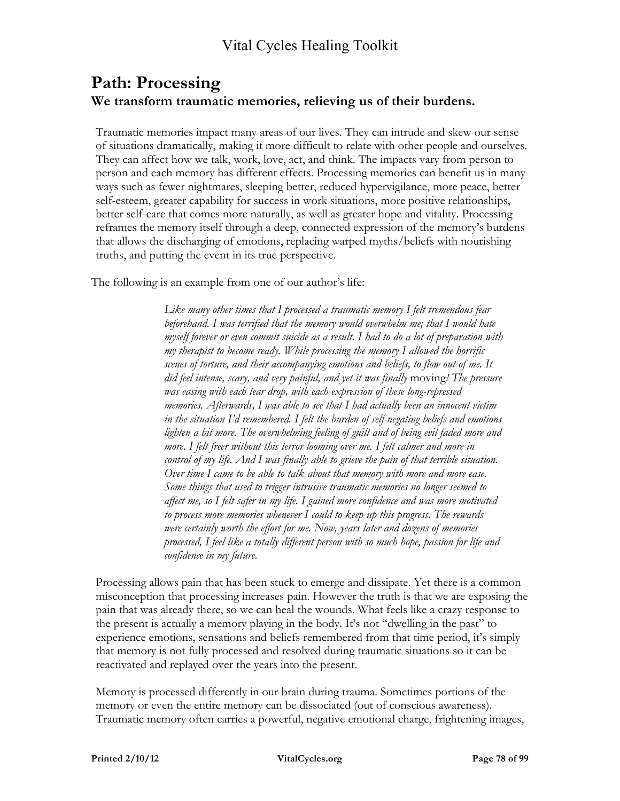### **Path: Processing We transform traumatic memories, relieving us of their burdens.**

Traumatic memories impact many areas of our lives. They can intrude and skew our sense of situations dramatically, making it more difficult to relate with other people and ourselves. They can affect how we talk, work, love, act, and think. The impacts vary from person to person and each memory has different effects. Processing memories can benefit us in many ways such as fewer nightmares, sleeping better, reduced hypervigilance, more peace, better self-esteem, greater capability for success in work situations, more positive relationships, better self-care that comes more naturally, as well as greater hope and vitality. Processing reframes the memory itself through a deep, connected expression of the memory's burdens that allows the discharging of emotions, replacing warped myths/beliefs with nourishing truths, and putting the event in its true perspective.

The following is an example from one of our author's life:

*Like many other times that I processed a traumatic memory I felt tremendous fear beforehand. I was terrified that the memory would overwhelm me; that I would hate myself forever or even commit suicide as a result. I had to do a lot of preparation with my therapist to become ready. While processing the memory I allowed the horrific scenes of torture, and their accompanying emotions and beliefs, to flow out of me. It did feel intense, scary, and very painful, and yet it was finally* moving*! The pressure was easing with each tear drop, with each expression of these long-repressed memories. Afterwards, I was able to see that I had actually been an innocent victim in the situation I'd remembered. I felt the burden of self-negating beliefs and emotions lighten a bit more. The overwhelming feeling of guilt and of being evil faded more and more. I felt freer without this terror looming over me. I felt calmer and more in control of my life. And I was finally able to grieve the pain of that terrible situation. Over time I came to be able to talk about that memory with more and more ease. Some things that used to trigger intrusive traumatic memories no longer seemed to affect me, so I felt safer in my life. I gained more confidence and was more motivated to process more memories whenever I could to keep up this progress. The rewards were certainly worth the effort for me. Now, years later and dozens of memories processed, I feel like a totally different person with so much hope, passion for life and confidence in my future.*

Processing allows pain that has been stuck to emerge and dissipate. Yet there is a common misconception that processing increases pain. However the truth is that we are exposing the pain that was already there, so we can heal the wounds. What feels like a crazy response to the present is actually a memory playing in the body. It's not "dwelling in the past" to experience emotions, sensations and beliefs remembered from that time period, it's simply that memory is not fully processed and resolved during traumatic situations so it can be reactivated and replayed over the years into the present.

Memory is processed differently in our brain during trauma. Sometimes portions of the memory or even the entire memory can be dissociated (out of conscious awareness). Traumatic memory often carries a powerful, negative emotional charge, frightening images,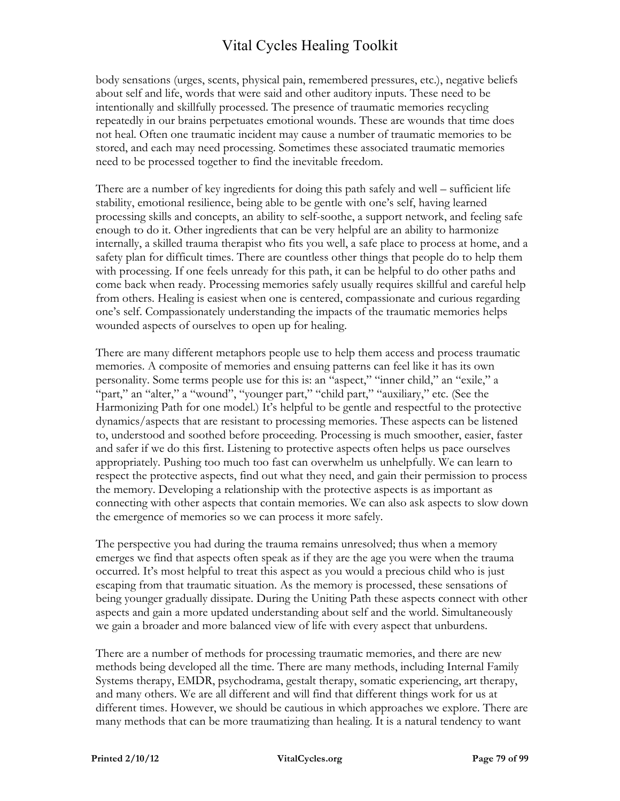body sensations (urges, scents, physical pain, remembered pressures, etc.), negative beliefs about self and life, words that were said and other auditory inputs. These need to be intentionally and skillfully processed. The presence of traumatic memories recycling repeatedly in our brains perpetuates emotional wounds. These are wounds that time does not heal. Often one traumatic incident may cause a number of traumatic memories to be stored, and each may need processing. Sometimes these associated traumatic memories need to be processed together to find the inevitable freedom.

There are a number of key ingredients for doing this path safely and well – sufficient life stability, emotional resilience, being able to be gentle with one's self, having learned processing skills and concepts, an ability to self-soothe, a support network, and feeling safe enough to do it. Other ingredients that can be very helpful are an ability to harmonize internally, a skilled trauma therapist who fits you well, a safe place to process at home, and a safety plan for difficult times. There are countless other things that people do to help them with processing. If one feels unready for this path, it can be helpful to do other paths and come back when ready. Processing memories safely usually requires skillful and careful help from others. Healing is easiest when one is centered, compassionate and curious regarding one's self. Compassionately understanding the impacts of the traumatic memories helps wounded aspects of ourselves to open up for healing.

There are many different metaphors people use to help them access and process traumatic memories. A composite of memories and ensuing patterns can feel like it has its own personality. Some terms people use for this is: an "aspect," "inner child," an "exile," a "part," an "alter," a "wound", "younger part," "child part," "auxiliary," etc. (See the Harmonizing Path for one model.) It's helpful to be gentle and respectful to the protective dynamics/aspects that are resistant to processing memories. These aspects can be listened to, understood and soothed before proceeding. Processing is much smoother, easier, faster and safer if we do this first. Listening to protective aspects often helps us pace ourselves appropriately. Pushing too much too fast can overwhelm us unhelpfully. We can learn to respect the protective aspects, find out what they need, and gain their permission to process the memory. Developing a relationship with the protective aspects is as important as connecting with other aspects that contain memories. We can also ask aspects to slow down the emergence of memories so we can process it more safely.

The perspective you had during the trauma remains unresolved; thus when a memory emerges we find that aspects often speak as if they are the age you were when the trauma occurred. It's most helpful to treat this aspect as you would a precious child who is just escaping from that traumatic situation. As the memory is processed, these sensations of being younger gradually dissipate. During the Uniting Path these aspects connect with other aspects and gain a more updated understanding about self and the world. Simultaneously we gain a broader and more balanced view of life with every aspect that unburdens.

There are a number of methods for processing traumatic memories, and there are new methods being developed all the time. There are many methods, including Internal Family Systems therapy, EMDR, psychodrama, gestalt therapy, somatic experiencing, art therapy, and many others. We are all different and will find that different things work for us at different times. However, we should be cautious in which approaches we explore. There are many methods that can be more traumatizing than healing. It is a natural tendency to want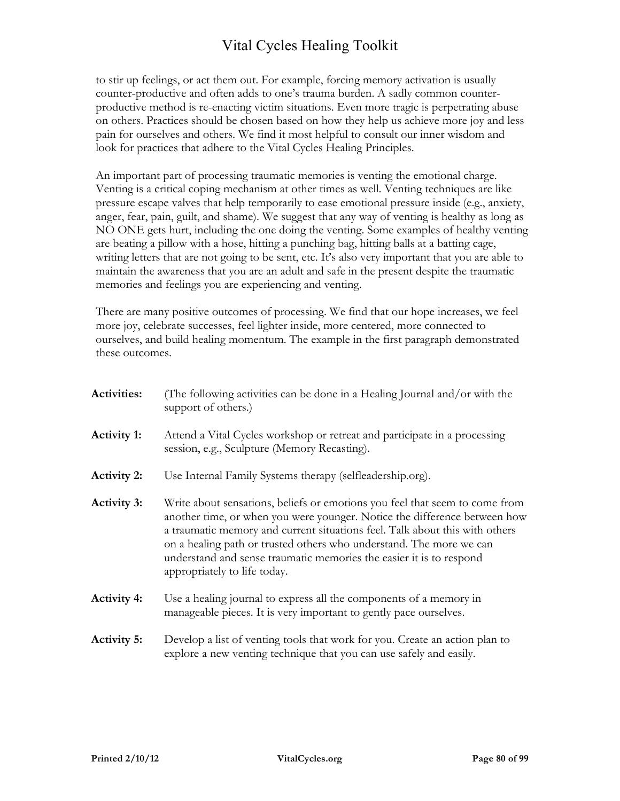to stir up feelings, or act them out. For example, forcing memory activation is usually counter-productive and often adds to one's trauma burden. A sadly common counterproductive method is re-enacting victim situations. Even more tragic is perpetrating abuse on others. Practices should be chosen based on how they help us achieve more joy and less pain for ourselves and others. We find it most helpful to consult our inner wisdom and look for practices that adhere to the Vital Cycles Healing Principles.

An important part of processing traumatic memories is venting the emotional charge. Venting is a critical coping mechanism at other times as well. Venting techniques are like pressure escape valves that help temporarily to ease emotional pressure inside (e.g., anxiety, anger, fear, pain, guilt, and shame). We suggest that any way of venting is healthy as long as NO ONE gets hurt, including the one doing the venting. Some examples of healthy venting are beating a pillow with a hose, hitting a punching bag, hitting balls at a batting cage, writing letters that are not going to be sent, etc. It's also very important that you are able to maintain the awareness that you are an adult and safe in the present despite the traumatic memories and feelings you are experiencing and venting.

There are many positive outcomes of processing. We find that our hope increases, we feel more joy, celebrate successes, feel lighter inside, more centered, more connected to ourselves, and build healing momentum. The example in the first paragraph demonstrated these outcomes.

| <b>Activities:</b> | (The following activities can be done in a Healing Journal and/or with the<br>support of others.)                                                                                                                                                                                                                                                                                                                     |
|--------------------|-----------------------------------------------------------------------------------------------------------------------------------------------------------------------------------------------------------------------------------------------------------------------------------------------------------------------------------------------------------------------------------------------------------------------|
| <b>Activity 1:</b> | Attend a Vital Cycles workshop or retreat and participate in a processing<br>session, e.g., Sculpture (Memory Recasting).                                                                                                                                                                                                                                                                                             |
| <b>Activity 2:</b> | Use Internal Family Systems therapy (selfleadership.org).                                                                                                                                                                                                                                                                                                                                                             |
| <b>Activity 3:</b> | Write about sensations, beliefs or emotions you feel that seem to come from<br>another time, or when you were younger. Notice the difference between how<br>a traumatic memory and current situations feel. Talk about this with others<br>on a healing path or trusted others who understand. The more we can<br>understand and sense traumatic memories the easier it is to respond<br>appropriately to life today. |
| <b>Activity 4:</b> | Use a healing journal to express all the components of a memory in<br>manageable pieces. It is very important to gently pace ourselves.                                                                                                                                                                                                                                                                               |
| <b>Activity 5:</b> | Develop a list of venting tools that work for you. Create an action plan to<br>explore a new venting technique that you can use safely and easily.                                                                                                                                                                                                                                                                    |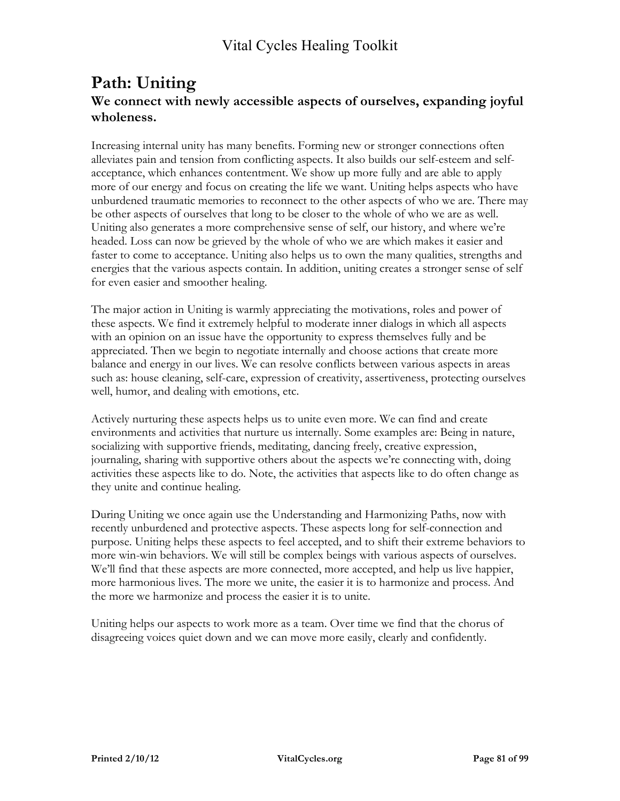### **Path: Uniting We connect with newly accessible aspects of ourselves, expanding joyful wholeness.**

Increasing internal unity has many benefits. Forming new or stronger connections often alleviates pain and tension from conflicting aspects. It also builds our self-esteem and selfacceptance, which enhances contentment. We show up more fully and are able to apply more of our energy and focus on creating the life we want. Uniting helps aspects who have unburdened traumatic memories to reconnect to the other aspects of who we are. There may be other aspects of ourselves that long to be closer to the whole of who we are as well. Uniting also generates a more comprehensive sense of self, our history, and where we're headed. Loss can now be grieved by the whole of who we are which makes it easier and faster to come to acceptance. Uniting also helps us to own the many qualities, strengths and energies that the various aspects contain. In addition, uniting creates a stronger sense of self for even easier and smoother healing.

The major action in Uniting is warmly appreciating the motivations, roles and power of these aspects. We find it extremely helpful to moderate inner dialogs in which all aspects with an opinion on an issue have the opportunity to express themselves fully and be appreciated. Then we begin to negotiate internally and choose actions that create more balance and energy in our lives. We can resolve conflicts between various aspects in areas such as: house cleaning, self-care, expression of creativity, assertiveness, protecting ourselves well, humor, and dealing with emotions, etc.

Actively nurturing these aspects helps us to unite even more. We can find and create environments and activities that nurture us internally. Some examples are: Being in nature, socializing with supportive friends, meditating, dancing freely, creative expression, journaling, sharing with supportive others about the aspects we're connecting with, doing activities these aspects like to do. Note, the activities that aspects like to do often change as they unite and continue healing.

During Uniting we once again use the Understanding and Harmonizing Paths, now with recently unburdened and protective aspects. These aspects long for self-connection and purpose. Uniting helps these aspects to feel accepted, and to shift their extreme behaviors to more win-win behaviors. We will still be complex beings with various aspects of ourselves. We'll find that these aspects are more connected, more accepted, and help us live happier, more harmonious lives. The more we unite, the easier it is to harmonize and process. And the more we harmonize and process the easier it is to unite.

Uniting helps our aspects to work more as a team. Over time we find that the chorus of disagreeing voices quiet down and we can move more easily, clearly and confidently.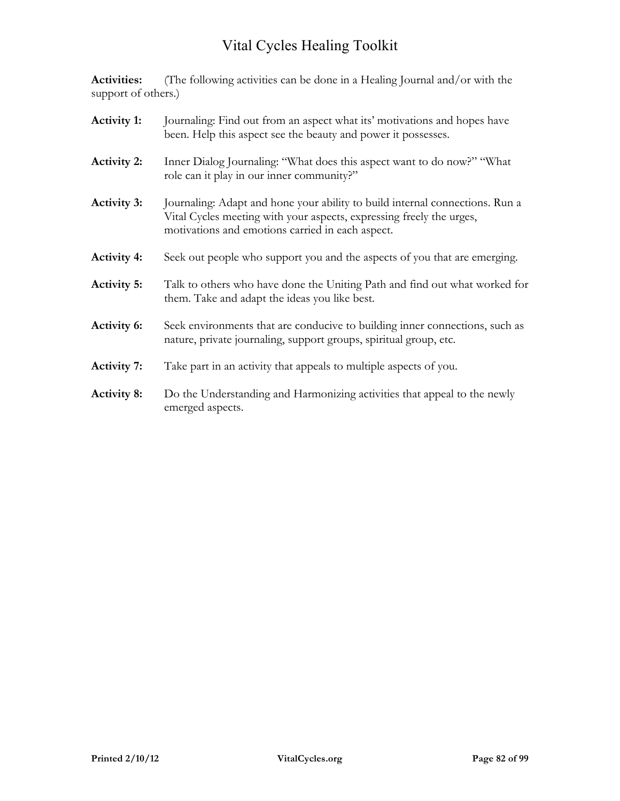**Activities:** (The following activities can be done in a Healing Journal and/or with the support of others.)

| <b>Activity 1:</b> | Journaling: Find out from an aspect what its' motivations and hopes have<br>been. Help this aspect see the beauty and power it possesses.                                                                |
|--------------------|----------------------------------------------------------------------------------------------------------------------------------------------------------------------------------------------------------|
| <b>Activity 2:</b> | Inner Dialog Journaling: "What does this aspect want to do now?" "What<br>role can it play in our inner community?"                                                                                      |
| <b>Activity 3:</b> | Journaling: Adapt and hone your ability to build internal connections. Run a<br>Vital Cycles meeting with your aspects, expressing freely the urges,<br>motivations and emotions carried in each aspect. |
| <b>Activity 4:</b> | Seek out people who support you and the aspects of you that are emerging.                                                                                                                                |
| <b>Activity 5:</b> | Talk to others who have done the Uniting Path and find out what worked for<br>them. Take and adapt the ideas you like best.                                                                              |
| <b>Activity 6:</b> | Seek environments that are conducive to building inner connections, such as<br>nature, private journaling, support groups, spiritual group, etc.                                                         |
| <b>Activity 7:</b> | Take part in an activity that appeals to multiple aspects of you.                                                                                                                                        |
| <b>Activity 8:</b> | Do the Understanding and Harmonizing activities that appeal to the newly<br>emerged aspects.                                                                                                             |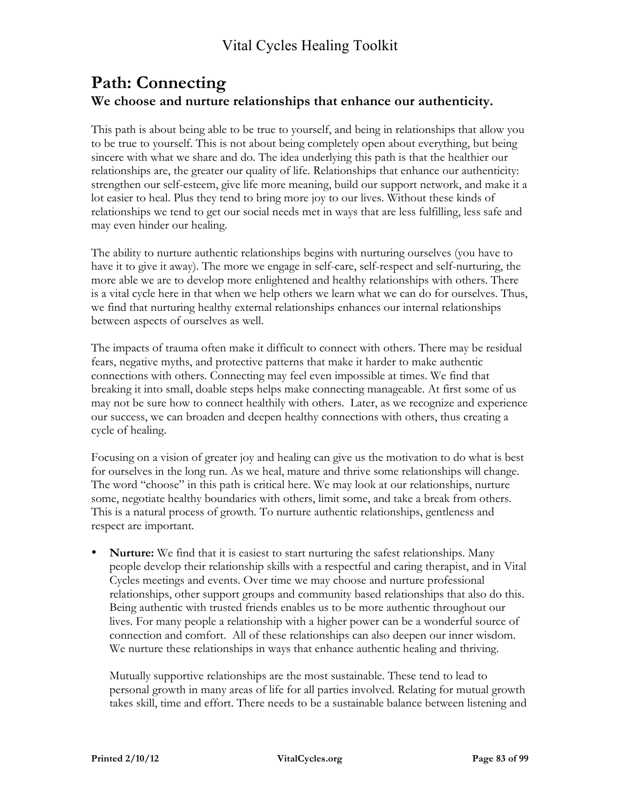### **Path: Connecting We choose and nurture relationships that enhance our authenticity.**

This path is about being able to be true to yourself, and being in relationships that allow you to be true to yourself. This is not about being completely open about everything, but being sincere with what we share and do. The idea underlying this path is that the healthier our relationships are, the greater our quality of life. Relationships that enhance our authenticity: strengthen our self-esteem, give life more meaning, build our support network, and make it a lot easier to heal. Plus they tend to bring more joy to our lives. Without these kinds of relationships we tend to get our social needs met in ways that are less fulfilling, less safe and may even hinder our healing.

The ability to nurture authentic relationships begins with nurturing ourselves (you have to have it to give it away). The more we engage in self-care, self-respect and self-nurturing, the more able we are to develop more enlightened and healthy relationships with others. There is a vital cycle here in that when we help others we learn what we can do for ourselves. Thus, we find that nurturing healthy external relationships enhances our internal relationships between aspects of ourselves as well.

The impacts of trauma often make it difficult to connect with others. There may be residual fears, negative myths, and protective patterns that make it harder to make authentic connections with others. Connecting may feel even impossible at times. We find that breaking it into small, doable steps helps make connecting manageable. At first some of us may not be sure how to connect healthily with others. Later, as we recognize and experience our success, we can broaden and deepen healthy connections with others, thus creating a cycle of healing.

Focusing on a vision of greater joy and healing can give us the motivation to do what is best for ourselves in the long run. As we heal, mature and thrive some relationships will change. The word "choose" in this path is critical here. We may look at our relationships, nurture some, negotiate healthy boundaries with others, limit some, and take a break from others. This is a natural process of growth. To nurture authentic relationships, gentleness and respect are important.

• **Nurture:** We find that it is easiest to start nurturing the safest relationships. Many people develop their relationship skills with a respectful and caring therapist, and in Vital Cycles meetings and events. Over time we may choose and nurture professional relationships, other support groups and community based relationships that also do this. Being authentic with trusted friends enables us to be more authentic throughout our lives. For many people a relationship with a higher power can be a wonderful source of connection and comfort. All of these relationships can also deepen our inner wisdom. We nurture these relationships in ways that enhance authentic healing and thriving.

Mutually supportive relationships are the most sustainable. These tend to lead to personal growth in many areas of life for all parties involved. Relating for mutual growth takes skill, time and effort. There needs to be a sustainable balance between listening and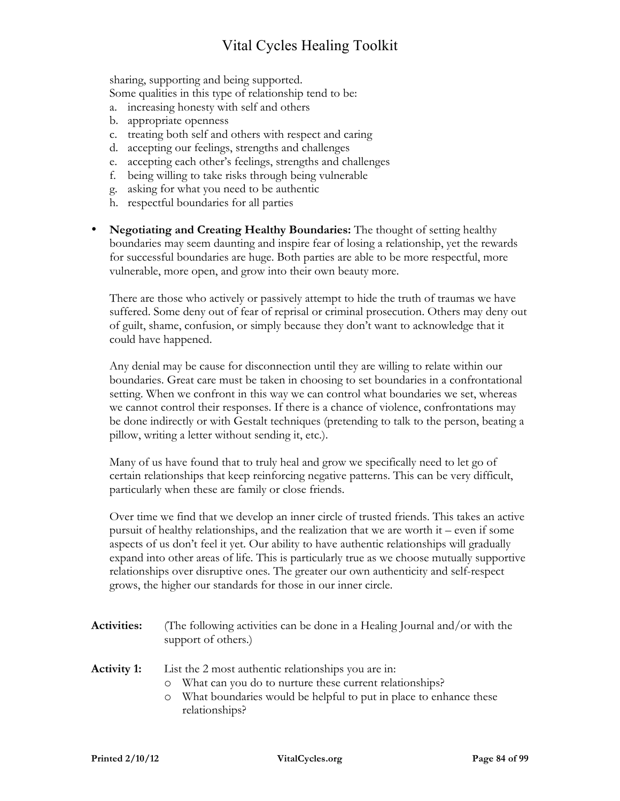sharing, supporting and being supported. Some qualities in this type of relationship tend to be:

- a. increasing honesty with self and others
- b. appropriate openness
- c. treating both self and others with respect and caring
- d. accepting our feelings, strengths and challenges
- e. accepting each other's feelings, strengths and challenges
- f. being willing to take risks through being vulnerable
- g. asking for what you need to be authentic
- h. respectful boundaries for all parties
- **Negotiating and Creating Healthy Boundaries:** The thought of setting healthy boundaries may seem daunting and inspire fear of losing a relationship, yet the rewards for successful boundaries are huge. Both parties are able to be more respectful, more vulnerable, more open, and grow into their own beauty more.

There are those who actively or passively attempt to hide the truth of traumas we have suffered. Some deny out of fear of reprisal or criminal prosecution. Others may deny out of guilt, shame, confusion, or simply because they don't want to acknowledge that it could have happened.

Any denial may be cause for disconnection until they are willing to relate within our boundaries. Great care must be taken in choosing to set boundaries in a confrontational setting. When we confront in this way we can control what boundaries we set, whereas we cannot control their responses. If there is a chance of violence, confrontations may be done indirectly or with Gestalt techniques (pretending to talk to the person, beating a pillow, writing a letter without sending it, etc.).

Many of us have found that to truly heal and grow we specifically need to let go of certain relationships that keep reinforcing negative patterns. This can be very difficult, particularly when these are family or close friends.

Over time we find that we develop an inner circle of trusted friends. This takes an active pursuit of healthy relationships, and the realization that we are worth it – even if some aspects of us don't feel it yet. Our ability to have authentic relationships will gradually expand into other areas of life. This is particularly true as we choose mutually supportive relationships over disruptive ones. The greater our own authenticity and self-respect grows, the higher our standards for those in our inner circle.

| <b>Activities:</b> | (The following activities can be done in a Healing Journal and/or with the<br>support of others.)                                                                                                                           |
|--------------------|-----------------------------------------------------------------------------------------------------------------------------------------------------------------------------------------------------------------------------|
| <b>Activity 1:</b> | List the 2 most authentic relationships you are in:<br>What can you do to nurture these current relationships?<br>$\circ$<br>What boundaries would be helpful to put in place to enhance these<br>$\circ$<br>relationships? |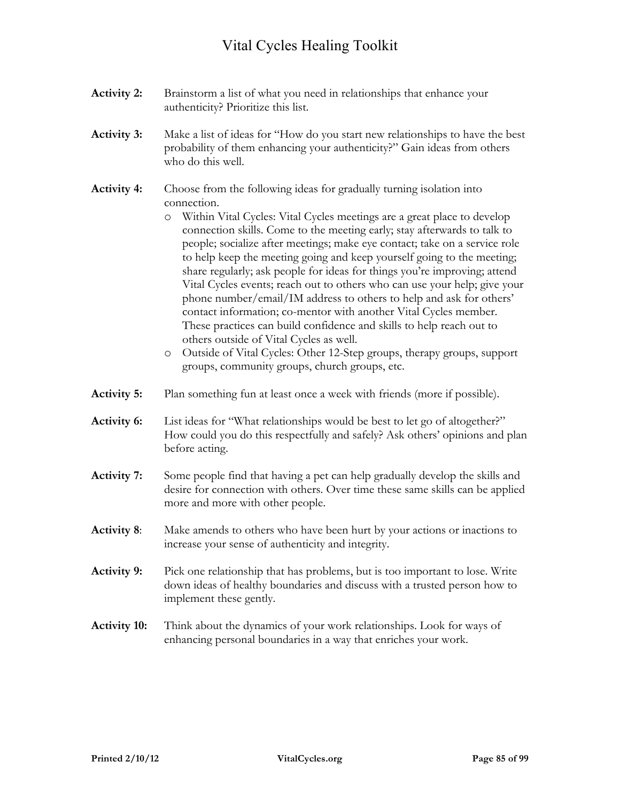- **Activity 2:** Brainstorm a list of what you need in relationships that enhance your authenticity? Prioritize this list.
- **Activity 3:** Make a list of ideas for "How do you start new relationships to have the best probability of them enhancing your authenticity?" Gain ideas from others who do this well.
- **Activity 4:** Choose from the following ideas for gradually turning isolation into connection.
	- o Within Vital Cycles: Vital Cycles meetings are a great place to develop connection skills. Come to the meeting early; stay afterwards to talk to people; socialize after meetings; make eye contact; take on a service role to help keep the meeting going and keep yourself going to the meeting; share regularly; ask people for ideas for things you're improving; attend Vital Cycles events; reach out to others who can use your help; give your phone number/email/IM address to others to help and ask for others' contact information; co-mentor with another Vital Cycles member. These practices can build confidence and skills to help reach out to others outside of Vital Cycles as well.
	- o Outside of Vital Cycles: Other 12-Step groups, therapy groups, support groups, community groups, church groups, etc.
- **Activity 5:** Plan something fun at least once a week with friends (more if possible).
- **Activity 6:** List ideas for "What relationships would be best to let go of altogether?" How could you do this respectfully and safely? Ask others' opinions and plan before acting.
- **Activity 7:** Some people find that having a pet can help gradually develop the skills and desire for connection with others. Over time these same skills can be applied more and more with other people.
- **Activity 8**: Make amends to others who have been hurt by your actions or inactions to increase your sense of authenticity and integrity.
- **Activity 9:** Pick one relationship that has problems, but is too important to lose. Write down ideas of healthy boundaries and discuss with a trusted person how to implement these gently.
- **Activity 10:** Think about the dynamics of your work relationships. Look for ways of enhancing personal boundaries in a way that enriches your work.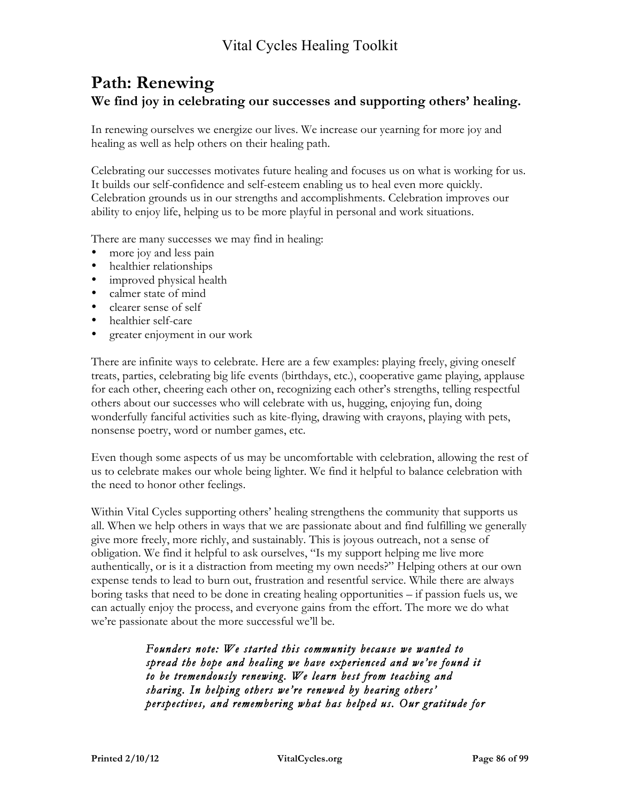### **Path: Renewing We find joy in celebrating our successes and supporting others' healing.**

In renewing ourselves we energize our lives. We increase our yearning for more joy and healing as well as help others on their healing path.

Celebrating our successes motivates future healing and focuses us on what is working for us. It builds our self-confidence and self-esteem enabling us to heal even more quickly. Celebration grounds us in our strengths and accomplishments. Celebration improves our ability to enjoy life, helping us to be more playful in personal and work situations.

There are many successes we may find in healing:

- more joy and less pain
- healthier relationships
- improved physical health
- calmer state of mind
- clearer sense of self
- healthier self-care
- greater enjoyment in our work

There are infinite ways to celebrate. Here are a few examples: playing freely, giving oneself treats, parties, celebrating big life events (birthdays, etc.), cooperative game playing, applause for each other, cheering each other on, recognizing each other's strengths, telling respectful others about our successes who will celebrate with us, hugging, enjoying fun, doing wonderfully fanciful activities such as kite-flying, drawing with crayons, playing with pets, nonsense poetry, word or number games, etc.

Even though some aspects of us may be uncomfortable with celebration, allowing the rest of us to celebrate makes our whole being lighter. We find it helpful to balance celebration with the need to honor other feelings.

Within Vital Cycles supporting others' healing strengthens the community that supports us all. When we help others in ways that we are passionate about and find fulfilling we generally give more freely, more richly, and sustainably. This is joyous outreach, not a sense of obligation. We find it helpful to ask ourselves, "Is my support helping me live more authentically, or is it a distraction from meeting my own needs?" Helping others at our own expense tends to lead to burn out, frustration and resentful service. While there are always boring tasks that need to be done in creating healing opportunities – if passion fuels us, we can actually enjoy the process, and everyone gains from the effort. The more we do what we're passionate about the more successful we'll be.

> *Founders note: We started this community because we wanted to spread the hope and healing we have experienced and we've found it to be tremendously renewing. We learn best from teaching and sharing. In helping others we're renewed by hearing others' perspectives, and remembering what has helped us. Our gratitude for*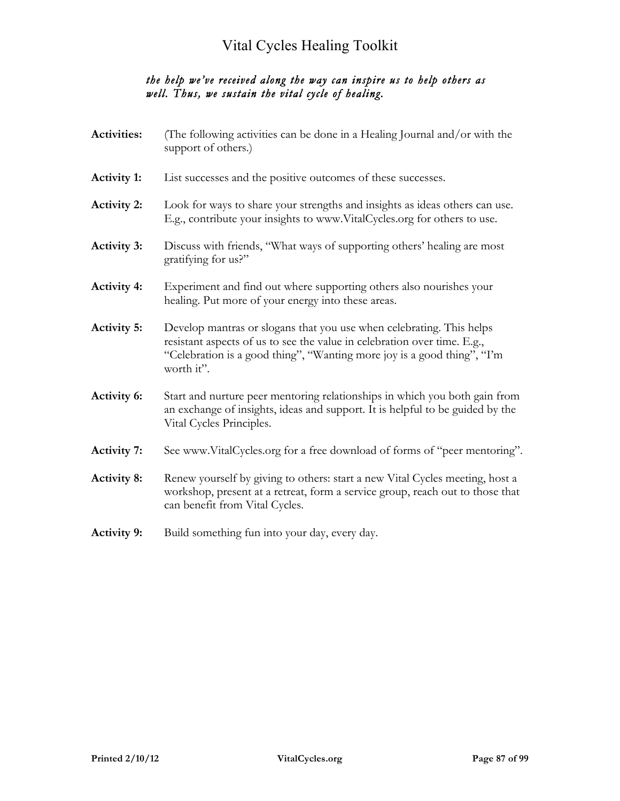### *the help we've received along the way can inspire us to help others as well. Thus, we sustain the vital cycle of healing.*

| <b>Activities:</b> | (The following activities can be done in a Healing Journal and/or with the<br>support of others.)                                                                                                                                         |
|--------------------|-------------------------------------------------------------------------------------------------------------------------------------------------------------------------------------------------------------------------------------------|
| <b>Activity 1:</b> | List successes and the positive outcomes of these successes.                                                                                                                                                                              |
| <b>Activity 2:</b> | Look for ways to share your strengths and insights as ideas others can use.<br>E.g., contribute your insights to www.VitalCycles.org for others to use.                                                                                   |
| <b>Activity 3:</b> | Discuss with friends, "What ways of supporting others' healing are most<br>gratifying for us?"                                                                                                                                            |
| <b>Activity 4:</b> | Experiment and find out where supporting others also nourishes your<br>healing. Put more of your energy into these areas.                                                                                                                 |
| <b>Activity 5:</b> | Develop mantras or slogans that you use when celebrating. This helps<br>resistant aspects of us to see the value in celebration over time. E.g.,<br>"Celebration is a good thing", "Wanting more joy is a good thing", "I'm<br>worth it". |
| <b>Activity 6:</b> | Start and nurture peer mentoring relationships in which you both gain from<br>an exchange of insights, ideas and support. It is helpful to be guided by the<br>Vital Cycles Principles.                                                   |
| <b>Activity 7:</b> | See www.VitalCycles.org for a free download of forms of "peer mentoring".                                                                                                                                                                 |
| <b>Activity 8:</b> | Renew yourself by giving to others: start a new Vital Cycles meeting, host a<br>workshop, present at a retreat, form a service group, reach out to those that<br>can benefit from Vital Cycles.                                           |
| <b>Activity 9:</b> | Build something fun into your day, every day.                                                                                                                                                                                             |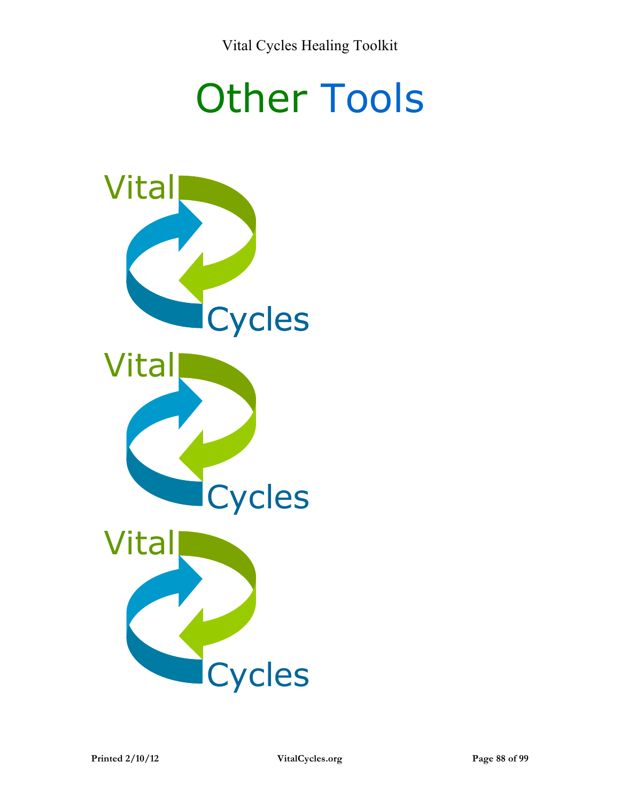# Other Tools

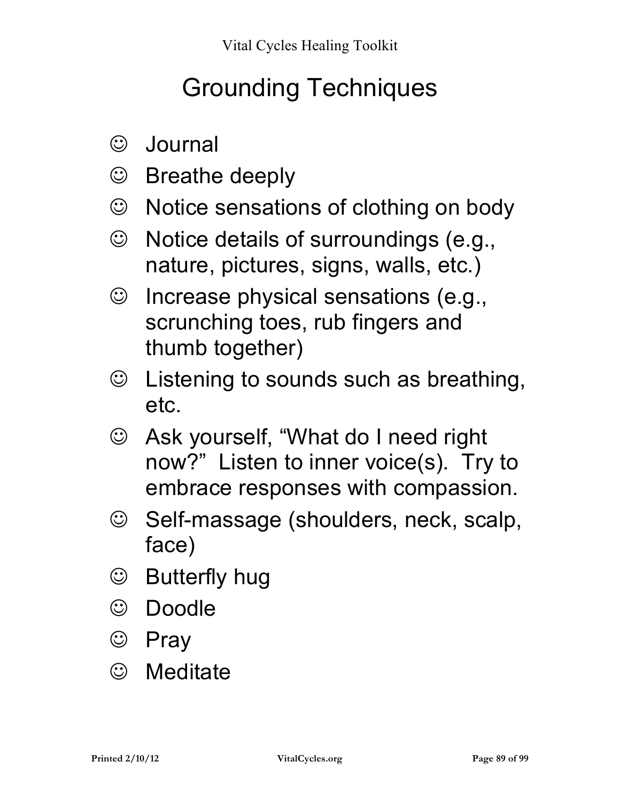# Grounding Techniques

- Journal
- Breathe deeply
- Notice sensations of clothing on body
- Notice details of surroundings (e.g., nature, pictures, signs, walls, etc.)
- $\odot$  Increase physical sensations (e.g., scrunching toes, rub fingers and thumb together)
- Listening to sounds such as breathing, etc.
- Ask yourself, "What do I need right now?" Listen to inner voice(s). Try to embrace responses with compassion.
- © Self-massage (shoulders, neck, scalp, face)
- **S** Butterfly hug
- Doodle
- © Pray
- Meditate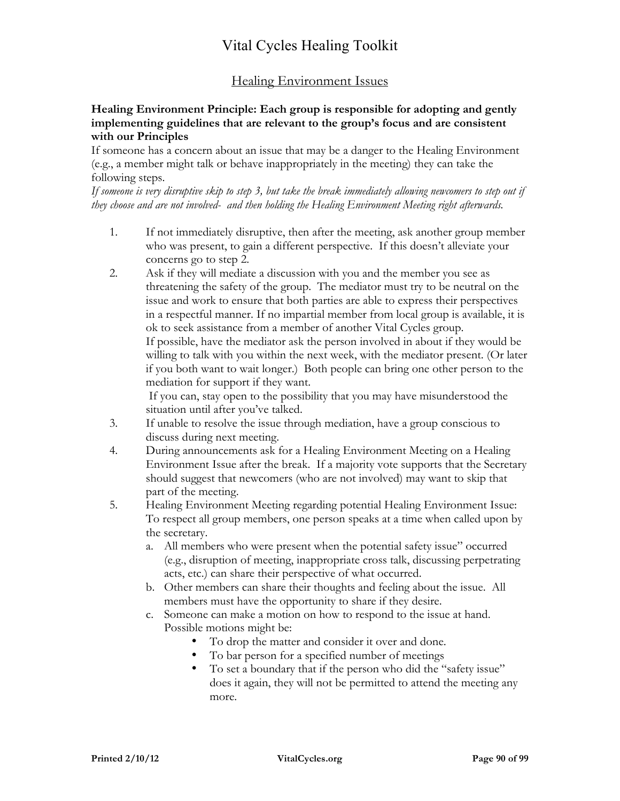### Healing Environment Issues

#### **Healing Environment Principle: Each group is responsible for adopting and gently implementing guidelines that are relevant to the group's focus and are consistent with our Principles**

If someone has a concern about an issue that may be a danger to the Healing Environment (e.g., a member might talk or behave inappropriately in the meeting) they can take the following steps.

*If someone is very disruptive skip to step 3, but take the break immediately allowing newcomers to step out if they choose and are not involved- and then holding the Healing Environment Meeting right afterwards.*

- 1. If not immediately disruptive, then after the meeting, ask another group member who was present, to gain a different perspective. If this doesn't alleviate your concerns go to step 2.
- 2. Ask if they will mediate a discussion with you and the member you see as threatening the safety of the group. The mediator must try to be neutral on the issue and work to ensure that both parties are able to express their perspectives in a respectful manner. If no impartial member from local group is available, it is ok to seek assistance from a member of another Vital Cycles group. If possible, have the mediator ask the person involved in about if they would be willing to talk with you within the next week, with the mediator present. (Or later if you both want to wait longer.) Both people can bring one other person to the

mediation for support if they want.

 If you can, stay open to the possibility that you may have misunderstood the situation until after you've talked.

- 3. If unable to resolve the issue through mediation, have a group conscious to discuss during next meeting.
- 4. During announcements ask for a Healing Environment Meeting on a Healing Environment Issue after the break. If a majority vote supports that the Secretary should suggest that newcomers (who are not involved) may want to skip that part of the meeting.
- 5. Healing Environment Meeting regarding potential Healing Environment Issue: To respect all group members, one person speaks at a time when called upon by the secretary.
	- a. All members who were present when the potential safety issue" occurred (e.g., disruption of meeting, inappropriate cross talk, discussing perpetrating acts, etc.) can share their perspective of what occurred.
	- b. Other members can share their thoughts and feeling about the issue. All members must have the opportunity to share if they desire.
	- c. Someone can make a motion on how to respond to the issue at hand. Possible motions might be:
		- To drop the matter and consider it over and done.
		- To bar person for a specified number of meetings
		- To set a boundary that if the person who did the "safety issue" does it again, they will not be permitted to attend the meeting any more.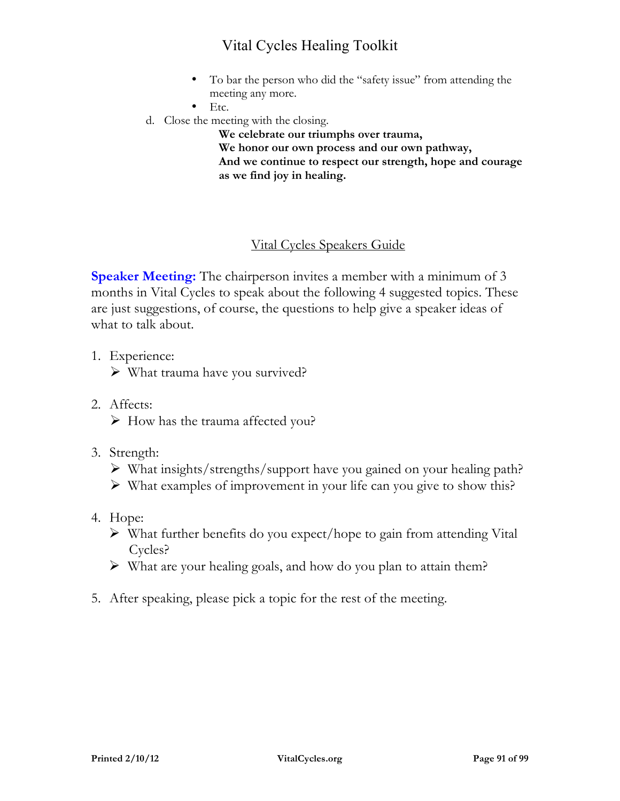- To bar the person who did the "safety issue" from attending the meeting any more.
- $\bullet$  Etc.
- d. Close the meeting with the closing.

**We celebrate our triumphs over trauma, We honor our own process and our own pathway, And we continue to respect our strength, hope and courage as we find joy in healing.** 

### Vital Cycles Speakers Guide

**Speaker Meeting:** The chairperson invites a member with a minimum of 3 months in Vital Cycles to speak about the following 4 suggested topics. These are just suggestions, of course, the questions to help give a speaker ideas of what to talk about.

- 1. Experience:
	- $\triangleright$  What trauma have you survived?
- 2. Affects:  $\triangleright$  How has the trauma affected you?
- 3. Strength:
	- What insights/strengths/support have you gained on your healing path?
	- $\triangleright$  What examples of improvement in your life can you give to show this?
- 4. Hope:
	- $\triangleright$  What further benefits do you expect/hope to gain from attending Vital Cycles?
	- $\triangleright$  What are your healing goals, and how do you plan to attain them?
- 5. After speaking, please pick a topic for the rest of the meeting.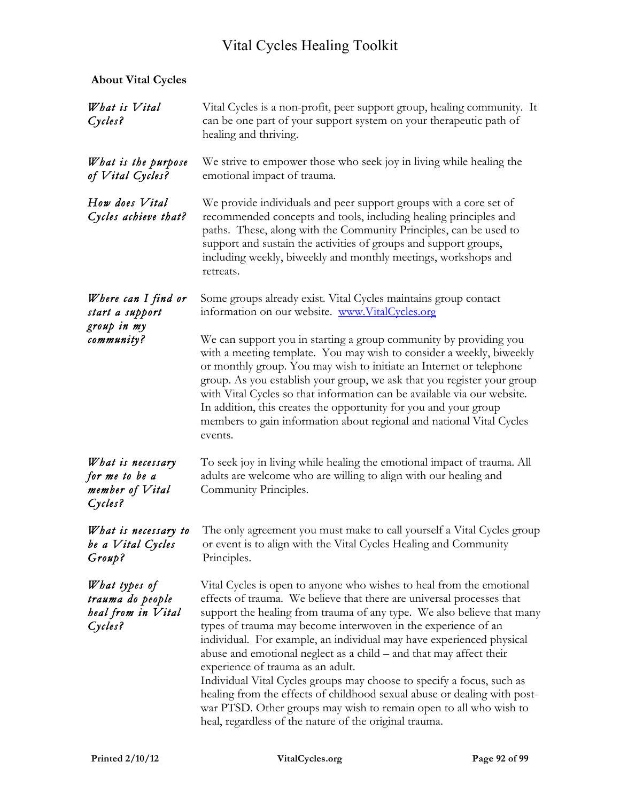### **About Vital Cycles**

| What is Vital<br>Cycles?                                           | Vital Cycles is a non-profit, peer support group, healing community. It<br>can be one part of your support system on your therapeutic path of<br>healing and thriving.                                                                                                                                                                                                                                                                                                                                                                                                                                                                                                                                                                                          |
|--------------------------------------------------------------------|-----------------------------------------------------------------------------------------------------------------------------------------------------------------------------------------------------------------------------------------------------------------------------------------------------------------------------------------------------------------------------------------------------------------------------------------------------------------------------------------------------------------------------------------------------------------------------------------------------------------------------------------------------------------------------------------------------------------------------------------------------------------|
| What is the purpose<br>of Vital Cycles?                            | We strive to empower those who seek joy in living while healing the<br>emotional impact of trauma.                                                                                                                                                                                                                                                                                                                                                                                                                                                                                                                                                                                                                                                              |
| How does Vital<br>Cycles achieve that?                             | We provide individuals and peer support groups with a core set of<br>recommended concepts and tools, including healing principles and<br>paths. These, along with the Community Principles, can be used to<br>support and sustain the activities of groups and support groups,<br>including weekly, biweekly and monthly meetings, workshops and<br>retreats.                                                                                                                                                                                                                                                                                                                                                                                                   |
| Where can I find or<br>start a support                             | Some groups already exist. Vital Cycles maintains group contact<br>information on our website. www.VitalCycles.org                                                                                                                                                                                                                                                                                                                                                                                                                                                                                                                                                                                                                                              |
| group in my<br>community?                                          | We can support you in starting a group community by providing you<br>with a meeting template. You may wish to consider a weekly, biweekly<br>or monthly group. You may wish to initiate an Internet or telephone<br>group. As you establish your group, we ask that you register your group<br>with Vital Cycles so that information can be available via our website.<br>In addition, this creates the opportunity for you and your group<br>members to gain information about regional and national Vital Cycles<br>events.                                                                                                                                                                                                                                   |
| What is necessary<br>for me to be a<br>member of Vital<br>Cycles?  | To seek joy in living while healing the emotional impact of trauma. All<br>adults are welcome who are willing to align with our healing and<br>Community Principles.                                                                                                                                                                                                                                                                                                                                                                                                                                                                                                                                                                                            |
| What is necessary to<br>be a Vital Cycles<br>Group?                | The only agreement you must make to call yourself a Vital Cycles group<br>or event is to align with the Vital Cycles Healing and Community<br>Principles.                                                                                                                                                                                                                                                                                                                                                                                                                                                                                                                                                                                                       |
| What types of<br>trauma do people<br>heal from in Vital<br>Cycles? | Vital Cycles is open to anyone who wishes to heal from the emotional<br>effects of trauma. We believe that there are universal processes that<br>support the healing from trauma of any type. We also believe that many<br>types of trauma may become interwoven in the experience of an<br>individual. For example, an individual may have experienced physical<br>abuse and emotional neglect as a child – and that may affect their<br>experience of trauma as an adult.<br>Individual Vital Cycles groups may choose to specify a focus, such as<br>healing from the effects of childhood sexual abuse or dealing with post-<br>war PTSD. Other groups may wish to remain open to all who wish to<br>heal, regardless of the nature of the original trauma. |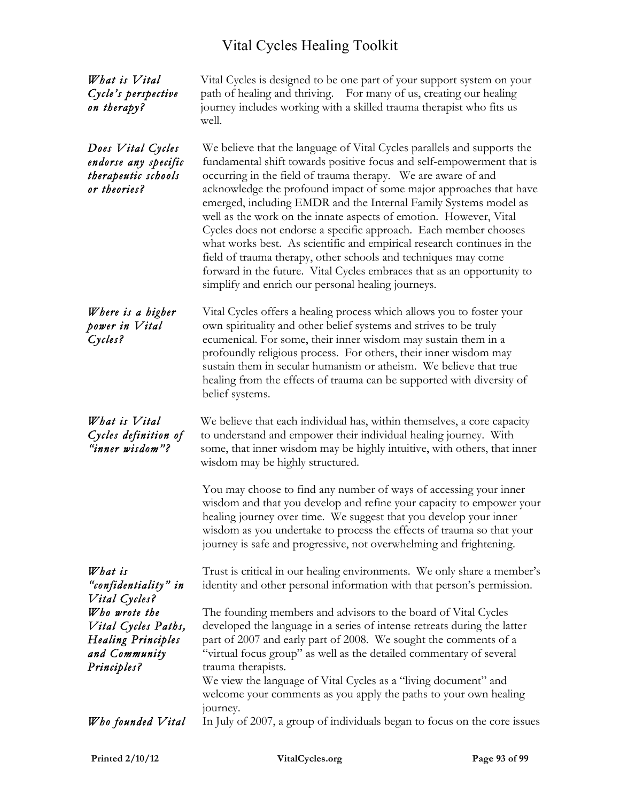| What is Vital<br>Cycle's perspective<br>on therapy?                                | Vital Cycles is designed to be one part of your support system on your<br>path of healing and thriving. For many of us, creating our healing<br>journey includes working with a skilled trauma therapist who fits us<br>well.                                                                                                                                                                                                                                                                                                                                                                                                                                                                                                                                                    |
|------------------------------------------------------------------------------------|----------------------------------------------------------------------------------------------------------------------------------------------------------------------------------------------------------------------------------------------------------------------------------------------------------------------------------------------------------------------------------------------------------------------------------------------------------------------------------------------------------------------------------------------------------------------------------------------------------------------------------------------------------------------------------------------------------------------------------------------------------------------------------|
| Does Vital Cycles<br>endorse any specific<br>therapeutic schools<br>or theories?   | We believe that the language of Vital Cycles parallels and supports the<br>fundamental shift towards positive focus and self-empowerment that is<br>occurring in the field of trauma therapy. We are aware of and<br>acknowledge the profound impact of some major approaches that have<br>emerged, including EMDR and the Internal Family Systems model as<br>well as the work on the innate aspects of emotion. However, Vital<br>Cycles does not endorse a specific approach. Each member chooses<br>what works best. As scientific and empirical research continues in the<br>field of trauma therapy, other schools and techniques may come<br>forward in the future. Vital Cycles embraces that as an opportunity to<br>simplify and enrich our personal healing journeys. |
| Where is a higher<br>power in Vital<br>Cycles?                                     | Vital Cycles offers a healing process which allows you to foster your<br>own spirituality and other belief systems and strives to be truly<br>ecumenical. For some, their inner wisdom may sustain them in a<br>profoundly religious process. For others, their inner wisdom may<br>sustain them in secular humanism or atheism. We believe that true<br>healing from the effects of trauma can be supported with diversity of<br>belief systems.                                                                                                                                                                                                                                                                                                                                |
| What is Vital<br>Cycles definition of<br>"inner wisdom"?                           | We believe that each individual has, within themselves, a core capacity<br>to understand and empower their individual healing journey. With<br>some, that inner wisdom may be highly intuitive, with others, that inner<br>wisdom may be highly structured.                                                                                                                                                                                                                                                                                                                                                                                                                                                                                                                      |
|                                                                                    | You may choose to find any number of ways of accessing your inner<br>wisdom and that you develop and refine your capacity to empower your<br>healing journey over time. We suggest that you develop your inner<br>wisdom as you undertake to process the effects of trauma so that your<br>journey is safe and progressive, not overwhelming and frightening.                                                                                                                                                                                                                                                                                                                                                                                                                    |
| What is<br>"confidentiality" in<br>Vital Cycles?                                   | Trust is critical in our healing environments. We only share a member's<br>identity and other personal information with that person's permission.                                                                                                                                                                                                                                                                                                                                                                                                                                                                                                                                                                                                                                |
| Who wrote the<br>Vital Cycles Paths,<br><b>Healing Principles</b><br>and Community | The founding members and advisors to the board of Vital Cycles<br>developed the language in a series of intense retreats during the latter<br>part of 2007 and early part of 2008. We sought the comments of a<br>"virtual focus group" as well as the detailed commentary of several                                                                                                                                                                                                                                                                                                                                                                                                                                                                                            |
| Principles?                                                                        | trauma therapists.<br>We view the language of Vital Cycles as a "living document" and<br>welcome your comments as you apply the paths to your own healing<br>journey.                                                                                                                                                                                                                                                                                                                                                                                                                                                                                                                                                                                                            |
| Who founded Vital                                                                  | In July of 2007, a group of individuals began to focus on the core issues                                                                                                                                                                                                                                                                                                                                                                                                                                                                                                                                                                                                                                                                                                        |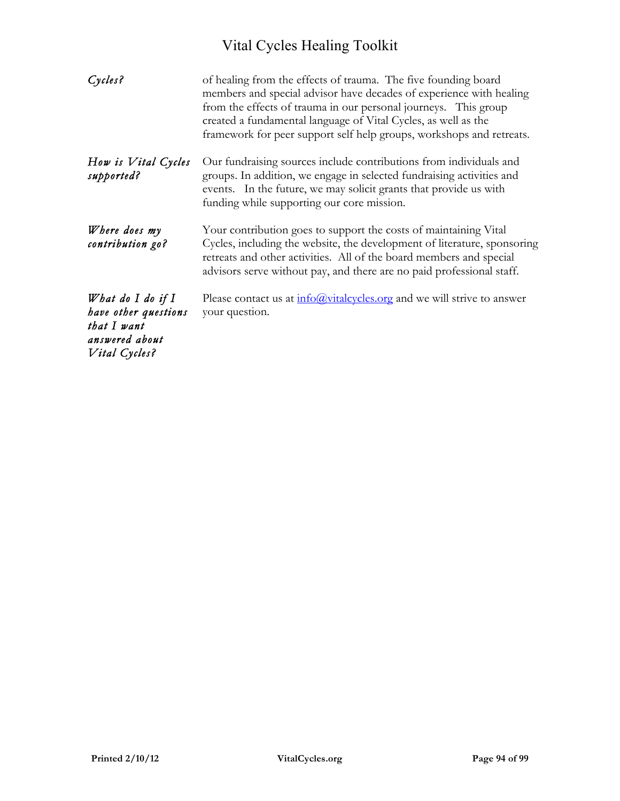| Cycles?                                                                                       | of healing from the effects of trauma. The five founding board<br>members and special advisor have decades of experience with healing<br>from the effects of trauma in our personal journeys. This group<br>created a fundamental language of Vital Cycles, as well as the<br>framework for peer support self help groups, workshops and retreats. |
|-----------------------------------------------------------------------------------------------|----------------------------------------------------------------------------------------------------------------------------------------------------------------------------------------------------------------------------------------------------------------------------------------------------------------------------------------------------|
| How is Vital Cycles<br>supported?                                                             | Our fundraising sources include contributions from individuals and<br>groups. In addition, we engage in selected fundraising activities and<br>events. In the future, we may solicit grants that provide us with<br>funding while supporting our core mission.                                                                                     |
| Where does my<br>contribution go?                                                             | Your contribution goes to support the costs of maintaining Vital<br>Cycles, including the website, the development of literature, sponsoring<br>retreats and other activities. All of the board members and special<br>advisors serve without pay, and there are no paid professional staff.                                                       |
| What do I do if $I$<br>have other questions<br>that I want<br>answered about<br>Vital Cycles? | Please contact us at $\frac{info(Qvitalcycles.org)}{info(Qvitalcycles.org}$ and we will strive to answer<br>your question.                                                                                                                                                                                                                         |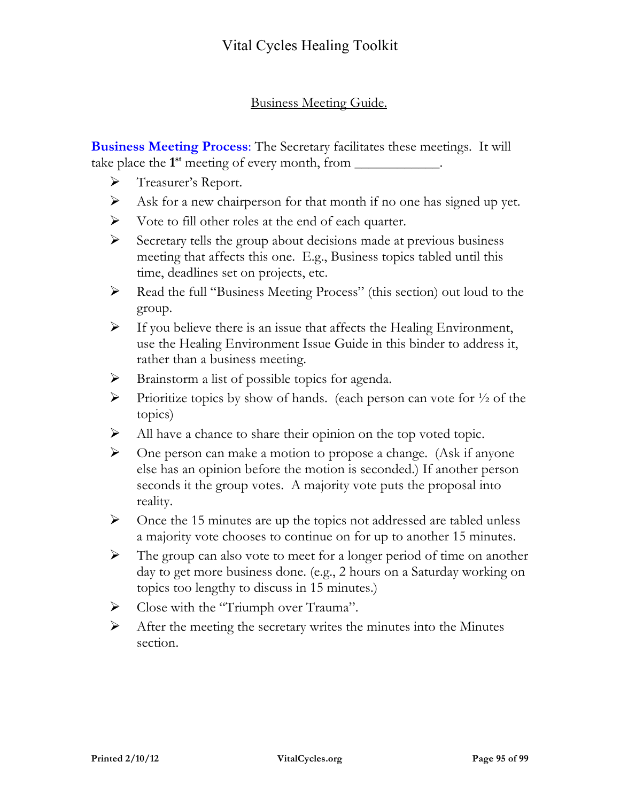### Business Meeting Guide.

**Business Meeting Process**: The Secretary facilitates these meetings. It will take place the **1st** meeting of every month, from \_\_\_\_\_\_\_\_\_\_\_\_.

- > Treasurer's Report.
- $\triangleright$  Ask for a new chairperson for that month if no one has signed up yet.
- $\triangleright$  Vote to fill other roles at the end of each quarter.
- $\triangleright$  Secretary tells the group about decisions made at previous business meeting that affects this one. E.g., Business topics tabled until this time, deadlines set on projects, etc.
- Read the full "Business Meeting Process" (this section) out loud to the group.
- $\triangleright$  If you believe there is an issue that affects the Healing Environment, use the Healing Environment Issue Guide in this binder to address it, rather than a business meeting.
- $\triangleright$  Brainstorm a list of possible topics for agenda.
- Prioritize topics by show of hands. (each person can vote for  $\frac{1}{2}$  of the topics)
- $\triangleright$  All have a chance to share their opinion on the top voted topic.
- $\triangleright$  One person can make a motion to propose a change. (Ask if anyone else has an opinion before the motion is seconded.) If another person seconds it the group votes. A majority vote puts the proposal into reality.
- $\triangleright$  Once the 15 minutes are up the topics not addressed are tabled unless a majority vote chooses to continue on for up to another 15 minutes.
- $\triangleright$  The group can also vote to meet for a longer period of time on another day to get more business done. (e.g., 2 hours on a Saturday working on topics too lengthy to discuss in 15 minutes.)
- Solose with the "Triumph over Trauma".
- $\triangleright$  After the meeting the secretary writes the minutes into the Minutes section.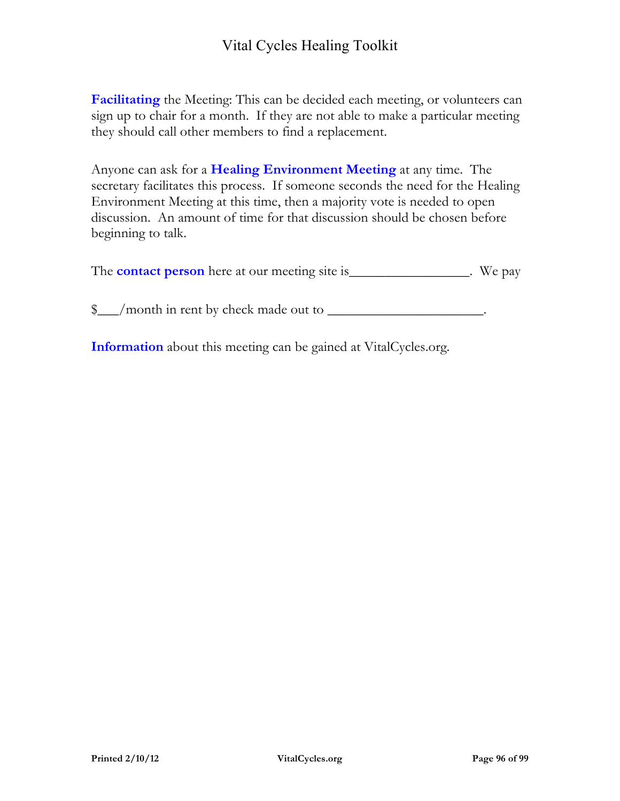**Facilitating** the Meeting: This can be decided each meeting, or volunteers can sign up to chair for a month. If they are not able to make a particular meeting they should call other members to find a replacement.

Anyone can ask for a **Healing Environment Meeting** at any time. The secretary facilitates this process. If someone seconds the need for the Healing Environment Meeting at this time, then a majority vote is needed to open discussion. An amount of time for that discussion should be chosen before beginning to talk.

The **contact person** here at our meeting site is\_\_\_\_\_\_\_\_\_\_\_\_\_\_\_\_. We pay

\$\_\_\_/month in rent by check made out to *\_\_\_\_\_\_\_\_\_\_\_\_\_\_\_\_\_\_\_\_\_\_*.

**Information** about this meeting can be gained at VitalCycles.org.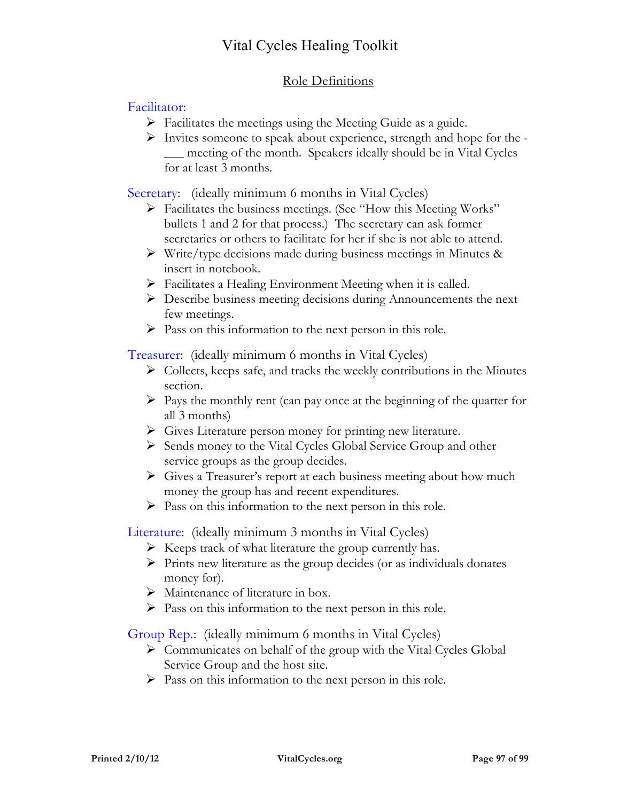### Role Definitions

### Facilitator:

- $\triangleright$  Facilitates the meetings using the Meeting Guide as a guide.
- $\triangleright$  Invites someone to speak about experience, strength and hope for the -\_\_\_ meeting of the month. Speakers ideally should be in Vital Cycles for at least 3 months.

Secretary: (ideally minimum 6 months in Vital Cycles)

- Facilitates the business meetings. (See "How this Meeting Works" bullets 1 and 2 for that process.) The secretary can ask former secretaries or others to facilitate for her if she is not able to attend.
- $\triangleright$  Write/type decisions made during business meetings in Minutes & insert in notebook.
- $\triangleright$  Facilitates a Healing Environment Meeting when it is called.
- Describe business meeting decisions during Announcements the next few meetings.
- $\triangleright$  Pass on this information to the next person in this role.

Treasurer: (ideally minimum 6 months in Vital Cycles)

- $\triangleright$  Collects, keeps safe, and tracks the weekly contributions in the Minutes section.
- $\triangleright$  Pays the monthly rent (can pay once at the beginning of the quarter for all 3 months)
- Gives Literature person money for printing new literature.
- $\triangleright$  Sends money to the Vital Cycles Global Service Group and other service groups as the group decides.
- Gives a Treasurer's report at each business meeting about how much money the group has and recent expenditures.
- $\triangleright$  Pass on this information to the next person in this role.

Literature: (ideally minimum 3 months in Vital Cycles)

- $\triangleright$  Keeps track of what literature the group currently has.
- $\triangleright$  Prints new literature as the group decides (or as individuals donates money for).
- $\triangleright$  Maintenance of literature in box.
- $\triangleright$  Pass on this information to the next person in this role.

Group Rep.: (ideally minimum 6 months in Vital Cycles)

- $\triangleright$  Communicates on behalf of the group with the Vital Cycles Global Service Group and the host site.
- $\triangleright$  Pass on this information to the next person in this role.